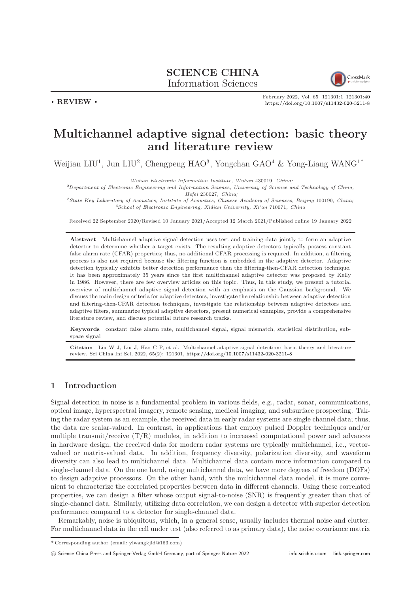## SCIENCE CHINA Information Sciences



February 2022, Vol. 65 121301:1–121301[:40](#page-39-0) <https://doi.org/10.1007/s11432-020-3211-8>

# Multichannel adaptive signal detection: basic theory and literature review

Weijian LIU<sup>1</sup>, Jun LIU<sup>2</sup>, Chengpeng HAO<sup>3</sup>, Yongchan GAO<sup>4</sup> & Yong-Liang WANG<sup>1\*</sup>

 $1$ Wuhan Electronic Information Institute, Wuhan 430019, China;

<sup>2</sup>Department of Electronic Engineering and Information Science, University of Science and Technology of China, Hefei 230027, China;

<sup>3</sup>State Key Laboratory of Acoustics, Institute of Acoustics, Chinese Academy of Sciences, Beijing 100190, China; <sup>4</sup>School of Electronic Engineering, Xidian University, Xi'an 710071, China

Received 22 September 2020/Revised 10 January 2021/Accepted 12 March 2021/Published online 19 January 2022

Abstract Multichannel adaptive signal detection uses test and training data jointly to form an adaptive detector to determine whether a target exists. The resulting adaptive detectors typically possess constant false alarm rate (CFAR) properties; thus, no additional CFAR processing is required. In addition, a filtering process is also not required because the filtering function is embedded in the adaptive detector. Adaptive detection typically exhibits better detection performance than the filtering-then-CFAR detection technique. It has been approximately 35 years since the first multichannel adaptive detector was proposed by Kelly in 1986. However, there are few overview articles on this topic. Thus, in this study, we present a tutorial overview of multichannel adaptive signal detection with an emphasis on the Gaussian background. We discuss the main design criteria for adaptive detectors, investigate the relationship between adaptive detection and filtering-then-CFAR detection techniques, investigate the relationship between adaptive detectors and adaptive filters, summarize typical adaptive detectors, present numerical examples, provide a comprehensive literature review, and discuss potential future research tracks.

Keywords constant false alarm rate, multichannel signal, signal mismatch, statistical distribution, subspace signal

Citation Liu W J, Liu J, Hao C P, et al. Multichannel adaptive signal detection: basic theory and literature review. Sci China Inf Sci, 2022, 65(2): 121301, <https://doi.org/10.1007/s11432-020-3211-8>

## 1 Introduction

Signal detection in noise is a fundamental problem in various fields, e.g., radar, sonar, communications, optical image, hyperspectral imagery, remote sensing, medical imaging, and subsurface prospecting. Taking the radar system as an example, the received data in early radar systems are single channel data; thus, the data are scalar-valued. In contrast, in applications that employ pulsed Doppler techniques and/or multiple transmit/receive  $(T/R)$  modules, in addition to increased computational power and advances in hardware design, the received data for modern radar systems are typically multichannel, i.e., vectorvalued or matrix-valued data. In addition, frequency diversity, polarization diversity, and waveform diversity can also lead to multichannel data. Multichannel data contain more information compared to single-channel data. On the one hand, using multichannel data, we have more degrees of freedom (DOFs) to design adaptive processors. On the other hand, with the multichannel data model, it is more convenient to characterize the correlated properties between data in different channels. Using these correlated properties, we can design a filter whose output signal-to-noise (SNR) is frequently greater than that of single-channel data. Similarly, utilizing data correlation, we can design a detector with superior detection performance compared to a detector for single-channel data.

Remarkably, noise is ubiquitous, which, in a general sense, usually includes thermal noise and clutter. For multichannel data in the cell under test (also referred to as primary data), the noise covariance matrix

c Science China Press and Springer-Verlag GmbH Germany, part of Springer Nature 2022 <info.scichina.com><link.springer.com>

. REVIEW .

<sup>\*</sup> Corresponding author (email: ylwangkjld@163.com)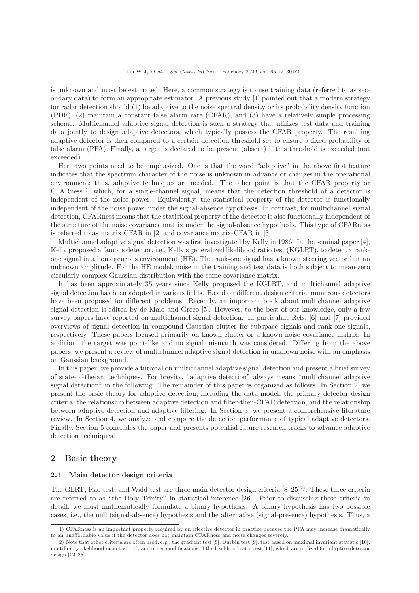is unknown and must be estimated. Here, a common strategy is to use training data (referred to as secondary data) to form an appropriate estimator. A previous study [\[1\]](#page-29-0) pointed out that a modern strategy for radar detection should (1) be adaptive to the noise spectral density or its probability density function (PDF), (2) maintain a constant false alarm rate (CFAR), and (3) have a relatively simple processing scheme. Multichannel adaptive signal detection is such a strategy that utilizes test data and training data jointly to design adaptive detectors, which typically possess the CFAR property. The resulting adaptive detector is then compared to a certain detection threshold set to ensure a fixed probability of false alarm (PFA). Finally, a target is declared to be present (absent) if this threshold is exceeded (not exceeded).

Here two points need to be emphasized. One is that the word "adaptive" in the above first feature indicates that the spectrum character of the noise is unknown in advance or changes in the operational environment; thus, adaptive techniques are needed. The other point is that the CFAR property or  $CFARness<sup>1</sup>$ , which, for a single-channel signal, means that the detection threshold of a detector is independent of the noise power. Equivalently, the statistical property of the detector is functionally independent of the noise power under the signal-absence hypothesis. In contrast, for multichannel signal detection, CFARness means that the statistical property of the detector is also functionally independent of the structure of the noise covariance matrix under the signal-absence hypothesis. This type of CFARness is referred to as matrix CFAR in [\[2\]](#page-30-0) and covariance matrix-CFAR in [\[3\]](#page-30-1).

Multichannel adaptive signal detection was first investigated by Kelly in 1986. In the seminal paper [\[4\]](#page-30-2), Kelly proposed a famous detector, i.e., Kelly's generalized likelihood ratio test (KGLRT), to detect a rankone signal in a homogeneous environment (HE). The rank-one signal has a known steering vector but an unknown amplitude. For the HE model, noise in the training and test data is both subject to mean-zero circularly complex Gaussian distribution with the same covariance matrix.

It has been approximately 35 years since Kelly proposed the KGLRT, and multichannel adaptive signal detection has been adopted in various fields. Based on different design criteria, numerous detectors have been proposed for different problems. Recently, an important book about multichannel adaptive signal detection is edited by de Maio and Greco [\[5\]](#page-30-3). However, to the best of our knowledge, only a few survey papers have reported on multichannel signal detection. In particular, Refs. [\[6\]](#page-30-4) and [\[7\]](#page-30-5) provided overviews of signal detection in compound-Gaussian clutter for subspace signals and rank-one signals, respectively. These papers focused primarily on known clutter or a known noise covariance matrix. In addition, the target was point-like and no signal mismatch was considered. Differing from the above papers, we present a review of multichannel adaptive signal detection in unknown noise with an emphasis on Gaussian background.

In this paper, we provide a tutorial on multichannel adaptive signal detection and present a brief survey of state-of-the-art techniques. For brevity, "adaptive detection" always means "multichannel adaptive signal detection" in the following. The remainder of this paper is organized as follows. In Section 2, we present the basic theory for adaptive detection, including the data model, the primary detector design criteria, the relationship between adaptive detection and filter-then-CFAR detection, and the relationship between adaptive detection and adaptive filtering. In Section 3, we present a comprehensive literature review. In Section 4, we analyze and compare the detection performance of typical adaptive detectors. Finally, Section 5 concludes the paper and presents potential future research tracks to advance adaptive detection techniques.

## 2 Basic theory

#### 2.1 Main detector design criteria

The GLRT, Rao test, and Wald test are three main detector design criteria [\[8](#page-30-6)[–25\]](#page-30-7) 2). These three criteria are referred to as "the Holy Trinity" in statistical inference [\[26\]](#page-30-8). Prior to discussing these criteria in detail, we must mathematically formulate a binary hypothesis. A binary hypothesis has two possible cases, i.e., the null (signal-absence) hypothesis and the alternative (signal-presence) hypothesis. Thus, a

<sup>1)</sup> CFARness is an important property required by an effective detector in practice because the PFA may increase dramatically to an unaffordable value if the detector does not maintain CFARness and noise changes severely.

<sup>2)</sup> Note that other criteria are often used, e.g., the gradient test [\[8\]](#page-30-6), Durbin test [\[9\]](#page-30-9), test based on maximal invariant statistic [\[10\]](#page-30-10), multifamily likelihood ratio test [\[11\]](#page-30-11), and other modifications of the likelihood ratio test [\[11\]](#page-30-11), which are utilized for adaptive detector design [\[12–](#page-30-12)[25\]](#page-30-7).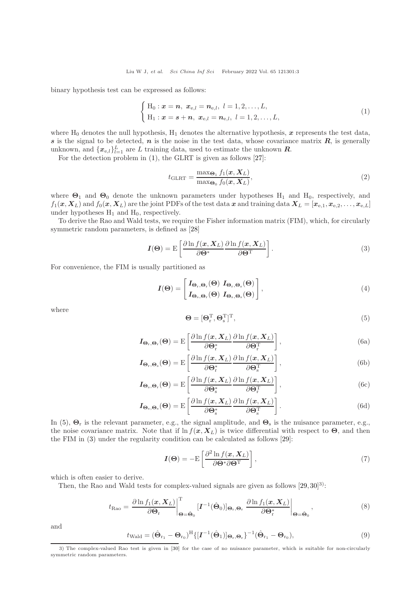binary hypothesis test can be expressed as follows:

<span id="page-2-0"></span>
$$
\begin{cases} H_0: \mathbf{x} = \mathbf{n}, \ \mathbf{x}_{e,l} = \mathbf{n}_{e,l}, \ l = 1, 2, \dots, L, \\ H_1: \mathbf{x} = \mathbf{s} + \mathbf{n}, \ \mathbf{x}_{e,l} = \mathbf{n}_{e,l}, \ l = 1, 2, \dots, L, \end{cases}
$$
\n(1)

where  $H_0$  denotes the null hypothesis,  $H_1$  denotes the alternative hypothesis, x represents the test data, s is the signal to be detected,  $n$  is the noise in the test data, whose covariance matrix  $R$ , is generally unknown, and  $\{x_{e,l}\}_{l=1}^L$  are L training data, used to estimate the unknown  $R$ .

For the detection problem in [\(1\)](#page-2-0), the GLRT is given as follows [\[27\]](#page-30-13):

<span id="page-2-3"></span>
$$
t_{\text{GLRT}} = \frac{\max_{\Theta_1} f_1(\boldsymbol{x}, \boldsymbol{X}_L)}{\max_{\Theta_0} f_0(\boldsymbol{x}, \boldsymbol{X}_L)},
$$
\n(2)

where  $\Theta_1$  and  $\Theta_0$  denote the unknown parameters under hypotheses H<sub>1</sub> and H<sub>0</sub>, respectively, and  $f_1(x, X_L)$  and  $f_0(x, X_L)$  are the joint PDFs of the test data x and training data  $X_L = [x_{e,1}, x_{e,2}, \ldots, x_{e,L}]$ under hypotheses  $H_1$  and  $H_0$ , respectively.

To derive the Rao and Wald tests, we require the Fisher information matrix (FIM), which, for circularly symmetric random parameters, is defined as [\[28\]](#page-30-14)

<span id="page-2-2"></span>
$$
I(\Theta) = \mathcal{E}\left[\frac{\partial \ln f(x, X_L)}{\partial \Theta^*} \frac{\partial \ln f(x, X_L)}{\partial \Theta^T}\right].
$$
\n(3)

For convenience, the FIM is usually partitioned as

$$
I(\Theta) = \begin{bmatrix} I_{\Theta_{\mathrm{r}},\Theta_{\mathrm{r}}}(\Theta) & I_{\Theta_{\mathrm{r}},\Theta_{\mathrm{s}}}(\Theta) \\ I_{\Theta_{\mathrm{s}},\Theta_{\mathrm{r}}}(\Theta) & I_{\Theta_{\mathrm{s}},\Theta_{\mathrm{s}}}(\Theta) \end{bmatrix},
$$
(4)

where

<span id="page-2-1"></span>
$$
\mathbf{\Theta} = [\mathbf{\Theta}_{\mathrm{r}}^{\mathrm{T}}, \mathbf{\Theta}_{\mathrm{s}}^{\mathrm{T}}]^{\mathrm{T}},\tag{5}
$$

$$
I_{\Theta_{r},\Theta_{r}}(\Theta) = E\left[\frac{\partial \ln f(x, X_{L})}{\partial \Theta_{r}^{*}} \frac{\partial \ln f(x, X_{L})}{\partial \Theta_{r}^{T}}\right],
$$
\n(6a)

$$
I_{\Theta_{r},\Theta_{s}}(\Theta) = E\left[\frac{\partial \ln f(\boldsymbol{x}, \boldsymbol{X}_{L})}{\partial \Theta_{r}^{*}} \frac{\partial \ln f(\boldsymbol{x}, \boldsymbol{X}_{L})}{\partial \Theta_{s}^{T}}\right],
$$
\n(6b)

$$
I_{\Theta_{s},\Theta_{r}}(\Theta) = E\left[\frac{\partial \ln f(x, X_{L})}{\partial \Theta_{s}^{*}} \frac{\partial \ln f(x, X_{L})}{\partial \Theta_{r}^{T}}\right],
$$
(6c)

$$
I_{\Theta_{s},\Theta_{s}}(\Theta) = \mathcal{E}\left[\frac{\partial \ln f(\boldsymbol{x}, \boldsymbol{X}_{L})}{\partial \Theta_{s}^{*}} \frac{\partial \ln f(\boldsymbol{x}, \boldsymbol{X}_{L})}{\partial \Theta_{s}^{T}}\right].
$$
\n(6d)

In [\(5\)](#page-2-1),  $\mathbf{\Theta}_r$  is the relevant parameter, e.g., the signal amplitude, and  $\mathbf{\Theta}_s$  is the nuisance parameter, e.g., the noise covariance matrix. Note that if  $\ln f(x, X_L)$  is twice differential with respect to  $\Theta$ , and then the FIM in [\(3\)](#page-2-2) under the regularity condition can be calculated as follows [\[29\]](#page-30-15):

$$
I(\Theta) = -\mathrm{E}\left[\frac{\partial^2 \ln f(x, X_L)}{\partial \Theta^* \partial \Theta^{\mathrm{T}}}\right],\tag{7}
$$

which is often easier to derive.

Then, the Rao and Wald tests for complex-valued signals are given as follows  $[29, 30]^{3}$  $[29, 30]^{3}$  $[29, 30]^{3}$ :

<span id="page-2-4"></span>
$$
t_{\text{Rao}} = \frac{\partial \ln f_1(\boldsymbol{x}, \boldsymbol{X}_L)}{\partial \boldsymbol{\Theta}_r} \bigg|_{\boldsymbol{\Theta} = \hat{\boldsymbol{\Theta}}_0}^{\mathrm{T}} \left[ \boldsymbol{I}^{-1}(\hat{\boldsymbol{\Theta}}_0) \right]_{\boldsymbol{\Theta}_r, \boldsymbol{\Theta}_r} \left. \frac{\partial \ln f_1(\boldsymbol{x}, \boldsymbol{X}_L)}{\partial \boldsymbol{\Theta}_r^*} \right|_{\boldsymbol{\Theta} = \hat{\boldsymbol{\Theta}}_0}, \tag{8}
$$

and

<span id="page-2-5"></span>
$$
t_{\text{Wald}} = (\hat{\Theta}_{\mathbf{r}_1} - \Theta_{\mathbf{r}_0})^{\text{H}} \{ [\mathbf{I}^{-1}(\hat{\Theta}_1)]_{\Theta_{\mathbf{r}}, \Theta_{\mathbf{r}}} \}^{-1} (\hat{\Theta}_{\mathbf{r}_1} - \Theta_{\mathbf{r}_0}),
$$
\n(9)

<sup>3)</sup> The complex-valued Rao test is given in [\[30\]](#page-30-16) for the case of no nuisance parameter, which is suitable for non-circularly symmetric random parameters.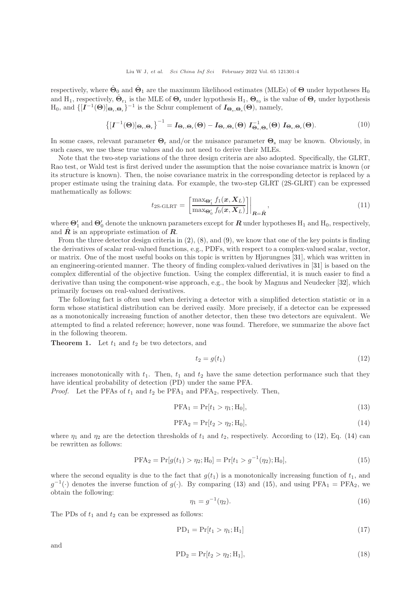respectively, where  $\hat{\Theta}_0$  and  $\hat{\Theta}_1$  are the maximum likelihood estimates (MLEs) of  $\Theta$  under hypotheses  $H_0$ and H<sub>1</sub>, respectively,  $\hat{\Theta}_{r_1}$  is the MLE of  $\Theta_r$  under hypothesis H<sub>1</sub>,  $\Theta_{r_0}$  is the value of  $\Theta_r$  under hypothesis  $H_0$ , and  $\{[\mathbf{I}^{-1}(\Theta)]_{\Theta_r,\Theta_r}\}^{-1}$  is the Schur complement of  $\mathbf{I}_{\Theta_s,\Theta_s}(\Theta)$ , namely,

$$
\left\{ [I^{-1}(\Theta)]_{\Theta_{\rm r},\Theta_{\rm r}} \right\}^{-1} = I_{\Theta_{\rm r},\Theta_{\rm r}}(\Theta) - I_{\Theta_{\rm r},\Theta_{\rm s}}(\Theta) I_{\Theta_{\rm s},\Theta_{\rm s}}^{-1}(\Theta) I_{\Theta_{\rm s},\Theta_{\rm r}}(\Theta). \tag{10}
$$

In some cases, relevant parameter  $\Theta_r$  and/or the nuisance parameter  $\Theta_s$  may be known. Obviously, in such cases, we use these true values and do not need to derive their MLEs.

Note that the two-step variations of the three design criteria are also adopted. Specifically, the GLRT, Rao test, or Wald test is first derived under the assumption that the noise covariance matrix is known (or its structure is known). Then, the noise covariance matrix in the corresponding detector is replaced by a proper estimate using the training data. For example, the two-step GLRT (2S-GLRT) can be expressed mathematically as follows:

$$
t_{2\text{S-GLRT}} = \left[\frac{\max_{\Theta_1'} f_1(\boldsymbol{x}, \boldsymbol{X}_L)}{\max_{\Theta_0'} f_0(\boldsymbol{x}, \boldsymbol{X}_L)}\right]\bigg|_{\boldsymbol{R} = \hat{\boldsymbol{R}}},\tag{11}
$$

where  $\Theta'_1$  and  $\Theta'_0$  denote the unknown parameters except for  $R$  under hypotheses  $\text{H}_1$  and  $\text{H}_0$ , respectively, and  $\hat{\mathbf{R}}$  is an appropriate estimation of  $\hat{\mathbf{R}}$ .

From the three detector design criteria in  $(2)$ ,  $(8)$ , and  $(9)$ , we know that one of the key points is finding the derivatives of scalar real-valued functions, e.g., PDFs, with respect to a complex-valued scalar, vector, or matrix. One of the most useful books on this topic is written by Hjørungnes [\[31\]](#page-30-17), which was written in an engineering-oriented manner. The theory of finding complex-valued derivatives in [\[31\]](#page-30-17) is based on the complex differential of the objective function. Using the complex differential, it is much easier to find a derivative than using the component-wise approach, e.g., the book by Magnus and Neudecker [\[32\]](#page-30-18), which primarily focuses on real-valued derivatives.

The following fact is often used when deriving a detector with a simplified detection statistic or in a form whose statistical distribution can be derived easily. More precisely, if a detector can be expressed as a monotonically increasing function of another detector, then these two detectors are equivalent. We attempted to find a related reference; however, none was found. Therefore, we summarize the above fact in the following theorem.

**Theorem 1.** Let  $t_1$  and  $t_2$  be two detectors, and

<span id="page-3-0"></span>
$$
t_2 = g(t_1) \tag{12}
$$

increases monotonically with  $t_1$ . Then,  $t_1$  and  $t_2$  have the same detection performance such that they have identical probability of detection (PD) under the same PFA.

*Proof.* Let the PFAs of  $t_1$  and  $t_2$  be PFA<sub>1</sub> and PFA<sub>2</sub>, respectively. Then,

<span id="page-3-2"></span>
$$
PFA_1 = Pr[t_1 > \eta_1; H_0],
$$
\n(13)

<span id="page-3-1"></span>
$$
PFA_2 = Pr[t_2 > \eta_2; H_0],\tag{14}
$$

where  $\eta_1$  and  $\eta_2$  are the detection thresholds of  $t_1$  and  $t_2$ , respectively. According to [\(12\)](#page-3-0), Eq. [\(14\)](#page-3-1) can be rewritten as follows:

<span id="page-3-3"></span>
$$
PFA_2 = Pr[g(t_1) > \eta_2; H_0] = Pr[t_1 > g^{-1}(\eta_2); H_0],
$$
\n(15)

where the second equality is due to the fact that  $g(t_1)$  is a monotonically increasing function of  $t_1$ , and  $g^{-1}(\cdot)$  denotes the inverse function of  $g(\cdot)$ . By comparing [\(13\)](#page-3-2) and [\(15\)](#page-3-3), and using PFA<sub>1</sub> = PFA<sub>2</sub>, we obtain the following:

<span id="page-3-5"></span>
$$
\eta_1 = g^{-1}(\eta_2). \tag{16}
$$

The PDs of  $t_1$  and  $t_2$  can be expressed as follows:

$$
PD_1 = Pr[t_1 > \eta_1; H_1] \tag{17}
$$

and

<span id="page-3-4"></span>
$$
PD_2 = Pr[t_2 > \eta_2; H_1],
$$
\n(18)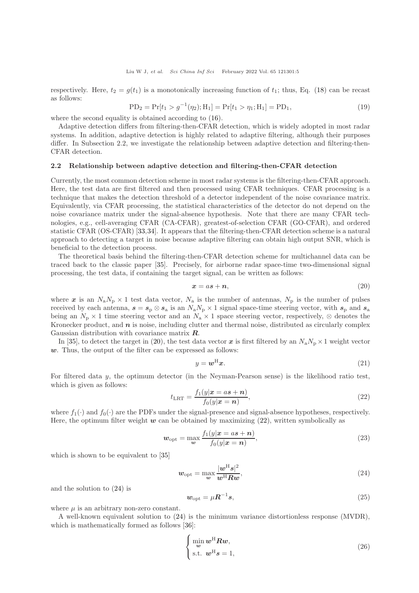respectively. Here,  $t_2 = g(t_1)$  is a monotonically increasing function of  $t_1$ ; thus, Eq. [\(18\)](#page-3-4) can be recast as follows:

$$
PD_2 = Pr[t_1 > g^{-1}(\eta_2); H_1] = Pr[t_1 > \eta_1; H_1] = PD_1,
$$
\n(19)

where the second equality is obtained according to [\(16\)](#page-3-5).

Adaptive detection differs from filtering-then-CFAR detection, which is widely adopted in most radar systems. In addition, adaptive detection is highly related to adaptive filtering, although their purposes differ. In Subsection 2.2, we investigate the relationship between adaptive detection and filtering-then-CFAR detection.

## 2.2 Relationship between adaptive detection and filtering-then-CFAR detection

Currently, the most common detection scheme in most radar systems is the filtering-then-CFAR approach. Here, the test data are first filtered and then processed using CFAR techniques. CFAR processing is a technique that makes the detection threshold of a detector independent of the noise covariance matrix. Equivalently, via CFAR processing, the statistical characteristics of the detector do not depend on the noise covariance matrix under the signal-absence hypothesis. Note that there are many CFAR technologies, e.g., cell-averaging CFAR (CA-CFAR), greatest-of-selection CFAR (GO-CFAR), and ordered statistic CFAR (OS-CFAR) [\[33,](#page-30-19)[34\]](#page-30-20). It appears that the filtering-then-CFAR detection scheme is a natural approach to detecting a target in noise because adaptive filtering can obtain high output SNR, which is beneficial to the detection process.

The theoretical basis behind the filtering-then-CFAR detection scheme for multichannel data can be traced back to the classic paper [\[35\]](#page-30-21). Precisely, for airborne radar space-time two-dimensional signal processing, the test data, if containing the target signal, can be written as follows:

<span id="page-4-0"></span>
$$
x = as + n,\tag{20}
$$

where x is an  $N_a N_p \times 1$  test data vector,  $N_a$  is the number of antennas,  $N_p$  is the number of pulses received by each antenna,  $s = s_p \otimes s_a$  is an  $N_a N_p \times 1$  signal space-time steering vector, with  $s_p$  and  $s_a$ being an  $N_p \times 1$  time steering vector and an  $N_a \times 1$  space steering vector, respectively, ⊗ denotes the Kronecker product, and  $n$  is noise, including clutter and thermal noise, distributed as circularly complex Gaussian distribution with covariance matrix R.

In [\[35\]](#page-30-21), to detect the target in [\(20\)](#page-4-0), the test data vector x is first filtered by an  $N_a N_p \times 1$  weight vector  $w$ . Thus, the output of the filter can be expressed as follows:

<span id="page-4-3"></span>
$$
y = \mathbf{w}^{\mathrm{H}} \mathbf{x}.\tag{21}
$$

For filtered data y, the optimum detector (in the Neyman-Pearson sense) is the likelihood ratio test, which is given as follows:

<span id="page-4-1"></span>
$$
t_{\text{LRT}} = \frac{f_1(y|\mathbf{x} = a\mathbf{s} + \mathbf{n})}{f_0(y|\mathbf{x} = \mathbf{n})},\tag{22}
$$

where  $f_1(\cdot)$  and  $f_0(\cdot)$  are the PDFs under the signal-presence and signal-absence hypotheses, respectively. Here, the optimum filter weight  $w$  can be obtained by maximizing [\(22\)](#page-4-1), written symbolically as

$$
\mathbf{w}_{\rm opt} = \max_{\mathbf{w}} \frac{f_1(y|\mathbf{x} = a\mathbf{s} + \mathbf{n})}{f_0(y|\mathbf{x} = \mathbf{n})},\tag{23}
$$

which is shown to be equivalent to [\[35\]](#page-30-21)

<span id="page-4-2"></span>
$$
w_{\rm opt} = \max_{\boldsymbol{w}} \frac{|\boldsymbol{w}^{\rm H}\boldsymbol{s}|^2}{\boldsymbol{w}^{\rm H}\boldsymbol{R}\boldsymbol{w}},\tag{24}
$$

and the solution to [\(24\)](#page-4-2) is

<span id="page-4-4"></span>
$$
w_{\rm opt} = \mu \mathbf{R}^{-1} \mathbf{s},\tag{25}
$$

where  $\mu$  is an arbitrary non-zero constant.

A well-known equivalent solution to [\(24\)](#page-4-2) is the minimum variance distortionless response (MVDR), which is mathematically formed as follows [\[36\]](#page-30-22):

$$
\begin{cases}\n\min_{\mathbf{w}} \mathbf{w}^{\mathrm{H}} \mathbf{R} \mathbf{w}, \\
\text{s.t. } \mathbf{w}^{\mathrm{H}} \mathbf{s} = 1,\n\end{cases} (26)
$$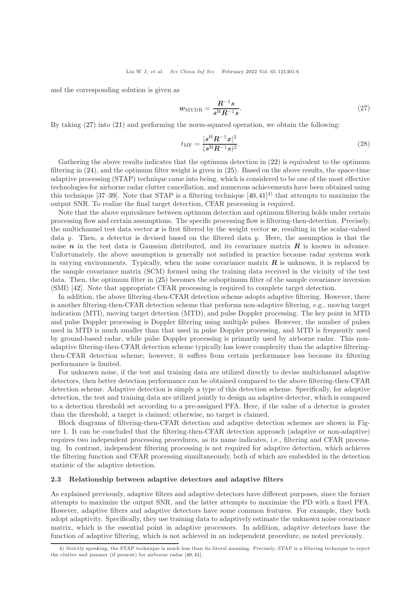and the corresponding solution is given as

<span id="page-5-0"></span>
$$
w_{\text{MVDR}} = \frac{R^{-1}s}{s^{\text{H}}R^{-1}s}.\tag{27}
$$

By taking [\(27\)](#page-5-0) into [\(21\)](#page-4-3) and performing the norm-squared operation, we obtain the following:

<span id="page-5-1"></span>
$$
t_{\rm MF} = \frac{|s^{\rm H} R^{-1} x|^2}{(s^{\rm H} R^{-1} s)^2}.
$$
\n(28)

Gathering the above results indicates that the optimum detection in  $(22)$  is equivalent to the optimum filtering in [\(24\)](#page-4-2), and the optimum filter weight is given in [\(25\)](#page-4-4). Based on the above results, the space-time adaptive processing (STAP) technique came into being, which is considered to be one of the most effective technologies for airborne radar clutter cancellation, and numerous achievements have been obtained using this technique [\[37](#page-30-23)[–39\]](#page-30-24). Note that STAP is a filtering technique  $[40, 41]$  $[40, 41]$ <sup>4)</sup> that attempts to maximize the output SNR. To realize the final target detection, CFAR processing is required.

Note that the above equivalence between optimum detection and optimum filtering holds under certain processing flow and certain assumptions. The specific processing flow is filtering-then-detection. Precisely, the multichannel test data vector  $x$  is first filtered by the weight vector  $w$ , resulting in the scalar-valued data y. Then, a detector is devised based on the filtered data y. Here, the assumption is that the noise  $n$  in the test data is Gaussian distributed, and its covariance matrix  $R$  is known in advance. Unfortunately, the above assumption is generally not satisfied in practice because radar systems work in varying environments. Typically, when the noise covariance matrix  $\bf{R}$  is unknown, it is replaced by the sample covariance matrix (SCM) formed using the training data received in the vicinity of the test data. Then, the optimum filter in [\(25\)](#page-4-4) becomes the suboptimum filter of the sample covariance inversion (SMI) [\[42\]](#page-30-27). Note that appropriate CFAR processing is required to complete target detection.

In addition, the above filtering-then-CFAR detection scheme adopts adaptive filtering. However, there is another filtering-then-CFAR detection scheme that performs non-adaptive filtering, e.g., moving target indication (MTI), moving target detection (MTD), and pulse Doppler processing. The key point in MTD and pulse Doppler processing is Doppler filtering using multiple pulses. However, the number of pulses used in MTD is much smaller than that used in pulse Doppler processing, and MTD is frequently used by ground-based radar, while pulse Doppler processing is primarily used by airborne radar. This nonadaptive filtering-then-CFAR detection scheme typically has lower complexity than the adaptive filteringthen-CFAR detection scheme; however, it suffers from certain performance loss because its filtering performance is limited.

For unknown noise, if the test and training data are utilized directly to devise multichannel adaptive detectors, then better detection performance can be obtained compared to the above filtering-then-CFAR detection scheme. Adaptive detection is simply a type of this detection scheme. Specifically, for adaptive detection, the test and training data are utilized jointly to design an adaptive detector, which is compared to a detection threshold set according to a pre-assigned PFA. Here, if the value of a detector is greater than the threshold, a target is claimed; otherwise, no target is claimed.

Block diagrams of filtering-then-CFAR detection and adaptive detection schemes are shown in Figure [1.](#page-6-0) It can be concluded that the filtering-then-CFAR detection approach (adaptive or non-adaptive) requires two independent processing procedures, as its name indicates, i.e., filtering and CFAR processing. In contrast, independent filtering processing is not required for adaptive detection, which achieves the filtering function and CFAR processing simultaneously, both of which are embedded in the detection statistic of the adaptive detection.

#### 2.3 Relationship between adaptive detectors and adaptive filters

As explained previously, adaptive filters and adaptive detectors have different purposes, since the former attempts to maximize the output SNR, and the latter attempts to maximize the PD with a fixed PFA. However, adaptive filters and adaptive detectors have some common features. For example, they both adopt adaptivity. Specifically, they use training data to adaptively estimate the unknown noise covariance matrix, which is the essential point in adaptive processors. In addition, adaptive detectors have the function of adaptive filtering, which is not achieved in an independent procedure, as noted previously.

<sup>4)</sup> Strictly speaking, the STAP technique is much less than its literal meaning. Precisely, STAP is a filtering technique to reject the clutter and jammer (if present) for airborne radar [\[40,](#page-30-25) [41\]](#page-30-26).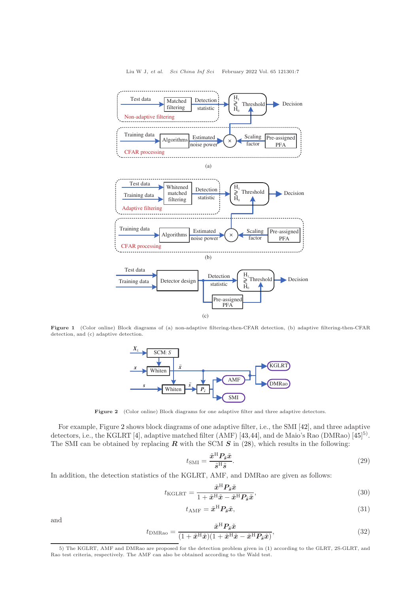<span id="page-6-0"></span>

<span id="page-6-1"></span>Figure 1 (Color online) Block diagrams of (a) non-adaptive filtering-then-CFAR detection, (b) adaptive filtering-then-CFAR detection, and (c) adaptive detection.



Figure 2 (Color online) Block diagrams for one adaptive filter and three adaptive detectors.

For example, Figure [2](#page-6-1) shows block diagrams of one adaptive filter, i.e., the SMI [\[42\]](#page-30-27), and three adaptive detectors, i.e., the KGLRT [\[4\]](#page-30-2), adaptive matched filter (AMF) [\[43,](#page-30-28)[44\]](#page-30-29), and de Maio's Rao (DMRao) [\[45\]](#page-30-30)<sup>5)</sup>. The SMI can be obtained by replacing  $R$  with the SCM  $S$  in [\(28\)](#page-5-1), which results in the following:

<span id="page-6-2"></span>
$$
t_{\rm SMI} = \frac{\tilde{x}^{\rm H} P_{\tilde{s}} \tilde{x}}{\tilde{s}^{\rm H} \tilde{s}}.
$$
\n(29)

In addition, the detection statistics of the KGLRT, AMF, and DMRao are given as follows:

$$
t_{\text{KGLRT}} = \frac{\tilde{x}^{\text{H}} P_{\tilde{s}} \tilde{x}}{1 + \tilde{x}^{\text{H}} \tilde{x} - \tilde{x}^{\text{H}} P_{\tilde{s}} \tilde{x}},\tag{30}
$$

$$
t_{\rm AMF} = \tilde{x}^{\rm H} P_{\tilde{s}} \tilde{x},\tag{31}
$$

and

<span id="page-6-3"></span>
$$
t_{\text{DMRao}} = \frac{\tilde{x}^{\text{H}} P_{\tilde{s}} \tilde{x}}{(1 + \tilde{x}^{\text{H}} \tilde{x})(1 + \tilde{x}^{\text{H}} \tilde{x} - \tilde{x}^{\text{H}} P_{\tilde{s}} \tilde{x})},\tag{32}
$$

<sup>5)</sup> The KGLRT, AMF and DMRao are proposed for the detection problem given in [\(1\)](#page-2-0) according to the GLRT, 2S-GLRT, and Rao test criteria, respectively. The AMF can also be obtained according to the Wald test.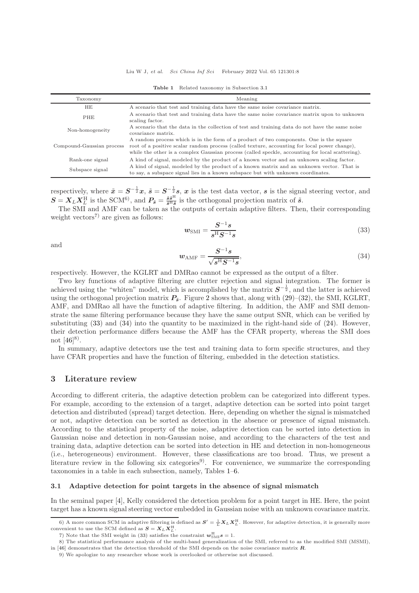<span id="page-7-3"></span>

| Taxonomy                                                                                                                      | Meaning                                                                                                                                                                                                                                                                                      |
|-------------------------------------------------------------------------------------------------------------------------------|----------------------------------------------------------------------------------------------------------------------------------------------------------------------------------------------------------------------------------------------------------------------------------------------|
| HЕ                                                                                                                            | A scenario that test and training data have the same noise covariance matrix.                                                                                                                                                                                                                |
| A scenario that test and training data have the same noise covariance matrix upon to unknown<br><b>PHE</b><br>scaling factor. |                                                                                                                                                                                                                                                                                              |
| Non-homogeneity                                                                                                               | A scenario that the data in the collection of test and training data do not have the same noise<br>covariance matrix.                                                                                                                                                                        |
| Compound-Gaussian process                                                                                                     | A random process which is in the form of a product of two components. One is the square<br>root of a positive scalar random process (called texture, accounting for local power change),<br>while the other is a complex Gaussian process (called speckle, accounting for local scattering). |
| Rank-one signal                                                                                                               | A kind of signal, modeled by the product of a known vector and an unknown scaling factor.                                                                                                                                                                                                    |
| Subspace signal                                                                                                               | A kind of signal, modeled by the product of a known matrix and an unknown vector. That is<br>to say, a subspace signal lies in a known subspace but with unknown coordinates.                                                                                                                |

Table 1 Related taxonomy in Subsection [3.1](#page-7-0)

respectively, where  $\tilde{x} = S^{-\frac{1}{2}}x$ ,  $\tilde{s} = S^{-\frac{1}{2}}s$ , x is the test data vector, s is the signal steering vector, and  $S = X_L X_L^{\text{H}}$  is the SCM<sup>6</sup>, and  $P_{\tilde{s}} = \frac{\tilde{s}\tilde{s}^{\text{H}}}{\tilde{s}^{\text{H}}\tilde{s}}$  is the orthogonal projection matrix of  $\tilde{s}$ .

The SMI and AMF can be taken as the outputs of certain adaptive filters. Then, their corresponding weight vectors<sup>7)</sup> are given as follows:

<span id="page-7-1"></span>
$$
w_{\rm SMI} = \frac{S^{-1}s}{s^{\rm H}S^{-1}s} \tag{33}
$$

and

<span id="page-7-2"></span>
$$
w_{\rm AMF} = \frac{S^{-1}s}{\sqrt{s^{\rm H}S^{-1}s}},\tag{34}
$$

respectively. However, the KGLRT and DMRao cannot be expressed as the output of a filter.

Two key functions of adaptive filtering are clutter rejection and signal integration. The former is achieved using the "whiten" model, which is accomplished by the matrix  $S^{-\frac{1}{2}}$ , and the latter is achieved using the orthogonal projection matrix  $P_{\tilde{s}}$ . Figure [2](#page-6-1) shows that, along with [\(29\)](#page-6-2)–[\(32\)](#page-6-3), the SMI, KGLRT, AMF, and DMRao all have the function of adaptive filtering. In addition, the AMF and SMI demonstrate the same filtering performance because they have the same output SNR, which can be verified by substituting  $(33)$  and  $(34)$  into the quantity to be maximized in the right-hand side of  $(24)$ . However, their detection performance differs because the AMF has the CFAR property, whereas the SMI does not  $[46]^{8}$ .

In summary, adaptive detectors use the test and training data to form specific structures, and they have CFAR properties and have the function of filtering, embedded in the detection statistics.

#### 3 Literature review

According to different criteria, the adaptive detection problem can be categorized into different types. For example, according to the extension of a target, adaptive detection can be sorted into point target detection and distributed (spread) target detection. Here, depending on whether the signal is mismatched or not, adaptive detection can be sorted as detection in the absence or presence of signal mismatch. According to the statistical property of the noise, adaptive detection can be sorted into detection in Gaussian noise and detection in non-Gaussian noise, and according to the characters of the test and training data, adaptive detection can be sorted into detection in HE and detection in non-homogeneous (i.e., heterogeneous) environment. However, these classifications are too broad. Thus, we present a literature review in the following six categories<sup>9)</sup>. For convenience, we summarize the corresponding taxonomies in a table in each subsection, namely, Tables [1](#page-7-3)[–6.](#page-16-0)

#### <span id="page-7-0"></span>3.1 Adaptive detection for point targets in the absence of signal mismatch

In the seminal paper [\[4\]](#page-30-2), Kelly considered the detection problem for a point target in HE. Here, the point target has a known signal steering vector embedded in Gaussian noise with an unknown covariance matrix.

<sup>6)</sup> A more common SCM in adaptive filtering is defined as  $S' = \frac{1}{L} X_L X_L^{\text{H}}$ . However, for adaptive detection, it is generally more convenient to use the SCM defined as  $S = X_L X_L^{\text{H}}$ .

<sup>7)</sup> Note that the SMI weight in [\(33\)](#page-7-1) satisfies the constraint  $\mathbf{w}_{\text{SMI}}^{\text{H}}\mathbf{s}=1$ .

<sup>8)</sup> The statistical performance analysis of the multi-band generalization of the SMI, referred to as the modified SMI (MSMI), in [\[46\]](#page-30-31) demonstrates that the detection threshold of the SMI depends on the noise covariance matrix  $\bm{R}$ .

<sup>9)</sup> We apologize to any researcher whose work is overlooked or otherwise not discussed.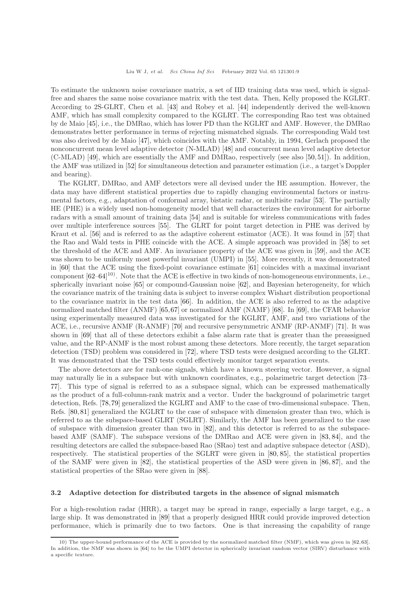To estimate the unknown noise covariance matrix, a set of IID training data was used, which is signalfree and shares the same noise covariance matrix with the test data. Then, Kelly proposed the KGLRT. According to 2S-GLRT, Chen et al. [\[43\]](#page-30-28) and Robey et al. [\[44\]](#page-30-29) independently derived the well-known AMF, which has small complexity compared to the KGLRT. The corresponding Rao test was obtained by de Maio [\[45\]](#page-30-30), i.e., the DMRao, which has lower PD than the KGLRT and AMF. However, the DMRao demonstrates better performance in terms of rejecting mismatched signals. The corresponding Wald test was also derived by de Maio [\[47\]](#page-31-0), which coincides with the AMF. Notably, in 1994, Gerlach proposed the nonconcurrent mean level adaptive detector (N-MLAD) [\[48\]](#page-31-1) and concurrent mean level adaptive detector (C-MLAD) [\[49\]](#page-31-2), which are essentially the AMF and DMRao, respectively (see also [\[50,](#page-31-3)[51\]](#page-31-4)). In addition, the AMF was utilized in [\[52\]](#page-31-5) for simultaneous detection and parameter estimation (i.e., a target's Doppler and bearing).

The KGLRT, DMRao, and AMF detectors were all devised under the HE assumption. However, the data may have different statistical properties due to rapidly changing environmental factors or instrumental factors, e.g., adaptation of conformal array, bistatic radar, or multisite radar [\[53\]](#page-31-6). The partially HE (PHE) is a widely used non-homogeneity model that well characterizes the environment for airborne radars with a small amount of training data [\[54\]](#page-31-7) and is suitable for wireless communications with fades over multiple interference sources [\[55\]](#page-31-8). The GLRT for point target detection in PHE was derived by Kraut et al. [\[56\]](#page-31-9) and is referred to as the adaptive coherent estimator (ACE). It was found in [\[57\]](#page-31-10) that the Rao and Wald tests in PHE coincide with the ACE. A simple approach was provided in [\[58\]](#page-31-11) to set the threshold of the ACE and AMF. An invariance property of the ACE was given in [\[59\]](#page-31-12), and the ACE was shown to be uniformly most powerful invariant (UMPI) in [\[55\]](#page-31-8). More recently, it was demonstrated in [\[60\]](#page-31-13) that the ACE using the fixed-point covariance estimate [\[61\]](#page-31-14) coincides with a maximal invariant component  $[62-64]^{10}$  $[62-64]^{10}$  $[62-64]^{10}$ . Note that the ACE is effective in two kinds of non-homogeneous environments, i.e., spherically invariant noise [\[65\]](#page-31-17) or compound-Gaussian noise [\[62\]](#page-31-15), and Bayesian heterogeneity, for which the covariance matrix of the training data is subject to inverse complex Wishart distribution proportional to the covariance matrix in the test data [\[66\]](#page-31-18). In addition, the ACE is also referred to as the adaptive normalized matched filter (ANMF) [\[65,](#page-31-17)[67\]](#page-31-19) or normalized AMF (NAMF) [\[68\]](#page-31-20). In [\[69\]](#page-31-21), the CFAR behavior using experimentally measured data was investigated for the KGLRT, AMF, and two variations of the ACE, i.e., recursive ANMF (R-ANMF) [\[70\]](#page-31-22) and recursive persymmetric ANMF (RP-ANMF) [\[71\]](#page-31-23). It was shown in [\[69\]](#page-31-21) that all of these detectors exhibit a false alarm rate that is greater than the preassigned value, and the RP-ANMF is the most robust among these detectors. More recently, the target separation detection (TSD) problem was considered in [\[72\]](#page-31-24), where TSD tests were designed according to the GLRT. It was demonstrated that the TSD tests could effectively monitor target separation events.

The above detectors are for rank-one signals, which have a known steering vector. However, a signal may naturally lie in a subspace but with unknown coordinates, e.g., polarimetric target detection [\[73–](#page-31-25) [77\]](#page-31-26). This type of signal is referred to as a subspace signal, which can be expressed mathematically as the product of a full-column-rank matrix and a vector. Under the background of polarimetric target detection, Refs. [\[78,](#page-31-27)[79\]](#page-31-28) generalized the KGLRT and AMF to the case of two-dimensional subspace. Then, Refs. [\[80,](#page-31-29) [81\]](#page-31-30) generalized the KGLRT to the case of subspace with dimension greater than two, which is referred to as the subspace-based GLRT (SGLRT). Similarly, the AMF has been generalized to the case of subspace with dimension greater than two in [\[82\]](#page-31-31), and this detector is referred to as the subspacebased AMF (SAMF). The subspace versions of the DMRao and ACE were given in [\[83,](#page-31-32) [84\]](#page-31-33), and the resulting detectors are called the subspace-based Rao (SRao) test and adaptive subspace detector (ASD), respectively. The statistical properties of the SGLRT were given in [\[80,](#page-31-29) [85\]](#page-31-34), the statistical properties of the SAMF were given in [\[82\]](#page-31-31), the statistical properties of the ASD were given in [\[86,](#page-31-35) [87\]](#page-31-36), and the statistical properties of the SRao were given in [\[88\]](#page-32-0).

#### <span id="page-8-0"></span>3.2 Adaptive detection for distributed targets in the absence of signal mismatch

For a high-resolution radar (HRR), a target may be spread in range, especially a large target, e.g., a large ship. It was demonstrated in [\[89\]](#page-32-1) that a properly designed HRR could provide improved detection performance, which is primarily due to two factors. One is that increasing the capability of range

<sup>10)</sup> The upper-bound performance of the ACE is provided by the normalized matched filter (NMF), which was given in [\[62,](#page-31-15)[63\]](#page-31-37). In addition, the NMF was shown in [\[64\]](#page-31-16) to be the UMPI detector in spherically invariant random vector (SIRV) disturbance with a specific texture.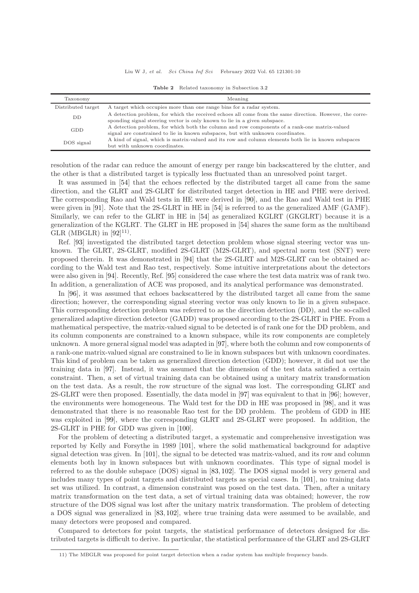Liu W J, et al. Sci China Inf Sci February 2022 Vol. 65 121301:10

| Taxonomy           | Meaning                                                                                                                                                                               |
|--------------------|---------------------------------------------------------------------------------------------------------------------------------------------------------------------------------------|
| Distributed target | A target which occupies more than one range bins for a radar system.                                                                                                                  |
| DD                 | A detection problem, for which the received echoes all come from the same direction. However, the corre-<br>sponding signal steering vector is only known to lie in a given subspace. |
| <b>GDD</b>         | A detection problem, for which both the column and row components of a rank-one matrix-valued<br>signal are constrained to lie in known subspaces, but with unknown coordinates.      |
| DOS signal         | A kind of signal, which is matrix-valued and its row and column elements both lie in known subspaces<br>but with unknown coordinates.                                                 |

Table 2 Related taxonomy in Subsection [3.2](#page-8-0)

resolution of the radar can reduce the amount of energy per range bin backscattered by the clutter, and the other is that a distributed target is typically less fluctuated than an unresolved point target.

It was assumed in [\[54\]](#page-31-7) that the echoes reflected by the distributed target all came from the same direction, and the GLRT and 2S-GLRT for distributed target detection in HE and PHE were derived. The corresponding Rao and Wald tests in HE were derived in [\[90\]](#page-32-2), and the Rao and Wald test in PHE were given in [\[91\]](#page-32-3). Note that the 2S-GLRT in HE in [\[54\]](#page-31-7) is referred to as the generalized AMF (GAMF). Similarly, we can refer to the GLRT in HE in [\[54\]](#page-31-7) as generalized KGLRT (GKGLRT) because it is a generalization of the KGLRT. The GLRT in HE proposed in [\[54\]](#page-31-7) shares the same form as the multiband GLR (MBGLR) in  $[92]^{11}$ .

Ref. [\[93\]](#page-32-5) investigated the distributed target detection problem whose signal steering vector was unknown. The GLRT, 2S-GLRT, modified 2S-GLRT (M2S-GLRT), and spectral norm test (SNT) were proposed therein. It was demonstrated in [\[94\]](#page-32-6) that the 2S-GLRT and M2S-GLRT can be obtained according to the Wald test and Rao test, respectively. Some intuitive interpretations about the detectors were also given in [\[94\]](#page-32-6). Recently, Ref. [\[95\]](#page-32-7) considered the case where the test data matrix was of rank two. In addition, a generalization of ACE was proposed, and its analytical performance was demonstrated.

In [\[96\]](#page-32-8), it was assumed that echoes backscattered by the distributed target all came from the same direction; however, the corresponding signal steering vector was only known to lie in a given subspace. This corresponding detection problem was referred to as the direction detection (DD), and the so-called generalized adaptive direction detector (GADD) was proposed according to the 2S-GLRT in PHE. From a mathematical perspective, the matrix-valued signal to be detected is of rank one for the DD problem, and its column components are constrained to a known subspace, while its row components are completely unknown. A more general signal model was adapted in [\[97\]](#page-32-9), where both the column and row components of a rank-one matrix-valued signal are constrained to lie in known subspaces but with unknown coordinates. This kind of problem can be taken as generalized direction detection (GDD); however, it did not use the training data in [\[97\]](#page-32-9). Instead, it was assumed that the dimension of the test data satisfied a certain constraint. Then, a set of virtual training data can be obtained using a unitary matrix transformation on the test data. As a result, the row structure of the signal was lost. The corresponding GLRT and 2S-GLRT were then proposed. Essentially, the data model in [\[97\]](#page-32-9) was equivalent to that in [\[96\]](#page-32-8); however, the environments were homogeneous. The Wald test for the DD in HE was proposed in [\[98\]](#page-32-10), and it was demonstrated that there is no reasonable Rao test for the DD problem. The problem of GDD in HE was exploited in [\[99\]](#page-32-11), where the corresponding GLRT and 2S-GLRT were proposed. In addition, the 2S-GLRT in PHE for GDD was given in [\[100\]](#page-32-12).

For the problem of detecting a distributed target, a systematic and comprehensive investigation was reported by Kelly and Forsythe in 1989 [\[101\]](#page-32-13), where the solid mathematical background for adaptive signal detection was given. In [\[101\]](#page-32-13), the signal to be detected was matrix-valued, and its row and column elements both lay in known subspaces but with unknown coordinates. This type of signal model is referred to as the double subspace (DOS) signal in [\[83,](#page-31-32) [102\]](#page-32-14). The DOS signal model is very general and includes many types of point targets and distributed targets as special cases. In [\[101\]](#page-32-13), no training data set was utilized. In contrast, a dimension constraint was posed on the test data. Then, after a unitary matrix transformation on the test data, a set of virtual training data was obtained; however, the row structure of the DOS signal was lost after the unitary matrix transformation. The problem of detecting a DOS signal was generalized in [\[83,](#page-31-32) [102\]](#page-32-14), where true training data were assumed to be available, and many detectors were proposed and compared.

Compared to detectors for point targets, the statistical performance of detectors designed for distributed targets is difficult to derive. In particular, the statistical performance of the GLRT and 2S-GLRT

<sup>11)</sup> The MBGLR was proposed for point target detection when a radar system has multiple frequency bands.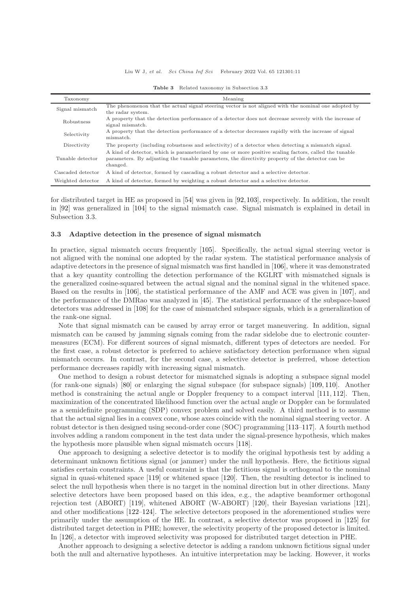| Taxonomy          | Meaning                                                                                                                                                                                                                |
|-------------------|------------------------------------------------------------------------------------------------------------------------------------------------------------------------------------------------------------------------|
| Signal mismatch   | The phenomenon that the actual signal steering vector is not aligned with the nominal one adopted by                                                                                                                   |
|                   | the radar system.                                                                                                                                                                                                      |
| Robustness        | A property that the detection performance of a detector does not decrease severely with the increase of<br>signal mismatch.                                                                                            |
| Selectivity       | A property that the detection performance of a detector decreases rapidly with the increase of signal<br>mismatch.                                                                                                     |
| Directivity       | The property (including robustness and selectivity) of a detector when detecting a mismatch signal.                                                                                                                    |
| Tunable detector  | A kind of detector, which is parameterized by one or more positive scaling factors, called the tunable<br>parameters. By adjusting the tunable parameters, the directivity property of the detector can be<br>changed. |
| Cascaded detector | A kind of detector, formed by cascading a robust detector and a selective detector.                                                                                                                                    |
| Weighted detector | A kind of detector, formed by weighting a robust detector and a selective detector.                                                                                                                                    |

Table 3 Related taxonomy in Subsection [3.3](#page-10-0)

for distributed target in HE as proposed in [\[54\]](#page-31-7) was given in [\[92,](#page-32-4)[103\]](#page-32-15), respectively. In addition, the result in [\[92\]](#page-32-4) was generalized in [\[104\]](#page-32-16) to the signal mismatch case. Signal mismatch is explained in detail in Subsection 3.3.

#### <span id="page-10-0"></span>3.3 Adaptive detection in the presence of signal mismatch

In practice, signal mismatch occurs frequently [\[105\]](#page-32-17). Specifically, the actual signal steering vector is not aligned with the nominal one adopted by the radar system. The statistical performance analysis of adaptive detectors in the presence of signal mismatch was first handled in [\[106\]](#page-32-18), where it was demonstrated that a key quantity controlling the detection performance of the KGLRT with mismatched signals is the generalized cosine-squared between the actual signal and the nominal signal in the whitened space. Based on the results in [\[106\]](#page-32-18), the statistical performance of the AMF and ACE was given in [\[107\]](#page-32-19), and the performance of the DMRao was analyzed in [\[45\]](#page-30-30). The statistical performance of the subspace-based detectors was addressed in [\[108\]](#page-32-20) for the case of mismatched subspace signals, which is a generalization of the rank-one signal.

Note that signal mismatch can be caused by array error or target maneuvering. In addition, signal mismatch can be caused by jamming signals coming from the radar sidelobe due to electronic countermeasures (ECM). For different sources of signal mismatch, different types of detectors are needed. For the first case, a robust detector is preferred to achieve satisfactory detection performance when signal mismatch occurs. In contrast, for the second case, a selective detector is preferred, whose detection performance decreases rapidly with increasing signal mismatch.

One method to design a robust detector for mismatched signals is adopting a subspace signal model (for rank-one signals) [\[80\]](#page-31-29) or enlarging the signal subspace (for subspace signals) [\[109,](#page-32-21) [110\]](#page-32-22). Another method is constraining the actual angle or Doppler frequency to a compact interval [\[111,](#page-32-23) [112\]](#page-32-24). Then, maximization of the concentrated likelihood function over the actual angle or Doppler can be formulated as a semidefinite programming (SDP) convex problem and solved easily. A third method is to assume that the actual signal lies in a convex cone, whose axes coincide with the nominal signal steering vector. A robust detector is then designed using second-order cone (SOC) programming [\[113–](#page-32-25)[117\]](#page-32-26). A fourth method involves adding a random component in the test data under the signal-presence hypothesis, which makes the hypothesis more plausible when signal mismatch occurs [\[118\]](#page-32-27).

One approach to designing a selective detector is to modify the original hypothesis test by adding a determinant unknown fictitious signal (or jammer) under the null hypothesis. Here, the fictitious signal satisfies certain constraints. A useful constraint is that the fictitious signal is orthogonal to the nominal signal in quasi-whitened space [\[119\]](#page-32-28) or whitened space [\[120\]](#page-32-29). Then, the resulting detector is inclined to select the null hypothesis when there is no target in the nominal direction but in other directions. Many selective detectors have been proposed based on this idea, e.g., the adaptive beamformer orthogonal rejection test (ABORT) [\[119\]](#page-32-28), whitened ABORT (W-ABORT) [\[120\]](#page-32-29), their Bayesian variations [\[121\]](#page-32-30), and other modifications [\[122](#page-32-31)[–124\]](#page-32-32). The selective detectors proposed in the aforementioned studies were primarily under the assumption of the HE. In contrast, a selective detector was proposed in [\[125\]](#page-32-33) for distributed target detection in PHE; however, the selectivity property of the proposed detector is limited. In [\[126\]](#page-33-0), a detector with improved selectivity was proposed for distributed target detection in PHE.

Another approach to designing a selective detector is adding a random unknown fictitious signal under both the null and alternative hypotheses. An intuitive interpretation may be lacking. However, it works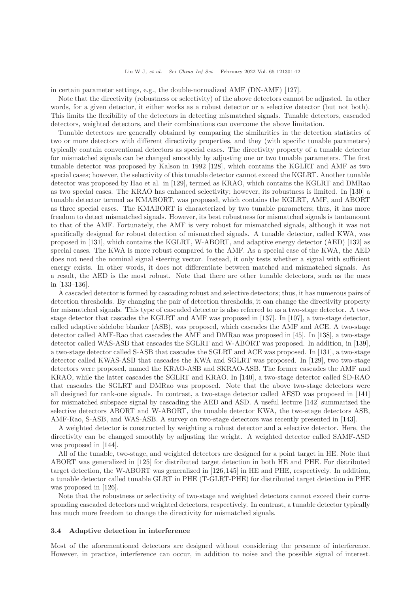in certain parameter settings, e.g., the double-normalized AMF (DN-AMF) [\[127\]](#page-33-1).

Note that the directivity (robustness or selectivity) of the above detectors cannot be adjusted. In other words, for a given detector, it either works as a robust detector or a selective detector (but not both). This limits the flexibility of the detectors in detecting mismatched signals. Tunable detectors, cascaded detectors, weighted detectors, and their combinations can overcome the above limitation.

Tunable detectors are generally obtained by comparing the similarities in the detection statistics of two or more detectors with different directivity properties, and they (with specific tunable parameters) typically contain conventional detectors as special cases. The directivity property of a tunable detector for mismatched signals can be changed smoothly by adjusting one or two tunable parameters. The first tunable detector was proposed by Kalson in 1992 [\[128\]](#page-33-2), which contains the KGLRT and AMF as two special cases; however, the selectivity of this tunable detector cannot exceed the KGLRT. Another tunable detector was proposed by Hao et al. in [\[129\]](#page-33-3), termed as KRAO, which contains the KGLRT and DMRao as two special cases. The KRAO has enhanced selectivity; however, its robustness is limited. In [\[130\]](#page-33-4) a tunable detector termed as KMABORT, was proposed, which contains the KGLRT, AMF, and ABORT as three special cases. The KMABORT is characterized by two tunable parameters; thus, it has more freedom to detect mismatched signals. However, its best robustness for mismatched signals is tantamount to that of the AMF. Fortunately, the AMF is very robust for mismatched signals, although it was not specifically designed for robust detection of mismatched signals. A tunable detector, called KWA, was proposed in [\[131\]](#page-33-5), which contains the KGLRT, W-ABORT, and adaptive energy detector (AED) [\[132\]](#page-33-6) as special cases. The KWA is more robust compared to the AMF. As a special case of the KWA, the AED does not need the nominal signal steering vector. Instead, it only tests whether a signal with sufficient energy exists. In other words, it does not differentiate between matched and mismatched signals. As a result, the AED is the most robust. Note that there are other tunable detectors, such as the ones in [\[133](#page-33-7)[–136\]](#page-33-8).

A cascaded detector is formed by cascading robust and selective detectors; thus, it has numerous pairs of detection thresholds. By changing the pair of detection thresholds, it can change the directivity property for mismatched signals. This type of cascaded detector is also referred to as a two-stage detector. A twostage detector that cascades the KGLRT and AMF was proposed in [\[137\]](#page-33-9). In [\[107\]](#page-32-19), a two-stage detector, called adaptive sidelobe blanker (ASB), was proposed, which cascades the AMF and ACE. A two-stage detector called AMF-Rao that cascades the AMF and DMRao was proposed in [\[45\]](#page-30-30). In [\[138\]](#page-33-10), a two-stage detector called WAS-ASB that cascades the SGLRT and W-ABORT was proposed. In addition, in [\[139\]](#page-33-11), a two-stage detector called S-ASB that cascades the SGLRT and ACE was proposed. In [\[131\]](#page-33-5), a two-stage detector called KWAS-ASB that cascades the KWA and SGLRT was proposed. In [\[129\]](#page-33-3), two two-stage detectors were proposed, named the KRAO-ASB and SKRAO-ASB. The former cascades the AMF and KRAO, while the latter cascades the SGLRT and KRAO. In [\[140\]](#page-33-12), a two-stage detector called SD-RAO that cascades the SGLRT and DMRao was proposed. Note that the above two-stage detectors were all designed for rank-one signals. In contrast, a two-stage detector called AESD was proposed in [\[141\]](#page-33-13) for mismatched subspace signal by cascading the AED and ASD. A useful lecture [\[142\]](#page-33-14) summarized the selective detectors ABORT and W-ABORT, the tunable detector KWA, the two-stage detectors ASB, AMF-Rao, S-ASB, and WAS-ASB. A survey on two-stage detectors was recently presented in [\[143\]](#page-33-15).

A weighted detector is constructed by weighting a robust detector and a selective detector. Here, the directivity can be changed smoothly by adjusting the weight. A weighted detector called SAMF-ASD was proposed in [\[144\]](#page-33-16).

All of the tunable, two-stage, and weighted detectors are designed for a point target in HE. Note that ABORT was generalized in [\[125\]](#page-32-33) for distributed target detection in both HE and PHE. For distributed target detection, the W-ABORT was generalized in [\[126,](#page-33-0)[145\]](#page-33-17) in HE and PHE, respectively. In addition, a tunable detector called tunable GLRT in PHE (T-GLRT-PHE) for distributed target detection in PHE was proposed in [\[126\]](#page-33-0).

Note that the robustness or selectivity of two-stage and weighted detectors cannot exceed their corresponding cascaded detectors and weighted detectors, respectively. In contrast, a tunable detector typically has much more freedom to change the directivity for mismatched signals.

## <span id="page-11-0"></span>3.4 Adaptive detection in interference

Most of the aforementioned detectors are designed without considering the presence of interference. However, in practice, interference can occur, in addition to noise and the possible signal of interest.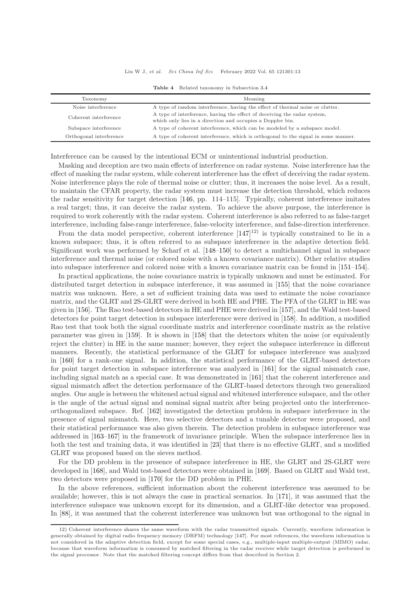#### Liu W J, et al. Sci China Inf Sci February 2022 Vol. 65 121301:13

| Taxonomy                | Meaning                                                                                                                                |
|-------------------------|----------------------------------------------------------------------------------------------------------------------------------------|
| Noise interference      | A type of random interference, having the effect of thermal noise or clutter.                                                          |
| Coherent interference   | A type of interference, having the effect of deceiving the radar system,<br>which only lies in a direction and occupies a Doppler bin. |
| Subspace interference   | A type of coherent interference, which can be modeled by a subspace model.                                                             |
| Orthogonal interference | A type of coherent interference, which is orthogonal to the signal in some manner.                                                     |

|  |  | Table 4 Related taxonomy in Subsection 3.4 |  |
|--|--|--------------------------------------------|--|
|  |  |                                            |  |

Interference can be caused by the intentional ECM or unintentional industrial production.

Masking and deception are two main effects of interference on radar systems. Noise interference has the effect of masking the radar system, while coherent interference has the effect of deceiving the radar system. Noise interference plays the role of thermal noise or clutter; thus, it increases the noise level. As a result, to maintain the CFAR property, the radar system must increase the detection threshold, which reduces the radar sensitivity for target detection [\[146,](#page-33-18) pp. 114–115]. Typically, coherent interference imitates a real target; thus, it can deceive the radar system. To achieve the above purpose, the interference is required to work coherently with the radar system. Coherent interference is also referred to as false-target interference, including false-range interference, false-velocity interference, and false-direction interference.

From the data model perspective, coherent interference  $[147]^{12}$  is typically constrained to lie in a known subspace; thus, it is often referred to as subspace interference in the adaptive detection field. Significant work was performed by Scharf et al. [\[148](#page-33-20)[–150\]](#page-33-21) to detect a multichannel signal in subspace interference and thermal noise (or colored noise with a known covariance matrix). Other relative studies into subspace interference and colored noise with a known covariance matrix can be found in [\[151–](#page-33-22)[154\]](#page-33-23).

In practical applications, the noise covariance matrix is typically unknown and must be estimated. For distributed target detection in subspace interference, it was assumed in [\[155\]](#page-33-24) that the noise covariance matrix was unknown. Here, a set of sufficient training data was used to estimate the noise covariance matrix, and the GLRT and 2S-GLRT were derived in both HE and PHE. The PFA of the GLRT in HE was given in [\[156\]](#page-33-25). The Rao test-based detectors in HE and PHE were derived in [\[157\]](#page-33-26), and the Wald test-based detectors for point target detection in subspace interference were derived in [\[158\]](#page-33-27). In addition, a modified Rao test that took both the signal coordinate matrix and interference coordinate matrix as the relative parameter was given in [\[159\]](#page-33-28). It is shown in [\[158\]](#page-33-27) that the detectors whiten the noise (or equivalently reject the clutter) in HE in the same manner; however, they reject the subspace interference in different manners. Recently, the statistical performance of the GLRT for subspace interference was analyzed in [\[160\]](#page-33-29) for a rank-one signal. In addition, the statistical performance of the GLRT-based detectors for point target detection in subspace interference was analyzed in [\[161\]](#page-33-30) for the signal mismatch case, including signal match as a special case. It was demonstrated in [\[161\]](#page-33-30) that the coherent interference and signal mismatch affect the detection performance of the GLRT-based detectors through two generalized angles. One angle is between the whitened actual signal and whitened interference subspace, and the other is the angle of the actual signal and nominal signal matrix after being projected onto the interferenceorthogonalized subspace. Ref. [\[162\]](#page-33-31) investigated the detection problem in subspace interference in the presence of signal mismatch. Here, two selective detectors and a tunable detector were proposed, and their statistical performance was also given therein. The detection problem in subspace interference was addressed in [\[163](#page-33-32)[–167\]](#page-33-33) in the framework of invariance principle. When the subspace interference lies in both the test and training data, it was identified in [\[23\]](#page-30-32) that there is no effective GLRT, and a modified GLRT was proposed based on the sieves method.

For the DD problem in the presence of subspace interference in HE, the GLRT and 2S-GLRT were developed in [\[168\]](#page-33-34), and Wald test-based detectors were obtained in [\[169\]](#page-34-0). Based on GLRT and Wald test, two detectors were proposed in [\[170\]](#page-34-1) for the DD problem in PHE.

In the above references, sufficient information about the coherent interference was assumed to be available; however, this is not always the case in practical scenarios. In [\[171\]](#page-34-2), it was assumed that the interference subspace was unknown except for its dimension, and a GLRT-like detector was proposed. In [\[88\]](#page-32-0), it was assumed that the coherent interference was unknown but was orthogonal to the signal in

<sup>12)</sup> Coherent interference shares the same waveform with the radar transmitted signals. Currently, waveform information is generally obtained by digital radio frequency memory (DRFM) technology [\[147\]](#page-33-19). For most references, the waveform information is not considered in the adaptive detection field, except for some special cases, e.g., multiple-input multiple-output (MIMO) radar, because that waveform information is consumed by matched filtering in the radar receiver while target detection is performed in the signal processor. Note that the matched filtering concept differs from that described in Section 2.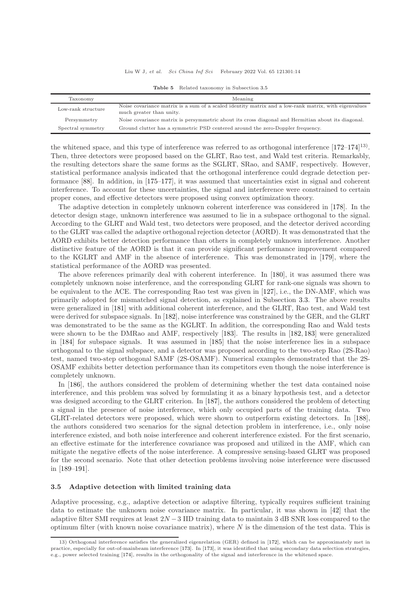| Taxonomy           | Meaning                                                                                              |
|--------------------|------------------------------------------------------------------------------------------------------|
| Low-rank structure | Noise covariance matrix is a sum of a scaled identity matrix and a low-rank matrix, with eigenvalues |
|                    | much greater than unity.                                                                             |
| Persymmetry        | Noise covariance matrix is persymmetric about its cross diagonal and Hermitian about its diagonal.   |
| Spectral symmetry  | Ground clutter has a symmetric PSD centered around the zero-Doppler frequency.                       |

Table 5 Related taxonomy in Subsection [3.5](#page-13-0)

the whitened space, and this type of interference was referred to as orthogonal interference [\[172–](#page-34-3)[174\]](#page-34-4)<sup>13)</sup>. Then, three detectors were proposed based on the GLRT, Rao test, and Wald test criteria. Remarkably, the resulting detectors share the same forms as the SGLRT, SRao, and SAMF, respectively. However, statistical performance analysis indicated that the orthogonal interference could degrade detection performance [\[88\]](#page-32-0). In addition, in [\[175](#page-34-5)[–177\]](#page-34-6), it was assumed that uncertainties exist in signal and coherent interference. To account for these uncertainties, the signal and interference were constrained to certain proper cones, and effective detectors were proposed using convex optimization theory.

The adaptive detection in completely unknown coherent interference was considered in [\[178\]](#page-34-7). In the detector design stage, unknown interference was assumed to lie in a subspace orthogonal to the signal. According to the GLRT and Wald test, two detectors were proposed, and the detector derived according to the GLRT was called the adaptive orthogonal rejection detector (AORD). It was demonstrated that the AORD exhibits better detection performance than others in completely unknown interference. Another distinctive feature of the AORD is that it can provide significant performance improvement compared to the KGLRT and AMF in the absence of interference. This was demonstrated in [\[179\]](#page-34-8), where the statistical performance of the AORD was presented.

The above references primarily deal with coherent interference. In [\[180\]](#page-34-9), it was assumed there was completely unknown noise interference, and the corresponding GLRT for rank-one signals was shown to be equivalent to the ACE. The corresponding Rao test was given in [\[127\]](#page-33-1), i.e., the DN-AMF, which was primarily adopted for mismatched signal detection, as explained in Subsection [3.3.](#page-10-0) The above results were generalized in [\[181\]](#page-34-10) with additional coherent interference, and the GLRT, Rao test, and Wald test were derived for subspace signals. In [\[182\]](#page-34-11), noise interference was constrained by the GER, and the GLRT was demonstrated to be the same as the KGLRT. In addition, the corresponding Rao and Wald tests were shown to be the DMRao and AMF, respectively [\[183\]](#page-34-12). The results in [\[182,](#page-34-11) [183\]](#page-34-12) were generalized in [\[184\]](#page-34-13) for subspace signals. It was assumed in [\[185\]](#page-34-14) that the noise interference lies in a subspace orthogonal to the signal subspace, and a detector was proposed according to the two-step Rao (2S-Rao) test, named two-step orthogonal SAMF (2S-OSAMF). Numerical examples demonstrated that the 2S-OSAMF exhibits better detection performance than its competitors even though the noise interference is completely unknown.

In [\[186\]](#page-34-15), the authors considered the problem of determining whether the test data contained noise interference, and this problem was solved by formulating it as a binary hypothesis test, and a detector was designed according to the GLRT criterion. In [\[187\]](#page-34-16), the authors considered the problem of detecting a signal in the presence of noise interference, which only occupied parts of the training data. Two GLRT-related detectors were proposed, which were shown to outperform existing detectors. In [\[188\]](#page-34-17), the authors considered two scenarios for the signal detection problem in interference, i.e., only noise interference existed, and both noise interference and coherent interference existed. For the first scenario, an effective estimate for the interference covariance was proposed and utilized in the AMF, which can mitigate the negative effects of the noise interference. A compressive sensing-based GLRT was proposed for the second scenario. Note that other detection problems involving noise interference were discussed in [\[189](#page-34-18)[–191\]](#page-34-19).

#### <span id="page-13-0"></span>3.5 Adaptive detection with limited training data

Adaptive processing, e.g., adaptive detection or adaptive filtering, typically requires sufficient training data to estimate the unknown noise covariance matrix. In particular, it was shown in [\[42\]](#page-30-27) that the adaptive filter SMI requires at least  $2N - 3$  IID training data to maintain 3 dB SNR loss compared to the optimum filter (with known noise covariance matrix), where  $N$  is the dimension of the test data. This is

<sup>13)</sup> Orthogonal interference satisfies the generalized eigenrelation (GER) defined in [\[172\]](#page-34-3), which can be approximately met in practice, especially for out-of-mainbeam interference [\[173\]](#page-34-20). In [\[173\]](#page-34-20), it was identified that using secondary data selection strategies, e.g., power selected training [\[174\]](#page-34-4), results in the orthogonality of the signal and interference in the whitened space.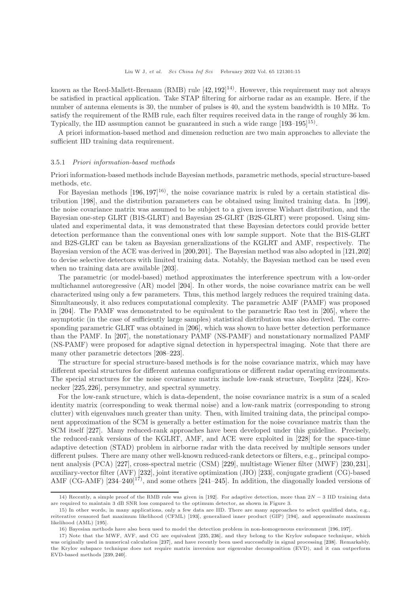known as the Reed-Mallett-Brenann (RMB) rule  $[42, 192]^{14}$  $[42, 192]^{14}$  $[42, 192]^{14}$ ). However, this requirement may not always be satisfied in practical application. Take STAP filtering for airborne radar as an example. Here, if the number of antenna elements is 30, the number of pulses is 40, and the system bandwidth is 10 MHz. To satisfy the requirement of the RMB rule, each filter requires received data in the range of roughly 36 km. Typically, the IID assumption cannot be guaranteed in such a wide range  $[193-195]^{15}$ .

A priori information-based method and dimension reduction are two main approaches to alleviate the sufficient IID training data requirement.

#### 3.5.1 Priori information-based methods

Priori information-based methods include Bayesian methods, parametric methods, special structure-based methods, etc.

For Bayesian methods  $[196, 197]^{16}$  $[196, 197]^{16}$  $[196, 197]^{16}$ , the noise covariance matrix is ruled by a certain statistical distribution [\[198\]](#page-34-26), and the distribution parameters can be obtained using limited training data. In [\[199\]](#page-34-27), the noise covariance matrix was assumed to be subject to a given inverse Wishart distribution, and the Bayesian one-step GLRT (B1S-GLRT) and Bayesian 2S-GLRT (B2S-GLRT) were proposed. Using simulated and experimental data, it was demonstrated that these Bayesian detectors could provide better detection performance than the conventional ones with low sample support. Note that the B1S-GLRT and B2S-GLRT can be taken as Bayesian generalizations of the KGLRT and AMF, respectively. The Bayesian version of the ACE was derived in [\[200,](#page-34-28)[201\]](#page-34-29). The Bayesian method was also adopted in [\[121,](#page-32-30)[202\]](#page-34-30) to devise selective detectors with limited training data. Notably, the Bayesian method can be used even when no training data are available [\[203\]](#page-34-31).

The parametric (or model-based) method approximates the interference spectrum with a low-order multichannel autoregressive (AR) model [\[204\]](#page-34-32). In other words, the noise covariance matrix can be well characterized using only a few parameters. Thus, this method largely reduces the required training data. Simultaneously, it also reduces computational complexity. The parametric AMF (PAMF) was proposed in [\[204\]](#page-34-32). The PAMF was demonstrated to be equivalent to the parametric Rao test in [\[205\]](#page-34-33), where the asymptotic (in the case of sufficiently large samples) statistical distribution was also derived. The corresponding parametric GLRT was obtained in [\[206\]](#page-34-34), which was shown to have better detection performance than the PAMF. In [\[207\]](#page-34-35), the nonstationary PAMF (NS-PAMF) and nonstationary normalized PAMF (NS-PAMF) were proposed for adaptive signal detection in hyperspectral imaging. Note that there are many other parametric detectors [\[208](#page-35-0)[–223\]](#page-35-1).

The structure for special structure-based methods is for the noise covariance matrix, which may have different special structures for different antenna configurations or different radar operating environments. The special structures for the noise covariance matrix include low-rank structure, Toeplitz [\[224\]](#page-35-2), Kronecker [\[225,](#page-35-3) [226\]](#page-35-4), persymmetry, and spectral symmetry.

For the low-rank structure, which is data-dependent, the noise covariance matrix is a sum of a scaled identity matrix (corresponding to weak thermal noise) and a low-rank matrix (corresponding to strong clutter) with eigenvalues much greater than unity. Then, with limited training data, the principal component approximation of the SCM is generally a better estimation for the noise covariance matrix than the SCM itself [\[227\]](#page-35-5). Many reduced-rank approaches have been developed under this guideline. Precisely, the reduced-rank versions of the KGLRT, AMF, and ACE were exploited in [\[228\]](#page-35-6) for the space-time adaptive detection (STAD) problem in airborne radar with the data received by multiple sensors under different pulses. There are many other well-known reduced-rank detectors or filters, e.g., principal component analysis (PCA) [\[227\]](#page-35-5), cross-spectral metric (CSM) [\[229\]](#page-35-7), multistage Wiener filter (MWF) [\[230,](#page-35-8)[231\]](#page-35-9), auxiliary-vector filter (AVF) [\[232\]](#page-35-10), joint iterative optimization (JIO) [\[233\]](#page-35-11), conjugate gradient (CG)-based AMF (CG-AMF) [\[234](#page-35-12)[–240\]](#page-35-13)<sup>17</sup>), and some others [\[241](#page-35-14)[–245\]](#page-35-15). In addition, the diagonally loaded versions of

<sup>14)</sup> Recently, a simple proof of the RMB rule was given in [\[192\]](#page-34-21). For adaptive detection, more than 2N − 3 IID training data are required to maintain 3 dB SNR loss compared to the optimum detector, as shown in Figure 3.

<sup>15)</sup> In other words, in many applications, only a few data are IID. There are many approaches to select qualified data, e.g., reiterative censored fast maximum likelihood (CFML) [\[193\]](#page-34-22), generalized inner product (GIP) [\[194\]](#page-34-36), and approximate maximum likelihood (AML) [\[195\]](#page-34-23).

<sup>16)</sup> Bayesian methods have also been used to model the detection problem in non-homogeneous environment [\[196,](#page-34-24) [197\]](#page-34-25).

<sup>17)</sup> Note that the MWF, AVF, and CG are equivalent [\[235,](#page-35-16) [236\]](#page-35-17), and they belong to the Krylov subspace technique, which was originally used in numerical calculation [\[237\]](#page-35-18), and have recently been used successfully in signal processing [\[238\]](#page-35-19). Remarkably, the Krylov subspace technique does not require matrix inversion nor eigenvalue decomposition (EVD), and it can outperform EVD-based methods [\[239,](#page-35-20) [240\]](#page-35-13).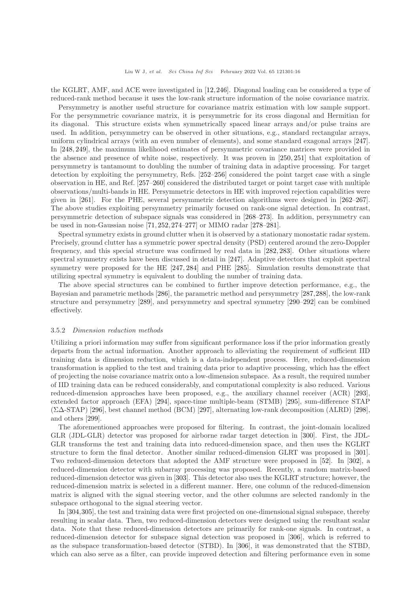the KGLRT, AMF, and ACE were investigated in [\[12,](#page-30-12)[246\]](#page-35-21). Diagonal loading can be considered a type of reduced-rank method because it uses the low-rank structure information of the noise covariance matrix.

Persymmetry is another useful structure for covariance matrix estimation with low sample support. For the persymmetric covariance matrix, it is persymmetric for its cross diagonal and Hermitian for its diagonal. This structure exists when symmetrically spaced linear arrays and/or pulse trains are used. In addition, persymmetry can be observed in other situations, e.g., standard rectangular arrays, uniform cylindrical arrays (with an even number of elements), and some standard exagonal arrays [\[247\]](#page-35-22). In [\[248,](#page-36-0) [249\]](#page-36-1), the maximum likelihood estimates of persymmetric covariance matrices were provided in the absence and presence of white noise, respectively. It was proven in [\[250,](#page-36-2) [251\]](#page-36-3) that exploitation of persymmetry is tantamount to doubling the number of training data in adaptive processing. For target detection by exploiting the persymmetry, Refs. [\[252](#page-36-4)[–256\]](#page-36-5) considered the point target case with a single observation in HE, and Ref. [\[257](#page-36-6)[–260\]](#page-36-7) considered the distributed target or point target case with multiple observations/multi-bands in HE. Persymmetric detectors in HE with improved rejection capabilities were given in [\[261\]](#page-36-8). For the PHE, several persymmetric detection algorithms were designed in [\[262](#page-36-9)[–267\]](#page-36-10). The above studies exploiting persymmetry primarily focused on rank-one signal detection. In contrast, persymmetric detection of subspace signals was considered in [\[268](#page-36-11)[–273\]](#page-36-12). In addition, persymmetry can be used in non-Gaussian noise [\[71,](#page-31-23) [252,](#page-36-4) [274](#page-36-13)[–277\]](#page-36-14) or MIMO radar [\[278](#page-36-15)[–281\]](#page-36-16).

Spectral symmetry exists in ground clutter when it is observed by a stationary monostatic radar system. Precisely, ground clutter has a symmetric power spectral density (PSD) centered around the zero-Doppler frequency, and this special structure was confirmed by real data in [\[282,](#page-36-17) [283\]](#page-36-18). Other situations where spectral symmetry exists have been discussed in detail in [\[247\]](#page-35-22). Adaptive detectors that exploit spectral symmetry were proposed for the HE [\[247,](#page-35-22) [284\]](#page-36-19) and PHE [\[285\]](#page-36-20). Simulation results demonstrate that utilizing spectral symmetry is equivalent to doubling the number of training data.

The above special structures can be combined to further improve detection performance, e.g., the Bayesian and parametric methods [\[286\]](#page-36-21), the parametric method and persymmetry [\[287,](#page-37-0)[288\]](#page-37-1), the low-rank structure and persymmetry [\[289\]](#page-37-2), and persymmetry and spectral symmetry [\[290](#page-37-3)[–292\]](#page-37-4) can be combined effectively.

#### 3.5.2 Dimension reduction methods

Utilizing a priori information may suffer from significant performance loss if the prior information greatly departs from the actual information. Another approach to alleviating the requirement of sufficient IID training data is dimension reduction, which is a data-independent process. Here, reduced-dimension transformation is applied to the test and training data prior to adaptive processing, which has the effect of projecting the noise covariance matrix onto a low-dimension subspace. As a result, the required number of IID training data can be reduced considerably, and computational complexity is also reduced. Various reduced-dimension approaches have been proposed, e.g., the auxiliary channel receiver (ACR) [\[293\]](#page-37-5), extended factor approach (EFA) [\[294\]](#page-37-6), space-time multiple-beam (STMB) [\[295\]](#page-37-7), sum-difference STAP (Σ∆-STAP) [\[296\]](#page-37-8), best channel method (BCM) [\[297\]](#page-37-9), alternating low-rank decomposition (ALRD) [\[298\]](#page-37-10), and others [\[299\]](#page-37-11).

The aforementioned approaches were proposed for filtering. In contrast, the joint-domain localized GLR (JDL-GLR) detector was proposed for airborne radar target detection in [\[300\]](#page-37-12). First, the JDL-GLR transforms the test and training data into reduced-dimension space, and then uses the KGLRT structure to form the final detector. Another similar reduced-dimension GLRT was proposed in [\[301\]](#page-37-13). Two reduced-dimension detectors that adopted the AMF structure were proposed in [\[52\]](#page-31-5). In [\[302\]](#page-37-14), a reduced-dimension detector with subarray processing was proposed. Recently, a random matrix-based reduced-dimension detector was given in [\[303\]](#page-37-15). This detector also uses the KGLRT structure; however, the reduced-dimension matrix is selected in a different manner. Here, one column of the reduced-dimension matrix is aligned with the signal steering vector, and the other columns are selected randomly in the subspace orthogonal to the signal steering vector.

In [\[304,](#page-37-16)[305\]](#page-37-17), the test and training data were first projected on one-dimensional signal subspace, thereby resulting in scalar data. Then, two reduced-dimension detectors were designed using the resultant scalar data. Note that these reduced-dimension detectors are primarily for rank-one signals. In contrast, a reduced-dimension detector for subspace signal detection was proposed in [\[306\]](#page-37-18), which is referred to as the subspace transformation-based detector (STBD). In [\[306\]](#page-37-18), it was demonstrated that the STBD, which can also serve as a filter, can provide improved detection and filtering performance even in some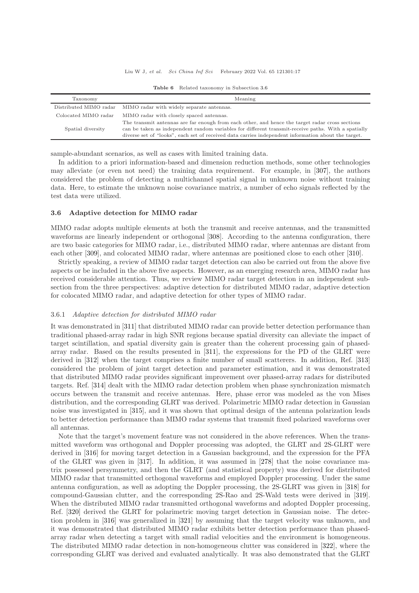#### Liu W J, et al. Sci China Inf Sci February 2022 Vol. 65 121301:17

<span id="page-16-0"></span>

| Taxonomy               | Meaning                                                                                                                                                                                                                                                                                                       |
|------------------------|---------------------------------------------------------------------------------------------------------------------------------------------------------------------------------------------------------------------------------------------------------------------------------------------------------------|
| Distributed MIMO radar | MIMO radar with widely separate antennas.                                                                                                                                                                                                                                                                     |
| Colocated MIMO radar   | MIMO radar with closely spaced antennas.                                                                                                                                                                                                                                                                      |
| Spatial diversity      | The transmit antennas are far enough from each other, and hence the target radar cross sections<br>can be taken as independent random variables for different transmit-receive paths. With a spatially<br>diverse set of "looks", each set of received data carries independent information about the target. |

Table 6 Related taxonomy in Subsection [3.6](#page-16-1)

sample-abundant scenarios, as well as cases with limited training data.

In addition to a priori information-based and dimension reduction methods, some other technologies may alleviate (or even not need) the training data requirement. For example, in [\[307\]](#page-37-19), the authors considered the problem of detecting a multichannel spatial signal in unknown noise without training data. Here, to estimate the unknown noise covariance matrix, a number of echo signals reflected by the test data were utilized.

## <span id="page-16-1"></span>3.6 Adaptive detection for MIMO radar

MIMO radar adopts multiple elements at both the transmit and receive antennas, and the transmitted waveforms are linearly independent or orthogonal [\[308\]](#page-37-20). According to the antenna configuration, there are two basic categories for MIMO radar, i.e., distributed MIMO radar, where antennas are distant from each other [\[309\]](#page-37-21), and colocated MIMO radar, where antennas are positioned close to each other [\[310\]](#page-37-22).

Strictly speaking, a review of MIMO radar target detection can also be carried out from the above five aspects or be included in the above five aspects. However, as an emerging research area, MIMO radar has received considerable attention. Thus, we review MIMO radar target detection in an independent subsection from the three perspectives: adaptive detection for distributed MIMO radar, adaptive detection for colocated MIMO radar, and adaptive detection for other types of MIMO radar.

## 3.6.1 Adaptive detection for distributed MIMO radar

It was demonstrated in [\[311\]](#page-37-23) that distributed MIMO radar can provide better detection performance than traditional phased-array radar in high SNR regions because spatial diversity can alleviate the impact of target scintillation, and spatial diversity gain is greater than the coherent processing gain of phasedarray radar. Based on the results presented in [\[311\]](#page-37-23), the expressions for the PD of the GLRT were derived in [\[312\]](#page-37-24) when the target comprises a finite number of small scatterers. In addition, Ref. [\[313\]](#page-37-25) considered the problem of joint target detection and parameter estimation, and it was demonstrated that distributed MIMO radar provides significant improvement over phased-array radars for distributed targets. Ref. [\[314\]](#page-37-26) dealt with the MIMO radar detection problem when phase synchronization mismatch occurs between the transmit and receive antennas. Here, phase error was modeled as the von Mises distribution, and the corresponding GLRT was derived. Polarimetric MIMO radar detection in Gaussian noise was investigated in [\[315\]](#page-37-27), and it was shown that optimal design of the antenna polarization leads to better detection performance than MIMO radar systems that transmit fixed polarized waveforms over all antennas.

Note that the target's movement feature was not considered in the above references. When the transmitted waveform was orthogonal and Doppler processing was adopted, the GLRT and 2S-GLRT were derived in [\[316\]](#page-37-28) for moving target detection in a Gaussian background, and the expression for the PFA of the GLRT was given in [\[317\]](#page-37-29). In addition, it was assumed in [\[278\]](#page-36-15) that the noise covariance matrix possessed persymmetry, and then the GLRT (and statistical property) was derived for distributed MIMO radar that transmitted orthogonal waveforms and employed Doppler processing. Under the same antenna configuration, as well as adopting the Doppler processing, the 2S-GLRT was given in [\[318\]](#page-37-30) for compound-Gaussian clutter, and the corresponding 2S-Rao and 2S-Wald tests were derived in [\[319\]](#page-37-31). When the distributed MIMO radar transmitted orthogonal waveforms and adopted Doppler processing, Ref. [\[320\]](#page-37-32) derived the GLRT for polarimetric moving target detection in Gaussian noise. The detection problem in [\[316\]](#page-37-28) was generalized in [\[321\]](#page-37-33) by assuming that the target velocity was unknown, and it was demonstrated that distributed MIMO radar exhibits better detection performance than phasedarray radar when detecting a target with small radial velocities and the environment is homogeneous. The distributed MIMO radar detection in non-homogeneous clutter was considered in [\[322\]](#page-37-34), where the corresponding GLRT was derived and evaluated analytically. It was also demonstrated that the GLRT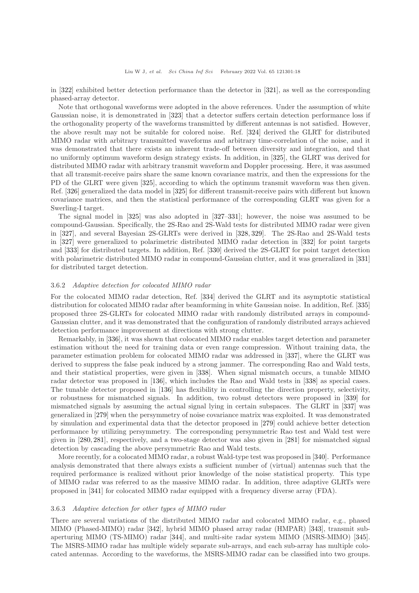in [\[322\]](#page-37-34) exhibited better detection performance than the detector in [\[321\]](#page-37-33), as well as the corresponding phased-array detector.

Note that orthogonal waveforms were adopted in the above references. Under the assumption of white Gaussian noise, it is demonstrated in [\[323\]](#page-37-35) that a detector suffers certain detection performance loss if the orthogonality property of the waveforms transmitted by different antennas is not satisfied. However, the above result may not be suitable for colored noise. Ref. [\[324\]](#page-37-36) derived the GLRT for distributed MIMO radar with arbitrary transmitted waveforms and arbitrary time-correlation of the noise, and it was demonstrated that there exists an inherent trade-off between diversity and integration, and that no uniformly optimum waveform design strategy exists. In addition, in [\[325\]](#page-37-37), the GLRT was derived for distributed MIMO radar with arbitrary transmit waveform and Doppler processing. Here, it was assumed that all transmit-receive pairs share the same known covariance matrix, and then the expressions for the PD of the GLRT were given [\[325\]](#page-37-37), according to which the optimum transmit waveform was then given. Ref. [\[326\]](#page-37-38) generalized the data model in [\[325\]](#page-37-37) for different transmit-receive pairs with different but known covariance matrices, and then the statistical performance of the corresponding GLRT was given for a Swerling-I target.

The signal model in [\[325\]](#page-37-37) was also adopted in [\[327–](#page-38-0)[331\]](#page-38-1); however, the noise was assumed to be compound-Gaussian. Specifically, the 2S-Rao and 2S-Wald tests for distributed MIMO radar were given in [\[327\]](#page-38-0), and several Bayesian 2S-GLRTs were derived in [\[328,](#page-38-2) [329\]](#page-38-3). The 2S-Rao and 2S-Wald tests in [\[327\]](#page-38-0) were generalized to polarimetric distributed MIMO radar detection in [\[332\]](#page-38-4) for point targets and [\[333\]](#page-38-5) for distributed targets. In addition, Ref. [\[330\]](#page-38-6) derived the 2S-GLRT for point target detection with polarimetric distributed MIMO radar in compound-Gaussian clutter, and it was generalized in [\[331\]](#page-38-1) for distributed target detection.

## 3.6.2 Adaptive detection for colocated MIMO radar

For the colocated MIMO radar detection, Ref. [\[334\]](#page-38-7) derived the GLRT and its asymptotic statistical distribution for colocated MIMO radar after beamforming in white Gaussian noise. In addition, Ref. [\[335\]](#page-38-8) proposed three 2S-GLRTs for colocated MIMO radar with randomly distributed arrays in compound-Gaussian clutter, and it was demonstrated that the configuration of randomly distributed arrays achieved detection performance improvement at directions with strong clutter.

Remarkably, in [\[336\]](#page-38-9), it was shown that colocated MIMO radar enables target detection and parameter estimation without the need for training data or even range compression. Without training data, the parameter estimation problem for colocated MIMO radar was addressed in [\[337\]](#page-38-10), where the GLRT was derived to suppress the false peak induced by a strong jammer. The corresponding Rao and Wald tests, and their statistical properties, were given in [\[338\]](#page-38-11). When signal mismatch occurs, a tunable MIMO radar detector was proposed in [\[136\]](#page-33-8), which includes the Rao and Wald tests in [\[338\]](#page-38-11) as special cases. The tunable detector proposed in [\[136\]](#page-33-8) has flexibility in controlling the direction property, selectivity, or robustness for mismatched signals. In addition, two robust detectors were proposed in [\[339\]](#page-38-12) for mismatched signals by assuming the actual signal lying in certain subspaces. The GLRT in [\[337\]](#page-38-10) was generalized in [\[279\]](#page-36-22) when the persymmetry of noise covariance matrix was exploited. It was demonstrated by simulation and experimental data that the detector proposed in [\[279\]](#page-36-22) could achieve better detection performance by utilizing persymmetry. The corresponding persymmetric Rao test and Wald test were given in [\[280,](#page-36-23) [281\]](#page-36-16), respectively, and a two-stage detector was also given in [\[281\]](#page-36-16) for mismatched signal detection by cascading the above persymmetric Rao and Wald tests.

More recently, for a colocated MIMO radar, a robust Wald-type test was proposed in [\[340\]](#page-38-13). Performance analysis demonstrated that there always exists a sufficient number of (virtual) antennas such that the required performance is realized without prior knowledge of the noise statistical property. This type of MIMO radar was referred to as the massive MIMO radar. In addition, three adaptive GLRTs were proposed in [\[341\]](#page-38-14) for colocated MIMO radar equipped with a frequency diverse array (FDA).

#### 3.6.3 Adaptive detection for other types of MIMO radar

There are several variations of the distributed MIMO radar and colocated MIMO radar, e.g., phased MIMO (Phased-MIMO) radar [\[342\]](#page-38-15), hybrid MIMO phased array radar (HMPAR) [\[343\]](#page-38-16), transmit subaperturing MIMO (TS-MIMO) radar [\[344\]](#page-38-17), and multi-site radar system MIMO (MSRS-MIMO) [\[345\]](#page-38-18). The MSRS-MIMO radar has multiple widely separate sub-arrays, and each sub-array has multiple colocated antennas. According to the waveforms, the MSRS-MIMO radar can be classified into two groups.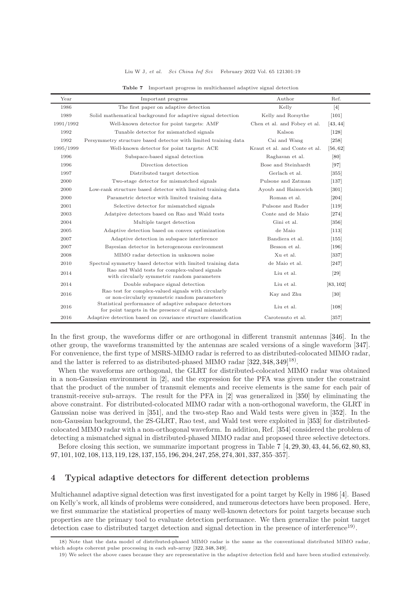#### Liu W J, et al. Sci China Inf Sci February 2022 Vol. 65 121301:19

<span id="page-18-0"></span>

| Year      | Important progress                                                                                             | Author                        | Ref.               |
|-----------|----------------------------------------------------------------------------------------------------------------|-------------------------------|--------------------|
| 1986      | The first paper on adaptive detection                                                                          | Kelly                         | $\lceil 4 \rceil$  |
| 1989      | Solid mathematical background for adaptive signal detection                                                    | Kelly and Rorsythe            | $[101]$            |
| 1991/1992 | Well-known detector for point targets: AMF                                                                     | Chen et al. and Fobey et al.  | [43, 44]           |
| 1992      | Tunable detector for mismatched signals                                                                        | Kalson                        | $[128]$            |
| 1992      | Persymmetry structure based detector with limited training data                                                | Cai and Wang                  | $[258]$            |
| 1995/1999 | Well-known detector for point targets: ACE                                                                     | Kraut et al. and Conte et al. | [56, 62]           |
| 1996      | Subspace-based signal detection                                                                                | Raghavan et al.               | [80]               |
| 1996      | Direction detection                                                                                            | Bose and Steinhardt           | [97]               |
| 1997      | Distributed target detection                                                                                   | Gerlach et al.                | $[355]$            |
| 2000      | Two-stage detector for mismatched signals                                                                      | Pulsone and Zatman            | $[137]$            |
| 2000      | Low-rank structure based detector with limited training data                                                   | Ayoub and Haimovich           | $\left[301\right]$ |
| 2000      | Parametric detector with limited training data                                                                 | Roman et al.                  | $\left[204\right]$ |
| 2001      | Selective detector for mismatched signals                                                                      | Pulsone and Rader             | $[119]$            |
| 2003      | Adatpive detectors based on Rao and Wald tests                                                                 | Conte and de Maio             | $[274]$            |
| 2004      | Multiple target detection                                                                                      | Gini et al.                   | $[356]$            |
| 2005      | Adaptive detection based on convex optimization                                                                | de Maio                       | $[113]$            |
| 2007      | Adaptive detection in subspace interference                                                                    | Bandiera et al.               | $[155]$            |
| 2007      | Bayesian detector in heterogeneous environment                                                                 | Besson et al.                 | $[196]$            |
| 2008      | MIMO radar detection in unknown noise                                                                          | Xu et al.                     | $[337]$            |
| 2010      | Spectral symmetry based detector with limited training data                                                    | de Maio et al.                | $[247]$            |
| 2014      | Rao and Wald tests for complex-valued signals<br>with circularly symmetric random parameters                   | Liu et al.                    | [29]               |
| 2014      | Double subspace signal detection                                                                               | Liu et al.                    | [83, 102]          |
| 2016      | Rao test for complex-valued signals with circularly<br>or non-circularly symmetric random parameters           | Kay and Zhu                   | [30]               |
| 2016      | Statistical performance of adaptive subspace detectors<br>for point targets in the presence of signal mismatch | Liu et al.                    | [108]              |
| 2016      | Adaptive detection based on covariance structure classification                                                | Carotenuto et al.             | $[357]$            |

Table 7 Important progress in multichannel adaptive signal detection

In the first group, the waveforms differ or are orthogonal in different transmit antennas [\[346\]](#page-38-22). In the other group, the waveforms transmitted by the antennas are scaled versions of a single waveform [\[347\]](#page-38-23). For convenience, the first type of MSRS-MIMO radar is referred to as distributed-colocated MIMO radar, and the latter is referred to as distributed-phased MIMO radar [\[322,](#page-37-34) [348,](#page-38-24) [349\]](#page-38-25)<sup>18)</sup>.

When the waveforms are orthogonal, the GLRT for distributed-colocated MIMO radar was obtained in a non-Gaussian environment in [\[2\]](#page-30-0), and the expression for the PFA was given under the constraint that the product of the number of transmit elements and receive elements is the same for each pair of transmit-receive sub-arrays. The result for the PFA in [\[2\]](#page-30-0) was generalized in [\[350\]](#page-38-26) by eliminating the above constraint. For distributed-colocated MIMO radar with a non-orthogonal waveform, the GLRT in Gaussian noise was derived in [\[351\]](#page-38-27), and the two-step Rao and Wald tests were given in [\[352\]](#page-38-28). In the non-Gaussian background, the 2S-GLRT, Rao test, and Wald test were exploited in [\[353\]](#page-38-29) for distributedcolocated MIMO radar with a non-orthogonal waveform. In addition, Ref. [\[354\]](#page-38-30) considered the problem of detecting a mismatched signal in distributed-phased MIMO radar and proposed three selective detectors.

Before closing this section, we summarize important progress in Table [7](#page-18-0) [\[4,](#page-30-2) [29,](#page-30-15) [30,](#page-30-16) [43,](#page-30-28) [44,](#page-30-29) [56,](#page-31-9) [62,](#page-31-15) [80,](#page-31-29) [83,](#page-31-32) [97,](#page-32-9) [101,](#page-32-13) [102,](#page-32-14) [108,](#page-32-20) [113,](#page-32-25)[119,](#page-32-28) [128,](#page-33-2) [137,](#page-33-9) [155,](#page-33-24) [196,](#page-34-24)[204,](#page-34-32) [247,](#page-35-22) [258,](#page-36-24) [274,](#page-36-13) [301,](#page-37-13) [337,](#page-38-10) [355](#page-38-19)[–357\]](#page-38-21).

## 4 Typical adaptive detectors for different detection problems

Multichannel adaptive signal detection was first investigated for a point target by Kelly in 1986 [\[4\]](#page-30-2). Based on Kelly's work, all kinds of problems were considered, and numerous detectors have been proposed. Here, we first summarize the statistical properties of many well-known detectors for point targets because such properties are the primary tool to evaluate detection performance. We then generalize the point target detection case to distributed target detection and signal detection in the presence of interference<sup>19</sup>.

<sup>18)</sup> Note that the data model of distributed-phased MIMO radar is the same as the conventional distributed MIMO radar, which adopts coherent pulse processing in each sub-array [\[322,](#page-37-34) [348,](#page-38-24) [349\]](#page-38-25).

<sup>19)</sup> We select the above cases because they are representative in the adaptive detection field and have been studied extensively.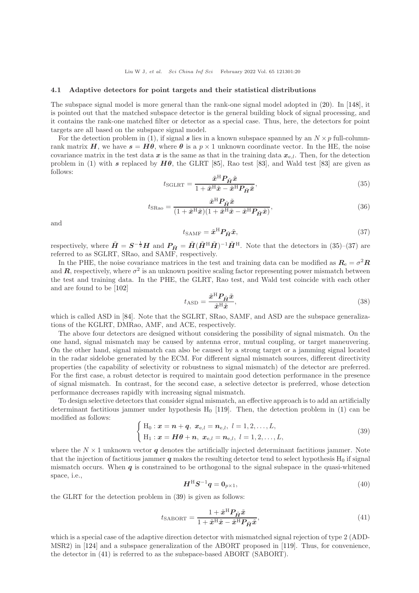#### 4.1 Adaptive detectors for point targets and their statistical distributions

The subspace signal model is more general than the rank-one signal model adopted in [\(20\)](#page-4-0). In [\[148\]](#page-33-20), it is pointed out that the matched subspace detector is the general building block of signal processing, and it contains the rank-one matched filter or detector as a special case. Thus, here, the detectors for point targets are all based on the subspace signal model.

For the detection problem in [\(1\)](#page-2-0), if signal s lies in a known subspace spanned by an  $N \times p$  full-columnrank matrix H, we have  $s = H\theta$ , where  $\theta$  is a  $p \times 1$  unknown coordinate vector. In the HE, the noise covariance matrix in the test data x is the same as that in the training data  $x_{e,l}$ . Then, for the detection problem in [\(1\)](#page-2-0) with s replaced by  $H\theta$ , the GLRT [\[85\]](#page-31-34), Rao test [\[83\]](#page-31-32), and Wald test [83] are given as follows:

<span id="page-19-0"></span>
$$
t_{\text{SGLRT}} = \frac{\tilde{x}^{\text{H}} P_{\tilde{H}} \tilde{x}}{1 + \tilde{x}^{\text{H}} \tilde{x} - \tilde{x}^{\text{H}} P_{\tilde{H}} \tilde{x}},\tag{35}
$$

$$
t_{\text{SRao}} = \frac{\tilde{x}^{\text{H}} P_{\tilde{H}} \tilde{x}}{(1 + \tilde{x}^{\text{H}} \tilde{x})(1 + \tilde{x}^{\text{H}} \tilde{x} - \tilde{x}^{\text{H}} P_{\tilde{H}} \tilde{x})},\tag{36}
$$

and

<span id="page-19-1"></span>
$$
t_{\text{SAMF}} = \tilde{\boldsymbol{x}}^{\text{H}} \boldsymbol{P}_{\tilde{\boldsymbol{H}}} \tilde{\boldsymbol{x}},\tag{37}
$$

respectively, where  $\tilde{H} = S^{-\frac{1}{2}}H$  and  $P_{\tilde{H}} = \tilde{H}(\tilde{H}^{\rm H}\tilde{H})^{-1}\tilde{H}^{\rm H}$ . Note that the detectors in [\(35\)](#page-19-0)–[\(37\)](#page-19-1) are referred to as SGLRT, SRao, and SAMF, respectively.

In the PHE, the noise covariance matrices in the test and training data can be modified as  $R_{\rm e} = \sigma^2 R$ and  $R$ , respectively, where  $\sigma^2$  is an unknown positive scaling factor representing power mismatch between the test and training data. In the PHE, the GLRT, Rao test, and Wald test coincide with each other and are found to be [\[102\]](#page-32-14)

$$
t_{\rm ASD} = \frac{\tilde{x}^{\rm H} P_{\tilde{H}} \tilde{x}}{\tilde{x}^{\rm H} \tilde{x}},\tag{38}
$$

which is called ASD in [\[84\]](#page-31-33). Note that the SGLRT, SRao, SAMF, and ASD are the subspace generalizations of the KGLRT, DMRao, AMF, and ACE, respectively.

The above four detectors are designed without considering the possibility of signal mismatch. On the one hand, signal mismatch may be caused by antenna error, mutual coupling, or target maneuvering. On the other hand, signal mismatch can also be caused by a strong target or a jamming signal located in the radar sidelobe generated by the ECM. For different signal mismatch sources, different directivity properties (the capability of selectivity or robustness to signal mismatch) of the detector are preferred. For the first case, a robust detector is required to maintain good detection performance in the presence of signal mismatch. In contrast, for the second case, a selective detector is preferred, whose detection performance decreases rapidly with increasing signal mismatch.

To design selective detectors that consider signal mismatch, an effective approach is to add an artificially determinant factitious jammer under hypothesis  $H_0$  [\[119\]](#page-32-28). Then, the detection problem in [\(1\)](#page-2-0) can be modified as follows:

<span id="page-19-2"></span>
$$
\begin{cases} H_0: \mathbf{x} = \mathbf{n} + \mathbf{q}, \ \mathbf{x}_{e,l} = \mathbf{n}_{e,l}, \ l = 1, 2, \dots, L, \\ H_1: \mathbf{x} = H\theta + \mathbf{n}, \ \mathbf{x}_{e,l} = \mathbf{n}_{e,l}, \ l = 1, 2, \dots, L, \end{cases}
$$
\n(39)

where the  $N \times 1$  unknown vector q denotes the artificially injected determinant factitious jammer. Note that the injection of factitious jammer  $q$  makes the resulting detector tend to select hypothesis  $H_0$  if signal mismatch occurs. When  $q$  is constrained to be orthogonal to the signal subspace in the quasi-whitened space, i.e.,

<span id="page-19-4"></span>
$$
\boldsymbol{H}^{\mathrm{H}}\boldsymbol{S}^{-1}\boldsymbol{q} = \boldsymbol{0}_{p \times 1},\tag{40}
$$

the GLRT for the detection problem in [\(39\)](#page-19-2) is given as follows:

<span id="page-19-3"></span>
$$
t_{\text{SABORT}} = \frac{1 + \tilde{\boldsymbol{x}}^{\text{H}} \boldsymbol{P}_{\tilde{\boldsymbol{H}}} \tilde{\boldsymbol{x}}}{1 + \tilde{\boldsymbol{x}}^{\text{H}} \tilde{\boldsymbol{x}} - \tilde{\boldsymbol{x}}^{\text{H}} \boldsymbol{P}_{\tilde{\boldsymbol{H}}} \tilde{\boldsymbol{x}}},\tag{41}
$$

which is a special case of the adaptive direction detector with mismatched signal rejection of type 2 (ADD-MSR2) in [\[124\]](#page-32-32) and a subspace generalization of the ABORT proposed in [\[119\]](#page-32-28). Thus, for convenience, the detector in [\(41\)](#page-19-3) is referred to as the subspace-based ABORT (SABORT).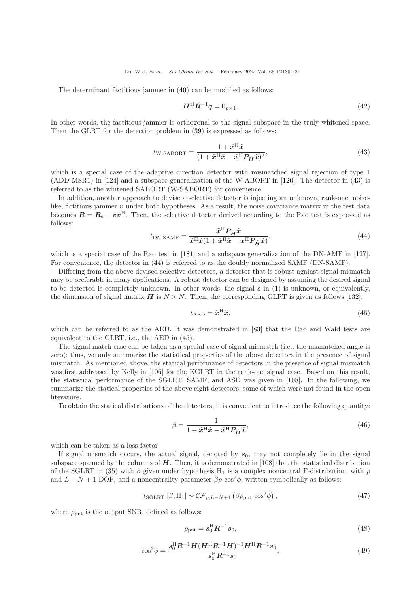The determinant factitious jammer in [\(40\)](#page-19-4) can be modified as follows:

$$
\boldsymbol{H}^{\mathrm{H}} \boldsymbol{R}^{-1} \boldsymbol{q} = \boldsymbol{0}_{p \times 1}.
$$
\n<sup>(42)</sup>

In other words, the factitious jammer is orthogonal to the signal subspace in the truly whitened space. Then the GLRT for the detection problem in [\(39\)](#page-19-2) is expressed as follows:

<span id="page-20-0"></span>
$$
t_{\text{W-SABORT}} = \frac{1 + \tilde{x}^{\text{H}} \tilde{x}}{(1 + \tilde{x}^{\text{H}} \tilde{x} - \tilde{x}^{\text{H}} P_{\tilde{H}} \tilde{x})^2},\tag{43}
$$

which is a special case of the adaptive direction detector with mismatched signal rejection of type 1 (ADD-MSR1) in [\[124\]](#page-32-32) and a subspace generalization of the W-ABORT in [\[120\]](#page-32-29). The detector in [\(43\)](#page-20-0) is referred to as the whitened SABORT (W-SABORT) for convenience.

In addition, another approach to devise a selective detector is injecting an unknown, rank-one, noiselike, fictitious jammer v under both hypotheses. As a result, the noise covariance matrix in the test data becomes  $\mathbf{R} = \mathbf{R}_{e} + \boldsymbol{v}\boldsymbol{v}^{\text{H}}$ . Then, the selective detector derived according to the Rao test is expressed as follows:

<span id="page-20-1"></span>
$$
t_{\rm DN-SAMF} = \frac{\tilde{x}^{\rm H} P_{\tilde{H}} \tilde{x}}{\tilde{x}^{\rm H} \tilde{x} (1 + \tilde{x}^{\rm H} \tilde{x} - \tilde{x}^{\rm H} P_{\tilde{H}} \tilde{x})},\tag{44}
$$

which is a special case of the Rao test in [\[181\]](#page-34-10) and a subspace generalization of the DN-AMF in [\[127\]](#page-33-1). For convenience, the detector in [\(44\)](#page-20-1) is referred to as the doubly normalized SAMF (DN-SAMF).

Differing from the above devised selective detectors, a detector that is robust against signal mismatch may be preferable in many applications. A robust detector can be designed by assuming the desired signal to be detected is completely unknown. In other words, the signal  $s$  in [\(1\)](#page-2-0) is unknown, or equivalently, the dimension of signal matrix  $H$  is  $N \times N$ . Then, the corresponding GLRT is given as follows [\[132\]](#page-33-6):

<span id="page-20-2"></span>
$$
t_{\rm AED} = \tilde{\boldsymbol{x}}^{\rm H} \tilde{\boldsymbol{x}},\tag{45}
$$

which can be referred to as the AED. It was demonstrated in [\[83\]](#page-31-32) that the Rao and Wald tests are equivalent to the GLRT, i.e., the AED in [\(45\)](#page-20-2).

The signal match case can be taken as a special case of signal mismatch (i.e., the mismatched angle is zero); thus, we only summarize the statistical properties of the above detectors in the presence of signal mismatch. As mentioned above, the statical performance of detectors in the presence of signal mismatch was first addressed by Kelly in [\[106\]](#page-32-18) for the KGLRT in the rank-one signal case. Based on this result, the statistical performance of the SGLRT, SAMF, and ASD was given in [\[108\]](#page-32-20). In the following, we summarize the statical properties of the above eight detectors, some of which were not found in the open literature.

To obtain the statical distributions of the detectors, it is convenient to introduce the following quantity:

<span id="page-20-4"></span>
$$
\beta = \frac{1}{1 + \tilde{x}^{\mathrm{H}}\tilde{x} - \tilde{x}^{\mathrm{H}}P_{\tilde{H}}\tilde{x}},\tag{46}
$$

which can be taken as a loss factor.

If signal mismatch occurs, the actual signal, denoted by  $s_0$ , may not completely lie in the signal subspace spanned by the columns of  $H$ . Then, it is demonstrated in [\[108\]](#page-32-20) that the statistical distribution of the SGLRT in [\(35\)](#page-19-0) with  $\beta$  given under hypothesis H<sub>1</sub> is a complex noncentral F-distribution, with p and  $L - N + 1$  DOF, and a noncentrality parameter  $\beta \rho \cos^2 \phi$ , written symbolically as follows:

<span id="page-20-5"></span>
$$
t_{\text{SGLRT}}\left[ \beta, H_1 \right] \sim \mathcal{CF}_{p, L-N+1} \left( \beta \rho_{\text{pnt}} \cos^2 \phi \right),\tag{47}
$$

where  $\rho_{\text{pnt}}$  is the output SNR, defined as follows:

$$
\rho_{\rm{pnt}} = \mathbf{s}_{0}^{\rm{H}} \mathbf{R}^{-1} \mathbf{s}_{0},\tag{48}
$$

<span id="page-20-3"></span>
$$
\cos^2 \phi = \frac{s_0^{\rm H} R^{-1} H (H^{\rm H} R^{-1} H)^{-1} H^{\rm H} R^{-1} s_0}{s_0^{\rm H} R^{-1} s_0},\tag{49}
$$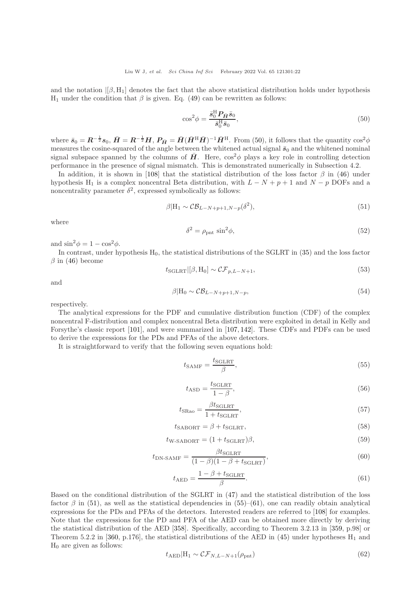and the notation  $|[\beta, H_1]$  denotes the fact that the above statistical distribution holds under hypothesis H<sub>1</sub> under the condition that  $\beta$  is given. Eq. [\(49\)](#page-20-3) can be rewritten as follows:

<span id="page-21-0"></span>
$$
\cos^2 \phi = \frac{\bar{s}_0^{\rm H} \mathbf{P}_{\bar{H}} \bar{s}_0}{\bar{s}_0^{\rm H} \bar{s}_0},\tag{50}
$$

where  $\bar{s}_0 = \mathbf{R}^{-\frac{1}{2}} s_0$ ,  $\bar{\mathbf{H}} = \mathbf{R}^{-\frac{1}{2}} \mathbf{H}$ ,  $\mathbf{P}_{\bar{\mathbf{H}}} = \bar{\mathbf{H}} (\bar{\mathbf{H}}^{\mathrm{H}} \bar{\mathbf{H}})^{-1} \bar{\mathbf{H}}^{\mathrm{H}}$ . From [\(50\)](#page-21-0), it follows that the quantity  $\cos^2 \phi$ measures the cosine-squared of the angle between the whitened actual signal  $\bar{s}_0$  and the whitened nominal signal subspace spanned by the columns of  $\bar{H}$ . Here,  $\cos^2 \phi$  plays a key role in controlling detection performance in the presence of signal mismatch. This is demonstrated numerically in Subsection 4.2.

In addition, it is shown in [\[108\]](#page-32-20) that the statistical distribution of the loss factor  $\beta$  in [\(46\)](#page-20-4) under hypothesis H<sub>1</sub> is a complex noncentral Beta distribution, with  $L - N + p + 1$  and  $N - p$  DOFs and a noncentrality parameter  $\delta^2$ , expressed symbolically as follows:

<span id="page-21-1"></span>
$$
\beta | \mathcal{H}_1 \sim \mathcal{CB}_{L-N+p+1,N-p}(\delta^2), \tag{51}
$$

where

$$
\delta^2 = \rho_{\rm{pnt}} \sin^2 \phi,\tag{52}
$$

and  $\sin^2 \phi = 1 - \cos^2 \phi$ .

In contrast, under hypothesis  $H_0$ , the statistical distributions of the SGLRT in [\(35\)](#page-19-0) and the loss factor  $\beta$  in [\(46\)](#page-20-4) become

<span id="page-21-4"></span>
$$
t_{\text{SGLRT}}\left[ \left[ \beta, \mathcal{H}_0 \right] \sim \mathcal{CF}_{p, L-N+1}, \tag{53}
$$

and

<span id="page-21-5"></span>
$$
\beta|H_0 \sim \mathcal{CB}_{L-N+p+1,N-p},\tag{54}
$$

respectively.

The analytical expressions for the PDF and cumulative distribution function (CDF) of the complex noncentral F-distribution and complex noncentral Beta distribution were exploited in detail in Kelly and Forsythe's classic report [\[101\]](#page-32-13), and were summarized in [\[107,](#page-32-19) [142\]](#page-33-14). These CDFs and PDFs can be used to derive the expressions for the PDs and PFAs of the above detectors.

It is straightforward to verify that the following seven equations hold:

<span id="page-21-2"></span>
$$
t_{\text{SAMF}} = \frac{t_{\text{SGLRT}}}{\beta},\tag{55}
$$

$$
t_{\rm ASD} = \frac{t_{\rm SGLRT}}{1 - \beta},\tag{56}
$$

$$
t_{\text{SRAo}} = \frac{\beta t_{\text{SGLRT}}}{1 + t_{\text{SGLRT}}},\tag{57}
$$

$$
t_{\text{SABORT}} = \beta + t_{\text{SGLRT}},\tag{58}
$$

$$
t_{\text{W-SABORT}} = (1 + t_{\text{SGLRT}})\beta,\tag{59}
$$

$$
t_{\rm DN-SAMF} = \frac{\beta t_{\rm SGLRT}}{(1-\beta)(1-\beta+t_{\rm SGLRT})},\tag{60}
$$

<span id="page-21-3"></span>
$$
t_{\rm AED} = \frac{1 - \beta + t_{\rm SGLRT}}{\beta}.
$$
\n(61)

Based on the conditional distribution of the SGLRT in [\(47\)](#page-20-5) and the statistical distribution of the loss factor  $\beta$  in [\(51\)](#page-21-1), as well as the statistical dependencies in [\(55\)](#page-21-2)–[\(61\)](#page-21-3), one can readily obtain analytical expressions for the PDs and PFAs of the detectors. Interested readers are referred to [\[108\]](#page-32-20) for examples. Note that the expressions for the PD and PFA of the AED can be obtained more directly by deriving the statistical distribution of the AED [\[358\]](#page-38-31). Specifically, according to Theorem 3.2.13 in [\[359,](#page-38-32) p.98] or Theorem 5.2.2 in [\[360,](#page-38-33) p.176], the statistical distributions of the AED in [\(45\)](#page-20-2) under hypotheses  $H_1$  and  $H_0$  are given as follows:

$$
t_{\rm AED}|\mathbf{H}_1 \sim \mathcal{CF}_{N,L-N+1}(\rho_{\rm pnt})\tag{62}
$$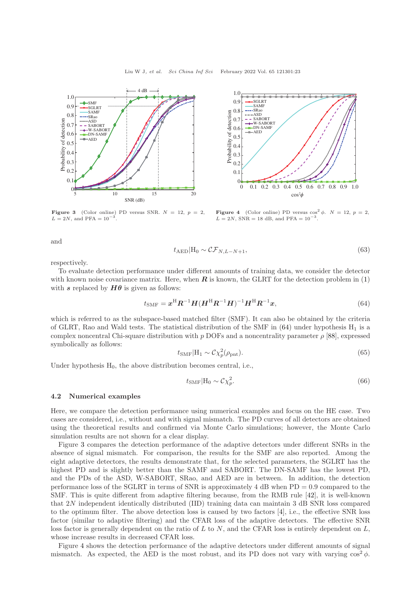<span id="page-22-1"></span>



**Figure 3** (Color online) PD versus SNR.  $N = 12$ ,  $p = 2$ ,  $L = 2N$ , and PFA =  $10^{-3}$ .

**Figure 4** (Color online) PD versus  $\cos^2 \phi$ .  $N = 12$ ,  $p = 2$ ,  $L = 2N$ , SNR = 18 dB, and PFA =  $10^{-3}$ .

and

$$
t_{\text{AED}}|\mathcal{H}_0 \sim \mathcal{CF}_{N,L-N+1},\tag{63}
$$

respectively.

To evaluate detection performance under different amounts of training data, we consider the detector with known noise covariance matrix. Here, when  $\bf{R}$  is known, the GLRT for the detection problem in [\(1\)](#page-2-0) with s replaced by  $H\theta$  is given as follows:

<span id="page-22-0"></span>
$$
t_{\text{SMF}} = \boldsymbol{x}^{\text{H}} \boldsymbol{R}^{-1} \boldsymbol{H} (\boldsymbol{H}^{\text{H}} \boldsymbol{R}^{-1} \boldsymbol{H})^{-1} \boldsymbol{H}^{\text{H}} \boldsymbol{R}^{-1} \boldsymbol{x}, \tag{64}
$$

which is referred to as the subspace-based matched filter (SMF). It can also be obtained by the criteria of GLRT, Rao and Wald tests. The statistical distribution of the SMF in  $(64)$  under hypothesis  $H_1$  is a complex noncentral Chi-square distribution with p DOFs and a noncentrality parameter  $\rho$  [\[88\]](#page-32-0), expressed symbolically as follows:

$$
t_{\rm SMF}|H_1 \sim \mathcal{C} \chi_p^2(\rho_{\rm pnt}).\tag{65}
$$

Under hypothesis  $H_0$ , the above distribution becomes central, i.e.,

$$
t_{\text{SMF}}|\mathcal{H}_0 \sim \mathcal{C}\chi_p^2. \tag{66}
$$

#### 4.2 Numerical examples

Here, we compare the detection performance using numerical examples and focus on the HE case. Two cases are considered, i.e., without and with signal mismatch. The PD curves of all detectors are obtained using the theoretical results and confirmed via Monte Carlo simulations; however, the Monte Carlo simulation results are not shown for a clear display.

Figure [3](#page-22-1) compares the detection performance of the adaptive detectors under different SNRs in the absence of signal mismatch. For comparison, the results for the SMF are also reported. Among the eight adaptive detectors, the results demonstrate that, for the selected parameters, the SGLRT has the highest PD and is slightly better than the SAMF and SABORT. The DN-SAMF has the lowest PD, and the PDs of the ASD, W-SABORT, SRao, and AED are in between. In addition, the detection performance loss of the SGLRT in terms of SNR is approximately 4 dB when  $PD = 0.9$  compared to the SMF. This is quite different from adaptive filtering because, from the RMB rule [\[42\]](#page-30-27), it is well-known that 2N independent identically distributed (IID) training data can maintain 3 dB SNR loss compared to the optimum filter. The above detection loss is caused by two factors [\[4\]](#page-30-2), i.e., the effective SNR loss factor (similar to adaptive filtering) and the CFAR loss of the adaptive detectors. The effective SNR loss factor is generally dependent on the ratio of L to N, and the CFAR loss is entirely dependent on  $L$ , whose increase results in decreased CFAR loss.

Figure [4](#page-22-1) shows the detection performance of the adaptive detectors under different amounts of signal mismatch. As expected, the AED is the most robust, and its PD does not vary with varying  $\cos^2 \phi$ .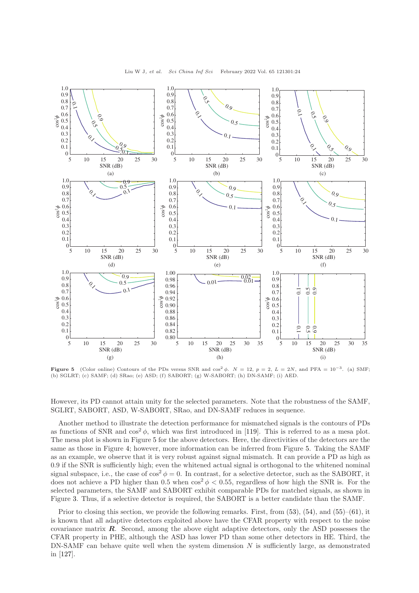<span id="page-23-0"></span>

**Figure 5** (Color online) Contours of the PDs versus SNR and  $\cos^2 \phi$ .  $N = 12$ ,  $p = 2$ ,  $L = 2N$ , and PFA =  $10^{-3}$ . (a) SMF; (b) SGLRT; (c) SAMF; (d) SRao; (e) ASD; (f) SABORT; (g) W-SABORT; (h) DN-SAMF; (i) AED.

However, its PD cannot attain unity for the selected parameters. Note that the robustness of the SAMF, SGLRT, SABORT, ASD, W-SABORT, SRao, and DN-SAMF reduces in sequence.

Another method to illustrate the detection performance for mismatched signals is the contours of PDs as functions of SNR and  $\cos^2 \phi$ , which was first introduced in [\[119\]](#page-32-28). This is referred to as a mesa plot. The mesa plot is shown in Figure [5](#page-23-0) for the above detectors. Here, the directivities of the detectors are the same as those in Figure [4;](#page-22-1) however, more information can be inferred from Figure [5.](#page-23-0) Taking the SAMF as an example, we observe that it is very robust against signal mismatch. It can provide a PD as high as 0.9 if the SNR is sufficiently high; even the whitened actual signal is orthogonal to the whitened nominal signal subspace, i.e., the case of  $\cos^2 \phi = 0$ . In contrast, for a selective detector, such as the SABORT, it does not achieve a PD higher than 0.5 when  $\cos^2 \phi < 0.55$ , regardless of how high the SNR is. For the selected parameters, the SAMF and SABORT exhibit comparable PDs for matched signals, as shown in Figure [3.](#page-22-1) Thus, if a selective detector is required, the SABORT is a better candidate than the SAMF.

Prior to closing this section, we provide the following remarks. First, from [\(53\)](#page-21-4), [\(54\)](#page-21-5), and [\(55\)](#page-21-2)–[\(61\)](#page-21-3), it is known that all adaptive detectors exploited above have the CFAR property with respect to the noise covariance matrix  $\mathbf{R}$ . Second, among the above eight adaptive detectors, only the ASD possesses the CFAR property in PHE, although the ASD has lower PD than some other detectors in HE. Third, the  $DN-SAMF$  can behave quite well when the system dimension N is sufficiently large, as demonstrated in [\[127\]](#page-33-1).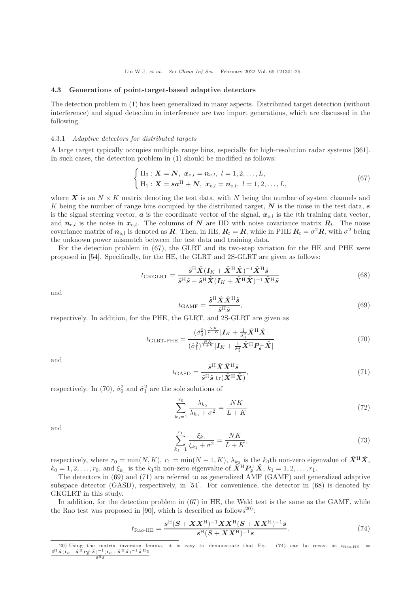## 4.3 Generations of point-target-based adaptive detectors

The detection problem in [\(1\)](#page-2-0) has been generalized in many aspects. Distributed target detection (without interference) and signal detection in interference are two import generations, which are discussed in the following.

#### 4.3.1 Adaptive detectors for distributed targets

A large target typically occupies multiple range bins, especially for high-resolution radar systems [\[361\]](#page-38-34). In such cases, the detection problem in [\(1\)](#page-2-0) should be modified as follows:

<span id="page-24-0"></span>
$$
\begin{cases} H_0: \mathbf{X} = \mathbf{N}, \ \mathbf{x}_{e,l} = \mathbf{n}_{e,l}, \ l = 1, 2, \dots, L, \\ H_1: \mathbf{X} = \mathbf{sa}^{\mathrm{H}} + \mathbf{N}, \ \mathbf{x}_{e,l} = \mathbf{n}_{e,l}, \ l = 1, 2, \dots, L, \end{cases}
$$
(67)

where X is an  $N \times K$  matrix denoting the test data, with N being the number of system channels and K being the number of range bins occupied by the distributed target,  $N$  is the noise in the test data, s is the signal steering vector,  $\boldsymbol{a}$  is the coordinate vector of the signal,  $\boldsymbol{x}_{e,l}$  is the *l*th training data vector, and  $n_{e,l}$  is the noise in  $x_{e,l}$ . The columns of N are IID with noise covariance matrix  $R_t$ . The noise covariance matrix of  $n_{e,l}$  is denoted as  $R$ . Then, in HE,  $R_t = R$ , while in PHE  $R_t = \sigma^2 R$ , with  $\sigma^2$  being the unknown power mismatch between the test data and training data.

For the detection problem in [\(67\)](#page-24-0), the GLRT and its two-step variation for the HE and PHE were proposed in [\[54\]](#page-31-7). Specifically, for the HE, the GLRT and 2S-GLRT are given as follows:

<span id="page-24-4"></span>
$$
t_{\text{GKGLRT}} = \frac{\tilde{s}^{\text{H}} \tilde{X} (I_K + \tilde{X}^{\text{H}} \tilde{X})^{-1} \tilde{X}^{\text{H}} \tilde{s}}{\tilde{s}^{\text{H}} \tilde{s} - \tilde{s}^{\text{H}} \tilde{X} (I_K + \tilde{X}^{\text{H}} \tilde{X})^{-1} \tilde{X}^{\text{H}} \tilde{s}}
$$
(68)

and

<span id="page-24-2"></span>
$$
t_{\text{GAMF}} = \frac{\tilde{s}^{\text{H}} \tilde{X} \tilde{X}^{\text{H}} \tilde{s}}{\tilde{s}^{\text{H}} \tilde{s}},\tag{69}
$$

respectively. In addition, for the PHE, the GLRT, and 2S-GLRT are given as

<span id="page-24-1"></span>
$$
t_{\text{GLRT-PHE}} = \frac{(\hat{\sigma}_0^2)^{\frac{NK}{L+K}} |I_K + \frac{1}{\hat{\sigma}_0^2} \tilde{X}^{\text{H}} \tilde{X}|}{(\hat{\sigma}_1^2)^{\frac{NK}{L+K}} |I_K + \frac{1}{\hat{\sigma}_1^2} \tilde{X}^{\text{H}} P_{\tilde{s}}^{\perp} \tilde{X}|}
$$
(70)

and

<span id="page-24-3"></span>
$$
t_{\text{GASD}} = \frac{\tilde{s}^{\text{H}} \tilde{X} \tilde{X}^{\text{H}} \tilde{s}}{\tilde{s}^{\text{H}} \tilde{s} \operatorname{tr}(\tilde{X}^{\text{H}} \tilde{X})},\tag{71}
$$

respectively. In [\(70\)](#page-24-1),  $\hat{\sigma}_0^2$  and  $\hat{\sigma}_1^2$  are the sole solutions of

<span id="page-24-6"></span>
$$
\sum_{k_0=1}^{r_0} \frac{\lambda_{k_0}}{\lambda_{k_0} + \sigma^2} = \frac{NK}{L+K}
$$
\n(72)

and

<span id="page-24-7"></span>
$$
\sum_{k_1=1}^{r_1} \frac{\xi_{k_1}}{\xi_{k_1} + \sigma^2} = \frac{NK}{L+K},\tag{73}
$$

respectively, where  $r_0 = \min(N, K)$ ,  $r_1 = \min(N - 1, K)$ ,  $\lambda_{k_0}$  is the k<sub>0</sub>th non-zero eigenvalue of  $\tilde{X}^{\text{H}}\tilde{X}$ ,  $k_0 = 1, 2, \ldots, r_0$ , and  $\xi_{k_1}$  is the  $k_1$ th non-zero eigenvalue of  $\tilde{X}^{\rm H} P_{\tilde{s}}^{\perp} \tilde{X}$ ,  $k_1 = 1, 2, \ldots, r_1$ .

The detectors in [\(69\)](#page-24-2) and [\(71\)](#page-24-3) are referred to as generalized AMF (GAMF) and generalized adaptive subspace detector (GASD), respectively, in [\[54\]](#page-31-7). For convenience, the detector in [\(68\)](#page-24-4) is denoted by GKGLRT in this study.

In addition, for the detection problem in [\(67\)](#page-24-0) in HE, the Wald test is the same as the GAMF, while the Rao test was proposed in [\[90\]](#page-32-2), which is described as follows<sup>20</sup>:

<span id="page-24-5"></span>
$$
t_{\text{Rao-HE}} = \frac{s^{\text{H}}(S + XX^{\text{H}})^{-1}XX^{\text{H}}(S + XX^{\text{H}})^{-1}s}{s^{\text{H}}(S + XX^{\text{H}})^{-1}s}.
$$
\n(74)

<sup>20)</sup> Using the matrix inversion lemma, it is easy to demonstrate that Eq. [\(74\)](#page-24-5) can be recast as  $t_{\text{Rao-HE}} = \frac{s^H \bar{X}(I_K + \bar{X}^H P_s^{\perp} \bar{X})^{-1} (\bar{I}_K + \bar{X}^H \bar{X})^{-1} \bar{X}^H s}{s^H s^2}$ .  $\tilde{s}^{\mathrm{H}}\tilde{s}$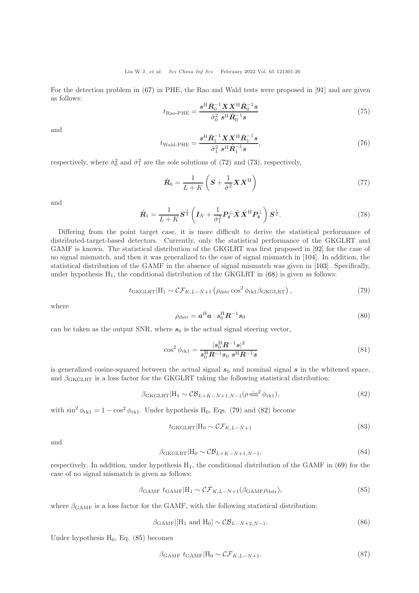For the detection problem in [\(67\)](#page-24-0) in PHE, the Rao and Wald tests were proposed in [\[91\]](#page-32-3) and are given as follows:

$$
t_{\text{Rao-PHE}} = \frac{s^{\text{H}} \hat{R}_0^{-1} X X^{\text{H}} \hat{R}_0^{-1} s}{\hat{\sigma}_0^2 s^{\text{H}} \hat{R}_0^{-1} s}
$$
(75)

and

$$
t_{\text{Wald-PHE}} = \frac{s^{\text{H}} \hat{R}_{1}^{-1} X X^{\text{H}} \hat{R}_{1}^{-1} s}{\hat{\sigma}_{1}^{2} s^{\text{H}} \hat{R}_{1}^{-1} s},\tag{76}
$$

respectively, where  $\hat{\sigma}_0^2$  and  $\hat{\sigma}_1^2$  are the sole solutions of [\(72\)](#page-24-6) and [\(73\)](#page-24-7), respectively,

$$
\hat{\boldsymbol{R}}_0 = \frac{1}{L+K} \left( \boldsymbol{S} + \frac{1}{\hat{\sigma}^2} \boldsymbol{X} \boldsymbol{X}^{\mathrm{H}} \right) \tag{77}
$$

and

$$
\hat{\boldsymbol{R}}_1 = \frac{1}{L+K} \boldsymbol{S}^{\frac{1}{2}} \left( \boldsymbol{I}_N + \frac{1}{\hat{\sigma}_1^2} \boldsymbol{P}_{\tilde{\boldsymbol{s}}}^\perp \tilde{\boldsymbol{X}} \tilde{\boldsymbol{X}}^{\mathrm{H}} \boldsymbol{P}_{\tilde{\boldsymbol{s}}}^\perp \right) \boldsymbol{S}^{\frac{1}{2}}.
$$
\n(78)

Differing from the point target case, it is more difficult to derive the statistical performance of distributed-target-based detectors. Currently, only the statistical performance of the GKGLRT and GAMF is known. The statistical distribution of the GKGLRT was first proposed in [\[92\]](#page-32-4) for the case of no signal mismatch, and then it was generalized to the case of signal mismatch in [\[104\]](#page-32-16). In addition, the statistical distribution of the GAMF in the absence of signal mismatch was given in [\[103\]](#page-32-15). Specifically, under hypothesis  $H_1$ , the conditional distribution of the GKGLRT in  $(68)$  is given as follows:

<span id="page-25-0"></span>
$$
t_{\text{GKGLRT}}|\mathcal{H}_1 \sim \mathcal{CF}_{K,L-N+1}\left(\rho_{\text{dstr}}\cos^2\phi_{\text{rk1}}\beta_{\text{GKGLRT}}\right),\tag{79}
$$

where

$$
\rho_{\text{dstr}} = \boldsymbol{a}^{\text{H}} \boldsymbol{a} \cdot \boldsymbol{s}_0^{\text{H}} \boldsymbol{R}^{-1} \boldsymbol{s}_0 \tag{80}
$$

can be taken as the output SNR, where  $s_0$  is the actual signal steering vector,

$$
\cos^2 \phi_{\rm rk1} = \frac{|s_0^{\rm H} \mathbf{R}^{-1} s|^2}{s_0^{\rm H} \mathbf{R}^{-1} s_0 \ s^{\rm H} \mathbf{R}^{-1} s}
$$
(81)

is generalized cosine-squared between the actual signal  $s_0$  and nominal signal s in the whitened space, and  $\beta_{GKGLRT}$  is a loss factor for the GKGLRT taking the following statistical distribution:

<span id="page-25-1"></span>
$$
\beta_{\text{GKGLRT}}|\mathbf{H}_1 \sim \mathcal{CB}_{L+K-N+1,N-1}(\rho \sin^2 \phi_{\text{rk}1}),\tag{82}
$$

with  $\sin^2 \phi_{\text{rk}1} = 1 - \cos^2 \phi_{\text{rk}1}$ . Under hypothesis H<sub>0</sub>, Eqs. [\(79\)](#page-25-0) and [\(82\)](#page-25-1) become

$$
t_{\text{GKGLRT}}|\mathbf{H}_0 \sim \mathcal{CF}_{K,L-N+1} \tag{83}
$$

and

$$
\beta_{\text{GKGLRT}}|H_0 \sim \mathcal{CB}_{L+K-N+1,N-1},\tag{84}
$$

respectively. In addition, under hypothesis  $H_1$ , the conditional distribution of the GAMF in [\(69\)](#page-24-2) for the case of no signal mismatch is given as follows:

<span id="page-25-2"></span>
$$
\beta_{\text{GAMF}} \ t_{\text{GAMF}} | \mathbf{H}_1 \sim \mathcal{CF}_{K, L-N+1}(\beta_{\text{GAMF}} \rho_{\text{dstr}}), \tag{85}
$$

where  $\beta_{\text{GAMF}}$  is a loss factor for the GAMF, with the following statistical distribution:

$$
\beta_{\text{GAMF}}|[H_1 \text{ and } H_0] \sim \mathcal{C}\mathcal{B}_{L-N+2,N-1}.\tag{86}
$$

Under hypothesis  $H_0$ , Eq. [\(85\)](#page-25-2) becomes

$$
\beta_{\text{GAMF}} \ t_{\text{GAMF}} | \mathcal{H}_0 \sim \mathcal{CF}_{K, L-N+1}.
$$
\n(87)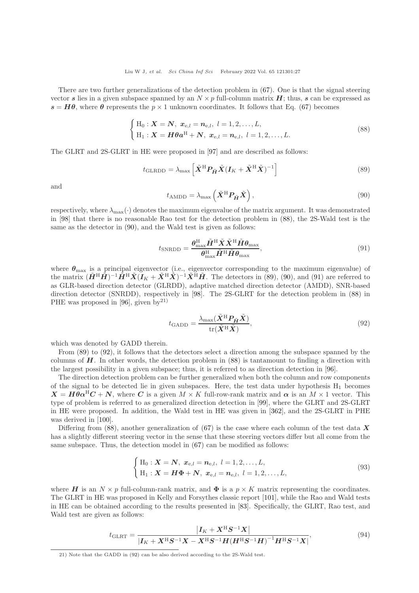There are two further generalizations of the detection problem in  $(67)$ . One is that the signal steering vector s lies in a given subspace spanned by an  $N \times p$  full-column matrix H; thus, s can be expressed as  $s = H\theta$ , where  $\theta$  represents the  $p \times 1$  unknown coordinates. It follows that Eq. [\(67\)](#page-24-0) becomes

<span id="page-26-0"></span>
$$
\begin{cases} H_0: \mathbf{X} = \mathbf{N}, \ \mathbf{x}_{e,l} = \mathbf{n}_{e,l}, \ l = 1, 2, \dots, L, \\ H_1: \mathbf{X} = \mathbf{H} \boldsymbol{\theta} \mathbf{a}^{\mathrm{H}} + \mathbf{N}, \ \mathbf{x}_{e,l} = \mathbf{n}_{e,l}, \ l = 1, 2, \dots, L. \end{cases} \tag{88}
$$

The GLRT and 2S-GLRT in HE were proposed in [\[97\]](#page-32-9) and are described as follows:

<span id="page-26-2"></span>
$$
t_{\text{GLRDD}} = \lambda_{\text{max}} \left[ \tilde{\mathbf{X}}^{\text{H}} \mathbf{P}_{\tilde{\mathbf{H}}} \tilde{\mathbf{X}} (\mathbf{I}_K + \tilde{\mathbf{X}}^{\text{H}} \tilde{\mathbf{X}})^{-1} \right]
$$
(89)

and

<span id="page-26-1"></span>
$$
t_{\text{AMDD}} = \lambda_{\text{max}} \left( \tilde{\mathbf{X}}^{\text{H}} \mathbf{P}_{\tilde{\mathbf{H}}} \tilde{\mathbf{X}} \right), \tag{90}
$$

respectively, where  $\lambda_{\text{max}}(\cdot)$  denotes the maximum eigenvalue of the matrix argument. It was demonstrated in [\[98\]](#page-32-10) that there is no reasonable Rao test for the detection problem in [\(88\)](#page-26-0), the 2S-Wald test is the same as the detector in [\(90\)](#page-26-1), and the Wald test is given as follows:

<span id="page-26-3"></span>
$$
t_{\text{SNRDD}} = \frac{\theta_{\text{max}}^{\text{H}} \tilde{H}^{\text{H}} \tilde{X} \tilde{X}^{\text{H}} \tilde{H} \theta_{\text{max}}}{\theta_{\text{max}}^{\text{H}} \tilde{H}^{\text{H}} \tilde{H} \theta_{\text{max}}},
$$
\n(91)

where  $\theta_{\text{max}}$  is a principal eigenvector (i.e., eigenvector corresponding to the maximum eigenvalue) of the matrix  $(\tilde{H}^{\rm H} \tilde{H})^{-1} \tilde{H}^{\rm H} \tilde{X}(\tilde{I}_K + \tilde{X}^{\rm H} \tilde{X})^{-1} \tilde{X}^{\rm H} \tilde{H}$ . The detectors in [\(89\)](#page-26-2), [\(90\)](#page-26-1), and [\(91\)](#page-26-3) are referred to as GLR-based direction detector (GLRDD), adaptive matched direction detector (AMDD), SNR-based direction detector (SNRDD), respectively in [\[98\]](#page-32-10). The 2S-GLRT for the detection problem in [\(88\)](#page-26-0) in PHE was proposed in [\[96\]](#page-32-8), given by<sup>21)</sup>

<span id="page-26-4"></span>
$$
t_{\text{GADD}} = \frac{\lambda_{\text{max}}(\tilde{X}^{\text{H}} P_{\tilde{H}} \tilde{X})}{\text{tr}(\tilde{X}^{\text{H}} \tilde{X})},\tag{92}
$$

which was denoted by GADD therein.

From [\(89\)](#page-26-2) to [\(92\)](#page-26-4), it follows that the detectors select a direction among the subspace spanned by the columns of  $H$ . In other words, the detection problem in  $(88)$  is tantamount to finding a direction with the largest possibility in a given subspace; thus, it is referred to as direction detection in [\[96\]](#page-32-8).

The direction detection problem can be further generalized when both the column and row components of the signal to be detected lie in given subspaces. Here, the test data under hypothesis  $H_1$  becomes  $X = H\theta \alpha^{H}C + N$ , where C is a given  $M \times K$  full-row-rank matrix and  $\alpha$  is an  $M \times 1$  vector. This type of problem is referred to as generalized direction detection in [\[99\]](#page-32-11), where the GLRT and 2S-GLRT in HE were proposed. In addition, the Wald test in HE was given in [\[362\]](#page-38-35), and the 2S-GLRT in PHE was derived in [\[100\]](#page-32-12).

Differing from [\(88\)](#page-26-0), another generalization of [\(67\)](#page-24-0) is the case where each column of the test data X has a slightly different steering vector in the sense that these steering vectors differ but all come from the same subspace. Thus, the detection model in [\(67\)](#page-24-0) can be modified as follows:

<span id="page-26-5"></span>
$$
\begin{cases} H_0: \mathbf{X} = \mathbf{N}, \ \mathbf{x}_{e,l} = \mathbf{n}_{e,l}, \ l = 1, 2, \dots, L, \\ H_1: \mathbf{X} = \mathbf{H} \Phi + \mathbf{N}, \ \mathbf{x}_{e,l} = \mathbf{n}_{e,l}, \ l = 1, 2, \dots, L, \end{cases}
$$
\n(93)

where H is an  $N \times p$  full-column-rank matrix, and  $\Phi$  is a  $p \times K$  matrix representing the coordinates. The GLRT in HE was proposed in Kelly and Forsythes classic report [\[101\]](#page-32-13), while the Rao and Wald tests in HE can be obtained according to the results presented in [\[83\]](#page-31-32). Specifically, the GLRT, Rao test, and Wald test are given as follows:

$$
t_{\text{GLRT}} = \frac{|I_K + X^{\text{H}} S^{-1} X|}{|I_K + X^{\text{H}} S^{-1} X - X^{\text{H}} S^{-1} H (H^{\text{H}} S^{-1} H)^{-1} H^{\text{H}} S^{-1} X|},
$$
(94)

<sup>21)</sup> Note that the GADD in [\(92\)](#page-26-4) can be also derived according to the 2S-Wald test.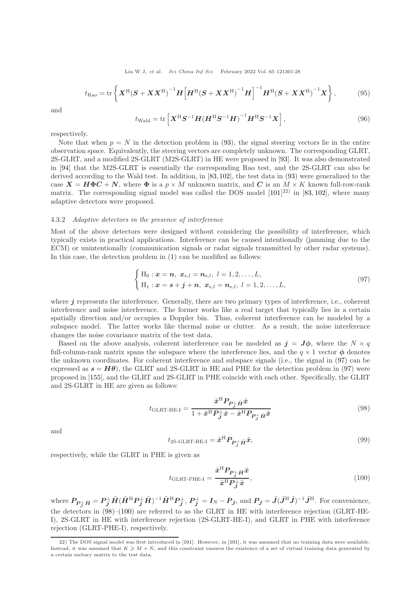Liu W J, et al. Sci China Inf Sci February 2022 Vol. 65 121301:28

$$
t_{\text{Rao}} = \text{tr}\left\{ \boldsymbol{X}^{\text{H}}(\boldsymbol{S} + \boldsymbol{X}\boldsymbol{X}^{\text{H}})^{-1}\boldsymbol{H} \left[ \boldsymbol{H}^{\text{H}}(\boldsymbol{S} + \boldsymbol{X}\boldsymbol{X}^{\text{H}})^{-1}\boldsymbol{H} \right]^{-1} \boldsymbol{H}^{\text{H}}(\boldsymbol{S} + \boldsymbol{X}\boldsymbol{X}^{\text{H}})^{-1}\boldsymbol{X} \right\},\tag{95}
$$

and

$$
t_{\text{Wald}} = \text{tr}\left[\boldsymbol{X}^{\text{H}}\boldsymbol{S}^{-1}\boldsymbol{H}(\boldsymbol{H}^{\text{H}}\boldsymbol{S}^{-1}\boldsymbol{H})^{-1}\boldsymbol{H}^{\text{H}}\boldsymbol{S}^{-1}\boldsymbol{X}\right],\tag{96}
$$

respectively.

Note that when  $p = N$  in the detection problem in [\(93\)](#page-26-5), the signal steering vectors lie in the entire observation space. Equivalently, the steering vectors are completely unknown. The corresponding GLRT, 2S-GLRT, and a modified 2S-GLRT (M2S-GLRT) in HE were proposed in [\[93\]](#page-32-5). It was also demonstrated in [\[94\]](#page-32-6) that the M2S-GLRT is essentially the corresponding Rao test, and the 2S-GLRT can also be derived according to the Wald test. In addition, in [\[83,](#page-31-32)[102\]](#page-32-14), the test data in [\(93\)](#page-26-5) were generalized to the case  $X = H\Phi C + N$ , where  $\Phi$  is a  $p \times M$  unknown matrix, and C is an  $M \times K$  known full-row-rank matrix. The corresponding signal model was called the DOS model  $[101]^{22}$  in  $[83, 102]$  $[83, 102]$ , where many adaptive detectors were proposed.

## 4.3.2 Adaptive detectors in the presence of interference

Most of the above detectors were designed without considering the possibility of interference, which typically exists in practical applications. Interference can be caused intentionally (jamming due to the ECM) or unintentionally (communication signals or radar signals transmitted by other radar systems). In this case, the detection problem in [\(1\)](#page-2-0) can be modified as follows:

<span id="page-27-0"></span>
$$
\begin{cases} H_0: \mathbf{x} = \mathbf{n}, \ \mathbf{x}_{e,l} = \mathbf{n}_{e,l}, \ l = 1, 2, \dots, L, \\ H_1: \mathbf{x} = \mathbf{s} + \mathbf{j} + \mathbf{n}, \ \mathbf{x}_{e,l} = \mathbf{n}_{e,l}, \ l = 1, 2, \dots, L, \end{cases}
$$
\n(97)

where  $j$  represents the interference. Generally, there are two primary types of interference, i.e., coherent interference and noise interference. The former works like a real target that typically lies in a certain spatially direction and/or occupies a Doppler bin. Thus, coherent interference can be modeled by a subspace model. The latter works like thermal noise or clutter. As a result, the noise interference changes the noise covariance matrix of the test data.

Based on the above analysis, coherent interference can be modeled as  $j = J\phi$ , where the  $N \times q$ full-column-rank matrix spans the subspace where the interference lies, and the  $q \times 1$  vector  $\phi$  denotes the unknown coordinates. For coherent interference and subspace signals (i.e., the signal in [\(97\)](#page-27-0) can be expressed as  $s = H\theta$ , the GLRT and 2S-GLRT in HE and PHE for the detection problem in [\(97\)](#page-27-0) were proposed in [\[155\]](#page-33-24), and the GLRT and 2S-GLRT in PHE coincide with each other. Specifically, the GLRT and 2S-GLRT in HE are given as follows:

<span id="page-27-1"></span>
$$
t_{\text{GLRT-HE-I}} = \frac{\tilde{x}^{\text{H}} P_{P_{\bar{j}}} \tilde{H} \tilde{x}}{1 + \tilde{x}^{\text{H}} P_{\bar{j}} \tilde{x} - \tilde{x}^{\text{H}} P_{P_{\bar{j}}^{\perp}} \tilde{H} \tilde{x}}
$$
(98)

and

$$
t_{2\text{S-GLRT-HE-I}} = \tilde{x}^{\text{H}} P_{P_{\bar{J}}^{\perp} \tilde{H}} \tilde{x},\tag{99}
$$

respectively, while the GLRT in PHE is given as

<span id="page-27-2"></span>
$$
t_{\text{GLRT-PHE-I}} = \frac{\tilde{x}^{\text{H}} P_{P_j^{\perp}} \tilde{H}^{\tilde{x}}}{\tilde{x}^{\text{H}} P_{\tilde{J}}^{\perp} \tilde{x}},\tag{100}
$$

where  $P_{P_{\tilde{J}}^{\perp}\tilde{H}}=P_{\tilde{J}}^{\perp}\tilde{H}(\tilde{H}^{\rm H}P_{\tilde{J}}^{\perp}\tilde{H})^{-1}\tilde{H}^{\rm H}P_{\tilde{J}}^{\perp}, P_{\tilde{J}}^{\perp}=I_N-P_{\tilde{J}},$  and  $P_{\tilde{J}}=\tilde{J}(\tilde{J}^{\rm H}\tilde{J})^{-1}\tilde{J}^{\rm H}$ . For convenience, the detectors in [\(98\)](#page-27-1)–[\(100\)](#page-27-2) are referred to as the GLRT in HE with interference rejection (GLRT-HE-I), 2S-GLRT in HE with interference rejection (2S-GLRT-HE-I), and GLRT in PHE with interference rejection (GLRT-PHE-I), respectively.

<sup>22)</sup> The DOS signal model was first introduced in [\[101\]](#page-32-13). However, in [\[101\]](#page-32-13), it was assumed that no training data were available. Instead, it was assumed that  $K \geq M + N$ , and this constraint ensures the existence of a set of virtual training data generated by a certain unitary matrix to the test data.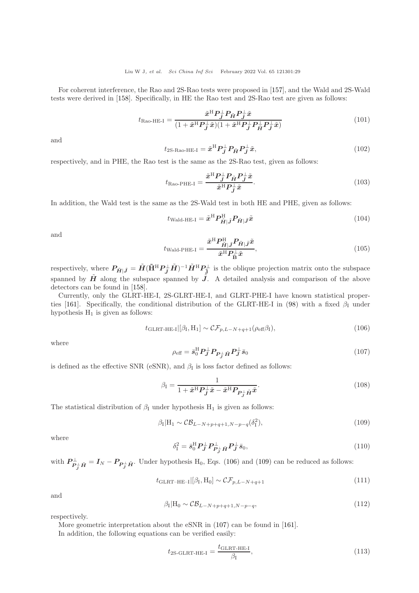For coherent interference, the Rao and 2S-Rao tests were proposed in [\[157\]](#page-33-26), and the Wald and 2S-Wald tests were derived in [\[158\]](#page-33-27). Specifically, in HE the Rao test and 2S-Rao test are given as follows:

$$
t_{\text{Rao-HE-I}} = \frac{\tilde{x}^{\text{H}} P_{\tilde{j}} P_{\tilde{H}} P_{\tilde{j}}^{\perp} \tilde{x}}{(1 + \tilde{x}^{\text{H}} P_{\tilde{j}}^{\perp} \tilde{x})(1 + \tilde{x}^{\text{H}} P_{\tilde{j}}^{\perp} P_{\tilde{H}}^{\perp} P_{\tilde{j}}^{\perp} \tilde{x})}
$$
(101)

and

$$
t_{2\text{S-Rao-HE-I}} = \tilde{\boldsymbol{x}}^{\text{H}} \boldsymbol{P}_{\tilde{\boldsymbol{j}}}^{\perp} \boldsymbol{P}_{\tilde{\boldsymbol{H}}} \boldsymbol{P}_{\tilde{\boldsymbol{j}}}^{\perp} \tilde{\boldsymbol{x}},\tag{102}
$$

respectively, and in PHE, the Rao test is the same as the 2S-Rao test, given as follows:

$$
t_{\text{Rao-PHE-I}} = \frac{\tilde{x}^{\text{H}} P_{\bar{J}}^{\perp} P_{\tilde{H}} P_{\bar{J}}^{\perp} \tilde{x}}{\tilde{x}^{\text{H}} P_{\bar{J}}^{\perp} \tilde{x}}.
$$
\n(103)

In addition, the Wald test is the same as the 2S-Wald test in both HE and PHE, given as follows:

$$
t_{\text{Wald-HE-I}} = \tilde{x}^{\text{H}} P_{\tilde{H}|\tilde{J}}^{\text{H}} P_{\tilde{H}|\tilde{J}} \tilde{x}
$$
\n(104)

and

$$
t_{\text{Wald-PHE-I}} = \frac{\tilde{x}^{\text{H}} P_{\tilde{H}|\tilde{J}}^{\text{H}} P_{\tilde{H}|\tilde{J}} \tilde{x}}{\tilde{x}^{\text{H}} P_{\tilde{B}}^{\perp} \tilde{x}},\tag{105}
$$

respectively, where  $P_{\tilde{H}|\tilde{J}} = \tilde{H} (\tilde{H}^{\text{H}} P_{\tilde{J}}^{\perp} \tilde{H})^{-1} \tilde{H}^{\text{H}} P_{\tilde{J}}^{\perp}$  is the oblique projection matrix onto the subspace spanned by  $\tilde{H}$  along the subspace spanned by  $\tilde{J}$ . A detailed analysis and comparison of the above detectors can be found in [\[158\]](#page-33-27).

Currently, only the GLRT-HE-I, 2S-GLRT-HE-I, and GLRT-PHE-I have known statistical proper-ties [\[161\]](#page-33-30). Specifically, the conditional distribution of the GLRT-HE-I in [\(98\)](#page-27-1) with a fixed  $\beta_I$  under hypothesis  $H_1$  is given as follows:

<span id="page-28-0"></span>
$$
t_{\text{GLRT-HE-I}}|[\beta_{\text{I}}, \text{H}_1] \sim \mathcal{CF}_{p, L-N+q+1}(\rho_{\text{eff}}\beta_{\text{I}}), \tag{106}
$$

where

<span id="page-28-2"></span>
$$
\rho_{\text{eff}} = \bar{s}_0^{\text{H}} P_{\bar{J}}^{\perp} P_{P_{\bar{J}}^{\perp} \tilde{H}} P_{\bar{J}}^{\perp} \bar{s}_0 \tag{107}
$$

is defined as the effective SNR (eSNR), and  $\beta_{\rm I}$  is loss factor defined as follows:

$$
\beta_{\rm I} = \frac{1}{1 + \tilde{x}^{\rm H} P_{\tilde{J}}^{\perp} \tilde{x} - \tilde{x}^{\rm H} P_{P_{\tilde{J}}^{\perp} \tilde{H}} \tilde{x}}.
$$
\n(108)

The statistical distribution of  $\beta_I$  under hypothesis H<sub>1</sub> is given as follows:

<span id="page-28-1"></span>
$$
\beta_{\rm I}|H_1 \sim \mathcal{CB}_{L-N+p+q+1,N-p-q}(\delta_{\rm I}^2),\tag{109}
$$

where

$$
\delta_{\mathrm{I}}^2 = \bar{s}_{0}^{\mathrm{H}} \mathbf{P}_{\bar{\mathbf{J}}}^{\perp} \mathbf{P}_{\mathbf{P}_{\bar{\mathbf{J}}}^{\perp} \bar{\mathbf{H}}}^{\perp} \mathbf{P}_{\bar{\mathbf{J}}}^{\perp} \bar{s}_{0},\tag{110}
$$

with  $P_{P_{\bar{j}}^{\perp} \tilde{H}}^{\perp} = I_N - P_{P_{\bar{j}}^{\perp} \tilde{H}}$ . Under hypothesis H<sub>0</sub>, Eqs. [\(106\)](#page-28-0) and [\(109\)](#page-28-1) can be reduced as follows:

<span id="page-28-4"></span>
$$
t_{\text{GLRT-HE-I}}|[\beta_{\text{I}},\text{H}_0] \sim \mathcal{CF}_{p,L-N+q+1} \tag{111}
$$

and

<span id="page-28-5"></span>
$$
\beta_I | H_0 \sim \mathcal{CB}_{L-N+p+q+1,N-p-q}, \qquad (112)
$$

respectively.

More geometric interpretation about the eSNR in [\(107\)](#page-28-2) can be found in [\[161\]](#page-33-30).

In addition, the following equations can be verified easily:

<span id="page-28-3"></span>
$$
t_{2\text{S-GLRT-HE-I}} = \frac{t_{\text{GLRT-HE-I}}}{\beta_{\text{I}}},\tag{113}
$$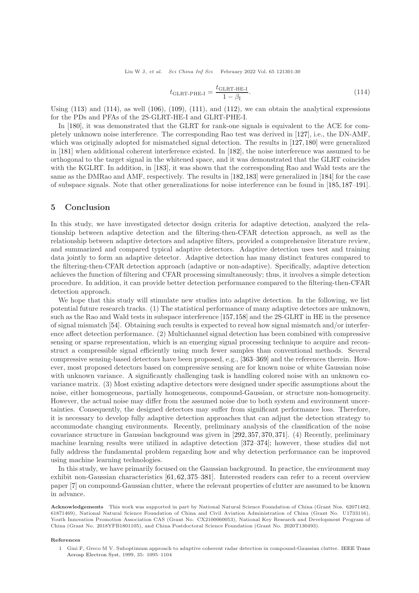Liu W J, et al. Sci China Inf Sci February 2022 Vol. 65 121301:30

<span id="page-29-1"></span>
$$
t_{\text{GLRT-PHE-I}} = \frac{t_{\text{GLRT-HE-I}}}{1 - \beta_{\text{I}}}.\tag{114}
$$

Using  $(113)$  and  $(114)$ , as well  $(106)$ ,  $(109)$ ,  $(111)$ , and  $(112)$ , we can obtain the analytical expressions for the PDs and PFAs of the 2S-GLRT-HE-I and GLRT-PHE-I.

In [\[180\]](#page-34-9), it was demonstrated that the GLRT for rank-one signals is equivalent to the ACE for completely unknown noise interference. The corresponding Rao test was derived in [\[127\]](#page-33-1), i.e., the DN-AMF, which was originally adopted for mismatched signal detection. The results in [\[127,](#page-33-1) [180\]](#page-34-9) were generalized in [\[181\]](#page-34-10) when additional coherent interference existed. In [\[182\]](#page-34-11), the noise interference was assumed to be orthogonal to the target signal in the whitened space, and it was demonstrated that the GLRT coincides with the KGLRT. In addition, in [\[183\]](#page-34-12), it was shown that the corresponding Rao and Wald tests are the same as the DMRao and AMF, respectively. The results in [\[182,](#page-34-11)[183\]](#page-34-12) were generalized in [\[184\]](#page-34-13) for the case of subspace signals. Note that other generalizations for noise interference can be found in [\[185,](#page-34-14)[187](#page-34-16)[–191\]](#page-34-19).

## 5 Conclusion

In this study, we have investigated detector design criteria for adaptive detection, analyzed the relationship between adaptive detection and the filtering-then-CFAR detection approach, as well as the relationship between adaptive detectors and adaptive filters, provided a comprehensive literature review, and summarized and compared typical adaptive detectors. Adaptive detection uses test and training data jointly to form an adaptive detector. Adaptive detection has many distinct features compared to the filtering-then-CFAR detection approach (adaptive or non-adaptive). Specifically, adaptive detection achieves the function of filtering and CFAR processing simultaneously; thus, it involves a simple detection procedure. In addition, it can provide better detection performance compared to the filtering-then-CFAR detection approach.

We hope that this study will stimulate new studies into adaptive detection. In the following, we list potential future research tracks. (1) The statistical performance of many adaptive detectors are unknown, such as the Rao and Wald tests in subspace interference [\[157,](#page-33-26)[158\]](#page-33-27) and the 2S-GLRT in HE in the presence of signal mismatch [\[54\]](#page-31-7). Obtaining such results is expected to reveal how signal mismatch and/or interference affect detection performance. (2) Multichannel signal detection has been combined with compressive sensing or sparse representation, which is an emerging signal processing technique to acquire and reconstruct a compressible signal efficiently using much fewer samples than conventional methods. Several compressive sensing-based detectors have been proposed, e.g., [\[363](#page-38-36)[–369\]](#page-39-1) and the references therein. However, most proposed detectors based on compressive sensing are for known noise or white Gaussian noise with unknown variance. A significantly challenging task is handling colored noise with an unknown covariance matrix. (3) Most existing adaptive detectors were designed under specific assumptions about the noise, either homogeneous, partially homogeneous, compound-Gaussian, or structure non-homogeneity. However, the actual noise may differ from the assumed noise due to both system and environment uncertainties. Consequently, the designed detectors may suffer from significant performance loss. Therefore, it is necessary to develop fully adaptive detection approaches that can adjust the detection strategy to accommodate changing environments. Recently, preliminary analysis of the classification of the noise covariance structure in Gaussian background was given in [\[292,](#page-37-4) [357,](#page-38-21) [370,](#page-39-2) [371\]](#page-39-3). (4) Recently, preliminary machine learning results were utilized in adaptive detection [\[372](#page-39-4)[–374\]](#page-39-5); however, these studies did not fully address the fundamental problem regarding how and why detection performance can be improved using machine learning technologies.

In this study, we have primarily focused on the Gaussian background. In practice, the environment may exhibit non-Gaussian characteristics [\[61,](#page-31-14) [62,](#page-31-15) [375](#page-39-6)[–381\]](#page-39-7). Interested readers can refer to a recent overview paper [\[7\]](#page-30-5) on compound-Gaussian clutter, where the relevant properties of clutter are assumed to be known in advance.

Acknowledgements This work was supported in part by National Natural Science Foundation of China (Grant Nos. 62071482, 61871469), National Natural Science Foundation of China and Civil Aviation Administration of China (Grant No. U1733116), Youth Innovation Promotion Association CAS (Grant No. CX2100060053), National Key Research and Development Program of China (Grant No. 2018YFB1801105), and China Postdoctoral Science Foundation (Grant No. 2020T130493).

#### <span id="page-29-0"></span>References

1 Gini F, Greco M V. Suboptimum approach to adaptive coherent radar detection in compound-Gaussian clutter. IEEE Trans Aerosp Electron Syst, 1999, 35: 1095–1104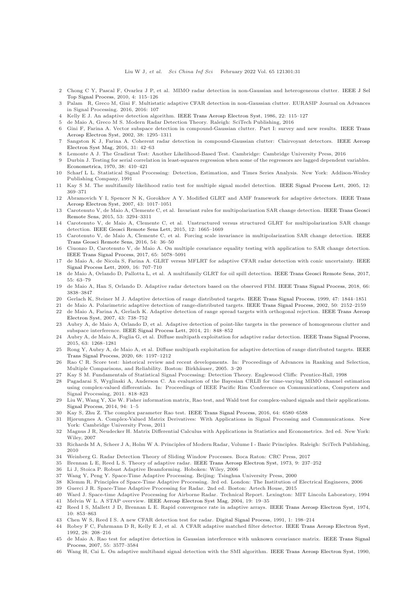- <span id="page-30-1"></span><span id="page-30-0"></span>2 Chong C Y, Pascal F, Ovarlez J P, et al. MIMO radar detection in non-Gaussian and heterogeneous clutter. IEEE J Sel Top Signal Process, 2010, 4: 115–126
- <span id="page-30-2"></span>3 Palam R, Greco M, Gini F. Multistatic adaptive CFAR detection in non-Gaussian clutter. EURASIP Journal on Advances in Signal Processing. 2016, 2016: 107
- <span id="page-30-3"></span>4 Kelly E J. An adaptive detection algorithm. [IEEE Trans Aerosp Electron Syst,](https://doi.org/10.1109/TAES.1986.310745) 1986, 22: 115–127
- <span id="page-30-4"></span>5 de Maio A, Greco M S. Modern Radar Detection Theory. Raleigh: SciTech Publishing, 2016
- <span id="page-30-5"></span>6 Gini F, Farina A. Vector subspace detection in compound-Gaussian clutter. Part I: survey and new results. IEEE Trans Aerosp Electron Syst, 2002, 38: 1295–1311
- 7 Sangston K J, Farina A. Coherent radar detection in compound-Gaussian clutter: Clairvoyant detectors. IEEE Aerosp Electron Syst Mag, 2016, 31: 42–63
- <span id="page-30-9"></span><span id="page-30-6"></span>8 Lemonte A J. The Gradient Test: Another Likelihood-Based Test. Cambridge: Cambridge University Press, 2016
- 9 Durbin J. Testing for serial correlation in least-squares regression when some of the regressors are lagged dependent variables. [Econometrica,](https://doi.org/10.2307/1909547) 1970, 38: 410–421
- <span id="page-30-10"></span>10 Scharf L L. Statistical Signal Processing: Detection, Estimation, and Times Series Analysis. New York: Addison-Wesley Publishing Company, 1991
- <span id="page-30-12"></span><span id="page-30-11"></span>11 Kay S M. The multifamily likelihood ratio test for multiple signal model detection. [IEEE Signal Process Lett,](https://doi.org/10.1109/LSP.2005.845590) 2005, 12: 369–371
- 12 Abramovich Y I, Spencer N K, Gorokhov A Y. Modified GLRT and AMF framework for adaptive detectors. IEEE Trans Aerosp Electron Syst, 2007, 43: 1017–1051
- 13 Carotenuto [V, de Maio A, Clemente C, et al. Invariant rules](https://doi.org/10.1109/TGRS.2014.2372900) for multipolarization SAR change detection. IEEE Trans Geosci Remote Sens, 2015, 53: 3294–3311
- 14 Carotenuto V, de Maio A, Clemente C, et al. Unstructured versus structured GLRT for multipolarization SAR change detection. [IEEE Geosci Remote Sens Lett,](https://doi.org/10.1109/LGRS.2015.2418575) 2015, 12: 1665–1669
- 15 Carotenuto V, de Maio A, [Clemente C, et al. Forcing scale invariance in multipolarization SAR change detection.](https://doi.org/10.1109/TGRS.2015.2449332) IEEE Trans Geosci Remote Sens, 2016, 54: 36–50
- 16 Ciuonzo D, Carotenuto V, de Maio A. On multiple covariance equality testing with application to SAR change detection. [IEEE Trans Signal Process,](https://doi.org/10.1109/TSP.2017.2712124) 2017, 65: 5078–5091
- 17 de Maio A, de Nicola S, Farina A. GLRT versus MFLRT for adaptive CFAR radar detection with conic uncertainty. IEEE Signal Process Lett, 2009, 16: 707–710
- 18 de Maio A, Orlando D, Pallotta L, et al. A multifamily GLRT for oil spill detection. [IEEE Trans Geosci Remote Sens,](https://doi.org/10.1109/TGRS.2016.2594867) 2017, 55: 63–79
- 19 de Maio A, Han S, Orlando D. Adaptive radar detectors based on the observed FIM. [IEEE Trans Signal Process,](https://doi.org/10.1109/TSP.2018.2838564) 2018, 66: 3838–3847
- 20 Gerlach K, Steiner M J. Adaptive detection of range distributed targets. [IEEE Trans Signal Process,](https://doi.org/10.1109/78.771034) 1999, 47: 1844–1851
- 21 de Maio A. Polarimetric adaptive detection of range-distributed targets. [IEEE Trans Signal Process,](https://doi.org/10.1109/TSP.2002.801925) 2002, 50: 2152–2159
- 22 de Maio A, Farina A, Gerlach K. Adaptive detection of range spread targets with orthogonal rejection. IEEE Trans Aerosp Electron Syst, 2007, 43: 738–752
- <span id="page-30-32"></span>23 Aubry A, de Maio A, Orlando D, et al. Adaptive detection of point-like targets in the presence of homogeneous clutter and subspace interference. [IEEE Signal Process Lett,](https://doi.org/10.1109/LSP.2014.2309434) 2014, 21: 848–852
- 24 Aubry A, de Maio A, Foglia G, et al. Diffuse multipath exploitation for adaptive radar detection. [IEEE Trans Signal Process,](https://doi.org/10.1109/TSP.2014.2388439) 2015, 63: 1268–1281
- <span id="page-30-7"></span>25 Rong Y, Aubry A, de Maio A, et al. Diffuse multipath exploitation for adaptive detection of range distributed targets. IEEE Trans Signal Process, 2020, 68: 1197–1212
- <span id="page-30-8"></span>26 Rao C R. Score test: historical review and recent developments. In: Proceedings of Advances in Ranking and Selection, Multiple Comparisons, and Reliability. Boston: Birkhäuser, 2005. 3–20
- <span id="page-30-14"></span><span id="page-30-13"></span>27 Kay S M. Fundamentals of Statistical Signal Processing: Detection Theory. Englewood Cliffs: Prentice-Hall, 1998
- 28 Pagadarai S, Wyglinski A, Anderson C. An evaluation of the Bayesian CRLB for time-varying MIMO channel estimation using complex-valued differentials. In: Proceedings of IEEE Pacific Rim Conference on Communications, Computers and Signal Processing, 2011. 818–823
- <span id="page-30-15"></span>29 Liu W, Wang Y, Xie W. Fisher information matrix, Rao test, and Wald test for complex-valued signals and their applications. [Signal Process,](https://doi.org/10.1016/j.sigpro.2013.06.032) 2014, 94: 1–5
- <span id="page-30-17"></span><span id="page-30-16"></span>30 Kay S, Zhu Z. The complex parameter Rao test. [IEEE Trans Signal Process,](https://doi.org/10.1109/TSP.2016.2613071) 2016, 64: 6580–6588
- 31 Hjørungnes A. Complex-Valued Matrix Derivatives: With Applications in Signal Processing and Communications. New York: Cambridge University Press, 2011
- <span id="page-30-18"></span>32 Magnus J R, Neudecker H. Matrix Differential Calculus with Applications in Statistics and Econometrics. 3rd ed. New York: Wiley, 2007
- <span id="page-30-19"></span>33 Richards M A, Scheer J A, Holm W A. Principles of Modern Radar, Volume I - Basic Principles. Raleigh: SciTech Publishing, 2010
- <span id="page-30-21"></span><span id="page-30-20"></span>34 Weinberg G. Radar Detection Theory of Sliding Window Processes. Boca Raton: CRC Press, 2017
- <span id="page-30-22"></span>35 Brennan L E, Reed L S. Theory of adaptive radar. [IEEE Trans Aerosp Electron Syst,](https://doi.org/10.1109/TAES.1973.309792) 1973, 9: 237–252
- <span id="page-30-23"></span>36 Li J, Stoica P. Robust Adaptive Beamforming. Hoboken: Wiley, 2006
- 37 Wang Y, Peng Y. Space-Time Adaptive Processing. Beijing: Tsinghua University Press, 2000
- <span id="page-30-24"></span>38 Klemm R. Principles of Space-Time Adaptive Processing. 3rd ed. London: The Institution of Electrical Engineers, 2006
- <span id="page-30-25"></span>39 Guerci J R. Space-Time Adaptive Processing for Radar. 2nd ed. Boston: Artech House, 2015
- <span id="page-30-26"></span>40 Ward J. Space-time Adaptive Processing for Airborne Radar. Technical Report. Lexington: MIT Lincoln Laboratory, 1994 41 Melvin W L. A STAP overview. [IEEE Aerosp Electron Syst Mag,](https://doi.org/10.1109/MAES.2004.1263229) 2004, 19: 19–35
- <span id="page-30-27"></span>42 Reed I S, Mallett J D, Brennan L E. Rapid convergence rate in adaptive arrays. [IEEE Trans Aerosp Electron Syst,](https://doi.org/10.1109/TAES.1974.307893) 1974, 10: 853–863
- <span id="page-30-29"></span><span id="page-30-28"></span>43 Chen W S, Reed I S. A new CFAR detection test for radar. [Digital Signal Process,](https://doi.org/10.1016/1051-2004(91)90113-Y) 1991, 1: 198–214
- 44 Robey F C, Fuhrmann D R, Kelly E J, et al. A CFAR adaptive matched filter detector. [IEEE Trans Aerosp Electron Syst,](https://doi.org/10.1109/7.135446) 1992, 28: 208–216
- <span id="page-30-30"></span>45 de Maio A. Rao test for adaptive detection in Gaussian interference with unknown covariance matrix. IEEE Trans Signal Process, 2007, 55: 3577–3584
- <span id="page-30-31"></span>46 Wang H, Cai L. On adaptive multiband signal detection with the SMI algorithm. [IEEE Trans Aerosp Electron Syst,](https://doi.org/10.1109/7.102712) 1990,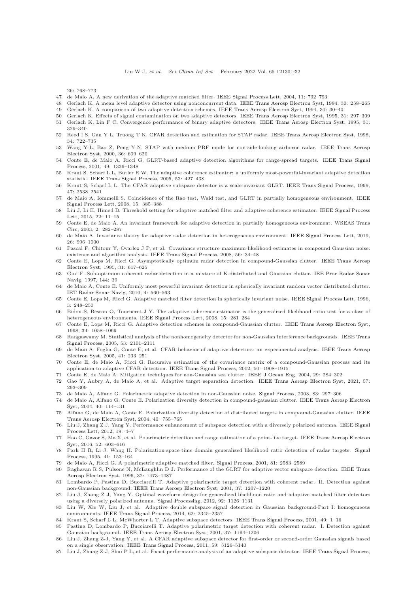26: 768–773

- <span id="page-31-1"></span><span id="page-31-0"></span>47 de Maio A. A new derivation of the adaptive matched filter. [IEEE Signal Process Lett,](https://doi.org/10.1109/LSP.2004.835464) 2004, 11: 792–793
- <span id="page-31-2"></span>48 Gerlach K. A mean level adaptive detector using nonconcurrent data. [IEEE Trans Aerosp Electron Syst,](https://doi.org/10.1109/7.250426) 1994, 30: 258–265
- <span id="page-31-3"></span>49 Gerlach K. A comparison of two adaptive detection schemes. [IEEE Trans Aerosp Electron Syst,](https://doi.org/10.1109/7.250402) 1994, 30: 30–40
- <span id="page-31-4"></span>50 Gerlach K. Effects of signal contamination on two adaptive detectors. [IEEE Trans Aerosp Electron Syst,](https://doi.org/10.1109/7.366312) 1995, 31: 297–309 51 Gerlach K, Lin F C. Convergence performance of binary adaptive detectors. [IEEE Trans Aerosp Electron Syst,](https://doi.org/10.1109/7.366315) 1995, 31:
- <span id="page-31-5"></span>329–340 52 Reed I S, Gau Y L, Truong T K. CFAR detection and estimation for STAP radar. [IEEE Trans Aerosp Electron Syst,](https://doi.org/10.1109/7.705882) 1998, 34: 722–735
- <span id="page-31-6"></span>53 Wang Y-L, Bao Z, Peng Y-N. STAP with medium PRF mode for non-side-looking airborne radar. IEEE Trans Aerosp Electron Syst, 2000, 36: 609–620
- <span id="page-31-7"></span>54 Conte E, de Maio A, Ricci G. GLRT-based adaptive detection algorithms for range-spread targets. IEEE Trans Signal Process, 2001, 49: 1336–1348
- <span id="page-31-8"></span>55 Kraut S, Scharf L L, Butler R W. The adaptive coherence estimator: a uniformly most-powerful-invariant adaptive detection statistic. [IEEE Trans Signal Process,](https://doi.org/10.1109/TSP.2004.840823) 2005, 53: 427–438
- <span id="page-31-10"></span><span id="page-31-9"></span>56 Kraut S, Scharf L L. The CFAR adaptive subspace detector is a scale-invariant GLRT. [IEEE Trans Signal Process,](https://doi.org/10.1109/78.782198) 1999, 47: 2538–2541
- 57 de Maio A, Iommelli S. Coincidence of the Rao test, Wald test, and GLRT in partially homogeneous environment. IEEE Signal Process Lett, 2008, 15: 385–388
- <span id="page-31-11"></span>58 Liu J, Li H, Himed B. Threshold setting for adaptive matched filter and adaptive coherence estimator. IEEE Signal Process Lett, 2015, 22: 11–15
- <span id="page-31-12"></span>59 Conte E, de Maio A. An invariant framework for adaptive detection in partially homogeneous environment. WSEAS Trans Circ, 2003, 2: 282–287
- <span id="page-31-14"></span><span id="page-31-13"></span>60 de Maio A. Invariance theory for adaptive radar detection in heterogeneous environment. [IEEE Signal Process Lett,](https://doi.org/10.1109/LSP.2019.2916749) 2019, 26: 996–1000
- 61 Pascal F, Chitour Y, Ovarlez J P, et al. Covariance structure maximum-likelihood estimates in compound Gaussian noise: existence and algorithm analysis. [IEEE Trans Signal Process,](https://doi.org/10.1109/TSP.2007.901652) 2008, 56: 34–48
- <span id="page-31-15"></span>62 Conte E, Lops M, Ricci G. Asymptotically optimum radar detection in compound-Gaussian clutter. IEEE Trans Aerosp Electron Syst, 1995, 31: 617–625
- <span id="page-31-37"></span>63 Gini F. Sub-optimum coherent radar detection in a mixture of K-distributed and Gaussian clutter. IEE Proc Radar Sonar Navig, 1997, 144: 39
- <span id="page-31-16"></span>64 de Maio A, Conte E. Uniformly most powerful invariant detection in spherically invariant random vector distributed clutter. [IET Radar Sonar Navig,](https://doi.org/10.1049/iet-rsn.2009.0128) 2010, 4: 560–563
- <span id="page-31-17"></span>65 Conte E, Lops M, Ricci G. Adaptive matched filter detection in spherically invariant noise. [IEEE Signal Process Lett,](https://doi.org/10.1109/97.511809) 1996, 3: 248–250
- <span id="page-31-18"></span>66 Bidon S, Besson O, Tourneret J Y. The adaptive coherence estimator is the generalized likelihood ratio test for a class of heterogeneous environments. [IEEE Signal Process Lett,](https://doi.org/10.1109/LSP.2007.916044) 2008, 15: 281–284
- <span id="page-31-19"></span>67 Conte E, Lops M, Ricci G. Adaptive detection schemes in compound-Gaussian clutter. [IEEE Trans Aerosp Electron Syst,](https://doi.org/10.1109/7.722671) 1998, 34: 1058–1069
- <span id="page-31-20"></span>68 Rangaswamy M. Statistical analysis of the nonhomogeneity detector for non-Gaussian interference backgrounds. IEEE Trans Signal Process, 2005, 53: 2101–2111
- <span id="page-31-21"></span>69 de Maio A, Foglia G, Conte E, et al. CFAR behavior of adaptive detectors: an experimental analysis. IEEE Trans Aerosp Electron Syst, 2005, 41: 233–251
- <span id="page-31-22"></span>70 Conte E, de Maio A, Ricci G. Recursive estimation of the covariance matrix of a compound-Gaussian process and its application to adaptive CFAR detection. [IEEE Trans Signal Process,](https://doi.org/10.1109/TSP.2002.800412) 2002, 50: 1908–1915
- <span id="page-31-24"></span><span id="page-31-23"></span>71 Conte E, de Maio A. Mitigation techniques for non-Gaussian sea clutter. [IEEE J Ocean Eng,](https://doi.org/10.1109/JOE.2004.826901) 2004, 29: 284–302
- 72 Gao Y, Aubry A, de Maio A, et al. Adaptive target separation detection. [IEEE Trans Aerosp Electron Syst,](https://doi.org/10.1109/TAES.2020.3018898) 2021, 57: 293–309
- <span id="page-31-25"></span>73 de Maio A, Alfano G. Polarimetric adaptive detection in non-Gaussian noise. [Signal Process,](https://doi.org/10.1016/S0165-1684(02)00398-5) 2003, 83: 297–306 74 de Maio A, Alfano G, Conte E. Polarization diversity detection in compound-gaussian clutter. IEEE Trans Aerosp Electron
- Syst, 2004, 40: 114–131 75 Alfano G, de Maio A, Conte E. Polarization diversity detection of distributed targets in compound-Gaussian clutter. IEEE
- Trans Aerosp Electron Syst, 2004, 40: 755–765 76 Liu J, Zhang Z J, Yang Y. Performance enhancement of subspace detection with a diversely polarized antenna. IEEE Signal
- <span id="page-31-26"></span>Process Lett, 2012, 19: 4–7
- 77 Hao C, Gazor S, Ma X, et al. Polarimetric detection and range estimation of a point-like target. IEEE Trans Aerosp Electron Syst, 2016, 52: 603–616
- <span id="page-31-27"></span>78 Park H R, Li J, Wang H. Polarization-space-time domain generalized likelihood ratio detection of radar targets. Signal Process, 1995, 41: 153–164
- <span id="page-31-29"></span><span id="page-31-28"></span>79 de Maio A, Ricci G. A polarimetric adaptive matched filter. [Signal Process,](https://doi.org/10.1016/S0165-1684(01)00150-5) 2001, 81: 2583–2589
- 80 Raghavan R S, Pulsone N, McLaughlin D J. Performance of the GLRT for adaptive vector subspace detection. IEEE Trans Aerosp Electron Syst, 1996, 32: 1473–1487
- <span id="page-31-30"></span>81 Lombardo P, Pastina D, Bucciarelli T. Adaptive polarimetric target detection with coherent radar. II. Detection against non-Gaussian background. [IEEE Trans Aerosp Electron Syst,](https://doi.org/10.1109/7.976960) 2001, 37: 1207–1220
- <span id="page-31-31"></span>82 Liu J, Zhang Z J, Yang Y. Optimal waveform design for generalized likelihood ratio and adaptive matched filter detectors using a diversely polarized antenna. [Signal Processing,](https://doi.org/10.1016/j.sigpro.2011.11.006) 2012, 92: 1126–1131
- <span id="page-31-32"></span>83 Liu W, Xie W, Liu J, et al. Adaptive double subspace signal detection in Gaussian background-Part I: homogeneous environments. [IEEE Trans Signal Process,](https://doi.org/10.1109/TSP.2014.2309556) 2014, 62: 2345–2357
- <span id="page-31-34"></span><span id="page-31-33"></span>84 Kraut S, Scharf L L, McWhorter L T. Adaptive subspace detectors. [IEEE Trans Signal Process,](https://doi.org/10.1109/78.890324) 2001, 49: 1–16
- 85 Pastina D, Lombardo P, Bucciarelli T. Adaptive polarimetric target detection with coherent radar. I. Detection against Gaussian background. [IEEE Trans Aerosp Electron Syst,](https://doi.org/10.1109/7.976959) 2001, 37: 1194–1206
- <span id="page-31-35"></span>86 Liu J, Zhang Z-J, Yang Y, et al. A CFAR adaptive subspace detector for first-order or second-order Gaussian signals based on a single observation. [IEEE Trans Signal Process,](https://doi.org/10.1109/TSP.2011.2164073) 2011, 59: 5126–5140
- <span id="page-31-36"></span>87 Liu J, Zhang Z-J, Shui P L, et al. Exact performance analysis of an adaptive subspace detector. [IEEE Trans Signal Process,](https://doi.org/10.1109/TSP.2012.2202655)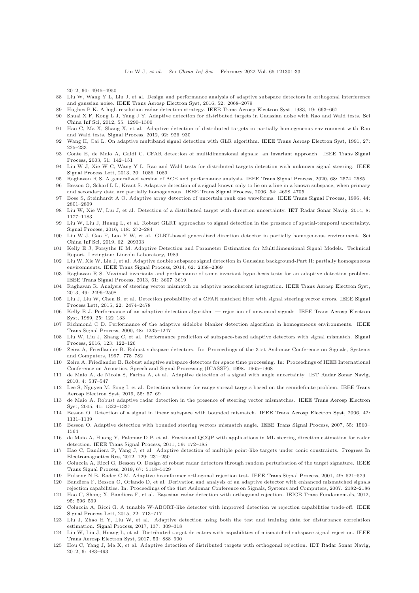2012, 60: 4945–4950

- <span id="page-32-1"></span><span id="page-32-0"></span>88 Liu W, Wang Y L, Liu J, et al. Design and performance analysis of adaptive subspace detectors in orthogonal interference and gaussian noise. [IEEE Trans Aerosp Electron Syst,](https://doi.org/10.1109/TAES.2016.140152) 2016, 52: 2068–2079
- <span id="page-32-2"></span>89 Hughes P K. A high-resolution radar detection strategy. [IEEE Trans Aerosp Electron Syst,](https://doi.org/10.1109/TAES.1983.309368) 1983, 19: 663–667
- <span id="page-32-3"></span>90 Shuai X F, K[ong L J, Yang J Y. Adaptive detection for distributed targets in Gaussian noise with Rao and Wald tests.](https://doi.org/10.1007/s11432-011-4417-2) Sci China Inf Sci, 2012, 55: 1290–1300
- 91 Hao C, Ma X, Shang X, et al. Adaptive detection of distributed targets in partially homogeneous environment with Rao and Wald tests. [Signal Process,](https://doi.org/10.1016/j.sigpro.2011.10.005) 2012, 92: 926–930
- <span id="page-32-5"></span><span id="page-32-4"></span>92 Wang H, Cai L. On adaptive multiband signal detection with GLR algorithm. [IEEE Trans Aerosp Electron Syst,](https://doi.org/10.1109/7.78296) 1991, 27: 225–233
- 93 Conte E, de Maio A, Galdi C. CFAR detection of multidimensional signals: an invariant approach. IEEE Trans Signal Process, 2003, 51: 142–151
- <span id="page-32-6"></span>94 Liu W J, Xie W C, Wang Y L. Rao and Wald tests for distributed targets detection with unknown signal steering. IEEE Signal Process Lett, 2013, 20: 1086–1089
- <span id="page-32-8"></span><span id="page-32-7"></span>95 Raghavan R S. A generalized version of ACE and performance analysis. [IEEE Trans Signal Process,](https://doi.org/10.1109/TSP.2020.2985330) 2020, 68: 2574–2585
- 96 Besson O, Scharf L L, Kraut S. Adaptive detection of a signal known only to lie on a line in a known subspace, when primary and secondary data are partially homogeneous. [IEEE Trans Signal Process,](https://doi.org/10.1109/TSP.2006.881262) 2006, 54: 4698–4705
- <span id="page-32-10"></span><span id="page-32-9"></span>97 Bose S, Steinhardt A O. Adaptive array detection of uncertain rank one waveforms. [IEEE Trans Signal Process,](https://doi.org/10.1109/78.542438) 1996, 44: 2801–2809
- <span id="page-32-11"></span>98 Liu W, Xie W, Liu J, et al. Detection of a distributed target with direction uncertainty. [IET Radar Sonar Navig,](https://doi.org/10.1049/iet-rsn.2014.0110) 2014, 8: 1177–1183
- 99 Liu W, Liu J, Huang L, et al. Robust GLRT approaches to signal detection in the presence of spatial-temporal uncertainty. [Signal Process,](https://doi.org/10.1016/j.sigpro.2015.06.026) 2016, 118: 272–284
- <span id="page-32-13"></span><span id="page-32-12"></span>100 Liu W J, Ga[o F, Luo Y W, et al. GLRT-based generalized direction detector in partially homogeneous environment.](https://doi.org/10.1007/s11432-018-9777-5) Sci China Inf Sci, 2019, 62: 209303
- 101 Kelly E J, Forsythe K M. Adaptive Detection and Parameter Estimation for Multidimensional Signal Models. Technical Report. Lexington: Lincoln Laboratory, 1989
- <span id="page-32-14"></span>102 Liu W, Xie W, Liu J, et al. Adaptive double subspace signal detection in Gaussian background-Part II: partially homogeneous environments. [IEEE Trans Signal Process,](https://doi.org/10.1109/TSP.2014.2309553) 2014, 62: 2358–2369
- <span id="page-32-15"></span>103 Raghavan R S. Maximal invariants and performance of some invariant hypothesis tests for an adaptive detection problem. [IEEE Trans Signal Process,](https://doi.org/10.1109/TSP.2013.2260332) 2013, 61: 3607–3619
- <span id="page-32-16"></span>104 Raghavan R. Analysis of steering vector mismatch on adaptive noncoherent integration. [IEEE Trans Aerosp Electron Syst,](https://doi.org/10.1109/TAES.2013.6621831) 2013, 49: 2496–2508
- <span id="page-32-17"></span>105 Liu J, Liu W, Chen B, et al. Detection probability of a CFAR matched filter with signal steering vector errors. IEEE Signal Process Lett, 2015, 22: 2474–2478
- <span id="page-32-18"></span>106 Kelly E J. Performance of an adaptive detection algorithm — rejection of unwanted signals. IEEE Trans Aerosp Electron Syst, 1989, 25: 122–133
- <span id="page-32-19"></span>107 Richmond C D. Performance of the adaptive sidelobe blanker detection algorithm in homogeneous environments. IEEE Trans Signal Process, 2000, 48: 1235–1247
- <span id="page-32-20"></span>108 Liu W, Liu J, Zhang C, et al. Performance prediction of subspace-based adaptive detectors with signal mismatch. Signal Process, 2016, 123: 122–126
- <span id="page-32-21"></span>109 Zeira A, Friedlander B. Robust subspace detectors. In: Proceedings of the 31st Asilomar Conference on Signals, Systems and Computers, 1997. 778–782
- <span id="page-32-22"></span>110 Zeira A, Friedlander B. Robust adaptive subspace detectors for space time processing. In: Proceedings of IEEE International Conference on Acoustics, Speech and Signal Processing (ICASSP), 1998. 1965–1968
- <span id="page-32-23"></span>111 de Maio A, de Nicola S, Farina A, et al. Adaptive detection of a signal with angle uncertainty. [IET Radar Sonar Navig,](https://doi.org/10.1049/iet-rsn.2009.0106) 2010, 4: 537–547
- <span id="page-32-24"></span>112 Lee S, Nguyen M, Song I, et al. Detection schemes for range-spread targets based on the semidefinite problem. IEEE Trans Aerosp Electron Syst, 2019, 55: 57–69
- <span id="page-32-25"></span>113 de Maio A. Robust adaptive radar detection in the presence of steering vector mismatches. IEEE Trans Aerosp Electron Syst, 2005, 41: 1322–1337
- 114 Besson O. Detection of a signal in linear subspace with bounded mismatch. [IEEE Trans Aerosp Electron Syst,](https://doi.org/10.1109/TAES.2006.248195) 2006, 42: 1131–1139
- 115 Besson O. Adaptive detection with bounded steering vectors mismatch angle. [IEEE Trans Signal Process,](https://doi.org/10.1109/TSP.2006.890820) 2007, 55: 1560– 1564
- 116 de Maio A, Huang Y, Palomar D P, et al. Fractional QCQP with applications in ML steering direction estimation for radar detection. [IEEE Trans Signal Process,](https://doi.org/10.1109/TSP.2010.2087327) 2011, 59: 172–185
- <span id="page-32-26"></span>117 Hao C, Bandiera F, Yang J, et al. Adaptive detection of multiple point-like targets under conic constraints. Progress In Electromagnetics Res, 2012, 129: 231–250
- <span id="page-32-27"></span>118 Coluccia A, Ricci G, Besson O. Design of robust radar detectors through random perturbation of the target signature. IEEE Trans Signal Process, 2019, 67: 5118–5129
- <span id="page-32-29"></span><span id="page-32-28"></span>119 Pulsone N B, Rader C M. Adaptive beamformer orthogonal rejection test. [IEEE Trans Signal Process,](https://doi.org/10.1109/78.905870) 2001, 49: 521–529
- 120 Bandiera F, Besson O, Orlando D, et al. Derivation and analysis of an adaptive detector with enhanced mismatched signals rejection capabilities. In: Proceedings of the 41st Asilomar Conference on Signals, Systems and Computers, 2007. 2182–2186
- <span id="page-32-30"></span>121 Hao C, Shang X, Bandiera F, et al. Bayesian radar detection with orthogonal rejection. [IEICE Trans Fundamentals,](https://doi.org/10.1587/transfun.E95.A.596) 2012, 95: 596–599
- <span id="page-32-31"></span>122 Coluccia A, Ricci G. A tunable W-ABORT-like detector with improved detection vs rejection capabilities trade-off. IEEE Signal Process Lett, 2015, 22: 713–717
- 123 Liu J, Zhao H Y, Liu W, et al. Adaptive detection using both the test and training data for disturbance correlation estimation. [Signal Process,](https://doi.org/10.1016/j.sigpro.2017.01.017) 2017, 137: 309–318
- <span id="page-32-32"></span>124 Liu W, Liu J, Huang L, et al. Distributed target detectors with capabilities of mismatched subspace signal rejection. IEEE Trans Aerosp Electron Syst, 2017, 53: 888–900
- <span id="page-32-33"></span>125 Hou C, Yang J, Ma X, et al. Adaptive detection of distributed targets with orthogonal rejection. [IET Radar Sonar Navig,](https://doi.org/10.1049/iet-rsn.2011.0234) 2012, 6: 483–493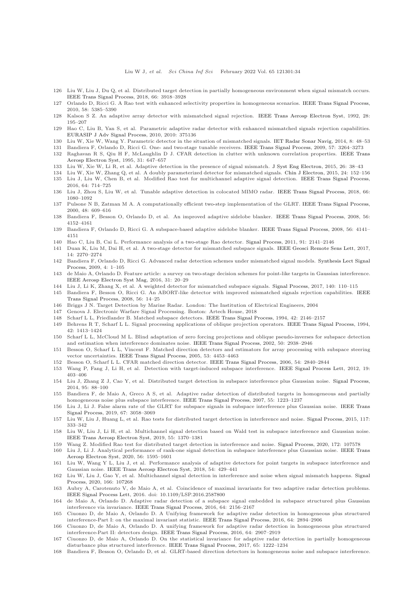#### Liu W J, et al. Sci China Inf Sci February 2022 Vol. 65 121301:34

- <span id="page-33-1"></span><span id="page-33-0"></span>126 Liu W, Liu J, Du Q, et al. Distributed target detection in partially homogeneous environment when signal mismatch occurs. [IEEE Trans Signal Process,](https://doi.org/10.1109/TSP.2018.2841860) 2018, 66: 3918–3928
- <span id="page-33-2"></span>127 Orlando D, Ricci G. A Rao test with enhanced selectivity properties in homogeneous scenarios. [IEEE Trans Signal Process,](https://doi.org/10.1109/TSP.2010.2053032) 2010, 58: 5385–5390
- <span id="page-33-3"></span>128 Kalson S Z. An adaptive array detector with mismatched signal rejection. [IEEE Trans Aerosp Electron Syst,](https://doi.org/10.1109/7.135445) 1992, 28: 195–207
- 129 Hao C, Liu B, Yan S, et al. Parametric adaptive radar detector with enhanced mismatched signals rejection capabilities. [EURASIP J Adv Signal Process,](https://doi.org/10.1155/2010/375136) 2010, 2010: 375136
- <span id="page-33-5"></span><span id="page-33-4"></span>130 Liu W, Xie W, Wang Y. Parametric detector in the situation of mismatched signals. [IET Radar Sonar Navig,](https://doi.org/10.1049/iet-rsn.2013.0044) 2014, 8: 48–53
- <span id="page-33-6"></span>131 Bandiera F, Orlando D, Ricci G. One- and two-stage tunable receivers. [IEEE Trans Signal Process,](https://doi.org/10.1109/TSP.2009.2026082) 2009, 57: 3264–3273
- 132 Raghavan R S, Qiu H F, McLaughlin D J. CFAR detection in clutter with unknown correlation properties. IEEE Trans Aerosp Electron Syst, 1995, 31: 647–657
- <span id="page-33-7"></span>133 Liu W, Xie W, Li R, et al. Adaptive detection in the presence of signal mismatch. [J Syst Eng Electron,](https://doi.org/10.1109/JSEE.2015.00006) 2015, 26: 38–43
- 134 Liu W, Xie W, Zhang Q, et al. A doubly parameterized detector for mismatched signals. [Chin J Electron,](https://doi.org/10.1049/cje.2015.01.025) 2015, 24: 152–156 135 Liu J, Liu W, Chen B, et al. Modified Rao test for multichannel adaptive signal detection. [IEEE Trans Signal Process,](https://doi.org/10.1109/TSP.2015.2491892)
- <span id="page-33-8"></span>2016, 64: 714–725 136 Liu J, Zhou S, Liu W, et al. Tunable adaptive detection in colocated MIMO radar. [IEEE Trans Signal Process,](https://doi.org/10.1109/TSP.2017.2778693) 2018, 66: 1080–1092
- <span id="page-33-9"></span>137 Pulsone N B, Zatman M A. A computationally efficient two-step implementation of the GLRT. [IEEE Trans Signal Process,](https://doi.org/10.1109/78.824657) 2000, 48: 609–616
- <span id="page-33-11"></span><span id="page-33-10"></span>138 Bandiera F, Besson O, Orlando D, et al. An improved adaptive sidelobe blanker. [IEEE Trans Signal Process,](https://doi.org/10.1109/TSP.2008.926191) 2008, 56: 4152–4161
- <span id="page-33-12"></span>139 Bandiera F, Orlando D, Ricci G. A subspace-based adaptive sidelobe blanker. [IEEE Trans Signal Process,](https://doi.org/10.1109/TSP.2008.926193) 2008, 56: 4141– 4151
- <span id="page-33-13"></span>140 Hao C, Liu B, Cai L. Performance analysis of a two-stage Rao detector. [Signal Process,](https://doi.org/10.1016/j.sigpro.2011.03.005) 2011, 91: 2141–2146
- <span id="page-33-14"></span>141 Duan K, Liu M, Dai H, et al. A two-stage detector for mismatched subspace signals. [IEEE Geosci Remote Sens Lett,](https://doi.org/10.1109/LGRS.2017.2761782) 2017, 14: 2270–2274
- 142 Bandiera F, Orlando D, Ricci G. Advanced radar detection schemes under mismatched signal models. Synthesis Lect Signal Process, 2009, 4: 1–105
- <span id="page-33-15"></span>143 de Maio A, Orlando D. Feature article: a survey on two-stage decision schemes for point-like targets in Gaussian interference. [IEEE Aerosp Electron Syst Mag,](https://doi.org/10.1109/MAES.2016.150092) 2016, 31: 20–29
- <span id="page-33-17"></span><span id="page-33-16"></span>144 Liu J, Li K, Zhang X, et al. A weighted detector for mismatched subspace signals. [Signal Process,](https://doi.org/10.1016/j.sigpro.2017.05.011) 2017, 140: 110–115
- 145 Bandiera F, Besson O, Ricci G. An ABORT-like detector with improved mismatched signals rejection capabilities. IEEE Trans Signal Process, 2008, 56: 14–25
- <span id="page-33-19"></span><span id="page-33-18"></span>146 Briggs J N. Target Detection by Marine Radar. London: The Institution of Electrical Engineers, 2004
- <span id="page-33-20"></span>147 Genova J. Electronic Warfare Signal Processing. Boston: Artech House, 2018
- 148 Scharf L L, Friedlander B. Matched subspace detectors. [IEEE Trans Signal Process,](https://doi.org/10.1109/78.301849) 1994, 42: 2146–2157
- <span id="page-33-21"></span>149 Behrens R T, Scharf L L. Signal processing applications of oblique projection operators. [IEEE Trans Signal Process,](https://doi.org/10.1109/78.286957) 1994, 42: 1413–1424
- 150 Scharf L L, McCloud M L. Blind adaptation of zero forcing projections and oblique pseudo-inverses for subspace detection and estimation when interference dominates noise. [IEEE Trans Signal Process,](https://doi.org/10.1109/TSP.2002.805245) 2002, 50: 2938–2946
- <span id="page-33-22"></span>151 Besson O, Scharf L L, Vincent F. Matched direction detectors and estimators for array processing with subspace steering vector uncertainties. [IEEE Trans Signal Process,](https://doi.org/10.1109/TSP.2005.859336) 2005, 53: 4453–4463
- 152 Besson O, Scharf L L. CFAR matched direction detector. [IEEE Trans Signal Process,](https://doi.org/10.1109/TSP.2006.874782) 2006, 54: 2840–2844
- <span id="page-33-23"></span>153 Wang P, Fang J, Li H, et al. Detection with target-induced subspace interference. [IEEE Signal Process Lett,](https://doi.org/10.1109/LSP.2012.2197389) 2012, 19: 403–406
- 154 Liu J, Zhang Z J, Cao Y, et al. Distributed target detection in subspace interference plus Gaussian noise. [Signal Process,](https://doi.org/10.1016/j.sigpro.2013.08.012) 2014, 95: 88–100
- <span id="page-33-24"></span>155 Bandiera F, de Maio A, Greco A S, et al. Adaptive radar detection of distributed targets in homogeneous and partially homogeneous noise plus subspace interference. [IEEE Trans Signal Process,](https://doi.org/10.1109/TSP.2006.888065) 2007, 55: 1223–1237
- <span id="page-33-25"></span>156 Liu J, Li J. False alarm rate of the GLRT for subspace signals in subspace interference plus Gaussian noise. IEEE Trans Signal Process, 2019, 67: 3058–3069
- <span id="page-33-26"></span>157 Liu W, Liu J, Huang L, et al. Rao tests for distributed target detection in interference and noise. [Signal Process,](https://doi.org/10.1016/j.sigpro.2015.06.012) 2015, 117: 333–342
- <span id="page-33-27"></span>158 Liu W, Liu J, Li H, et al. Multichannel signal detection based on Wald test in subspace interference and Gaussian noise. [IEEE Trans Aerosp Electron Syst,](https://doi.org/10.1109/TAES.2018.2870445) 2019, 55: 1370–1381
- <span id="page-33-29"></span><span id="page-33-28"></span>159 Wang Z. Modified Rao test for distributed target detection in interference and noise. [Signal Process,](https://doi.org/10.1016/j.sigpro.2020.107578) 2020, 172: 107578
- 160 Liu J, Li J. Analytical performance of rank-one signal detection in subspace interference plus Gaussian noise. IEEE Trans Aerosp Electron Syst, 2020, 56: 1595–1601
- <span id="page-33-30"></span>161 Liu W, Wang Y L, Liu J, et al. Performance analysis of adaptive detectors for point targets in subspace interference and Gaussian noise. [IEEE Trans Aerosp Electron Syst,](https://doi.org/10.1109/TAES.2017.2760718) 2018, 54: 429–441
- <span id="page-33-31"></span>162 Liu W, Liu J, Gao Y, et al. Multichannel signal detection in interference and noise when signal mismatch happens. Signal Process, 2020, 166: 107268
- <span id="page-33-32"></span>163 Aubry A, Carotenuto V, de Maio A, et al. Coincidence of maximal invariants for two adaptive radar detection problems. [IEEE Signal Process Lett,](https://doi.org/10.1109/LSP.2016.2587800) 2016. doi: 10.1109/LSP.2016.2587800
- 164 de Maio A, Orlando D. Adaptive radar detection of a subspace signal embedded in subspace structured plus Gaussian interference via invariance. [IEEE Trans Signal Process,](https://doi.org/10.1109/TSP.2015.2507544) 2016, 64: 2156–2167
- 165 Ciuonzo D, de Maio A, Orlando D. A Unifying framework for adaptive radar detection in homogeneous plus structured interference-Part I: on the maximal invariant statistic. [IEEE Trans Signal Process,](https://doi.org/10.1109/TSP.2016.2519003) 2016, 64: 2894–2906
- 166 Ciuonzo D, de Maio A, Orlando D. A unifying framework for adaptive radar detection in homogeneous plus structured interference-Part II: detectors design. [IEEE Trans Signal Process,](https://doi.org/10.1109/TSP.2016.2519005) 2016, 64: 2907–2919
- <span id="page-33-33"></span>167 Ciuonzo D, de Maio A, Orlando D. On the statistical invariance for adaptive radar detection in partially homogeneous disturbance plus structured interference. [IEEE Trans Signal Process,](https://doi.org/10.1109/TSP.2016.2620115) 2017, 65: 1222–1234
- <span id="page-33-34"></span>168 Bandiera F, Besson O, Orlando D, et al. GLRT-based direction detectors in homogeneous noise and subspace interference.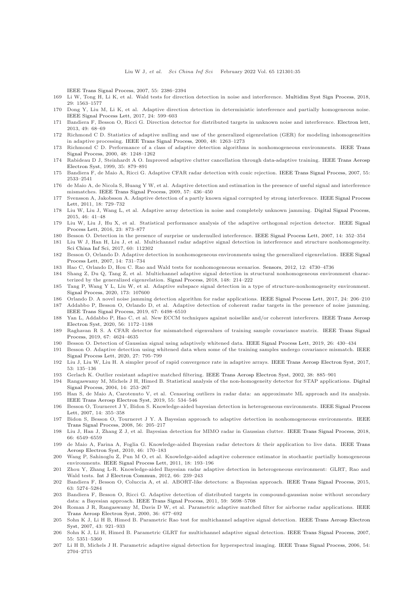[IEEE Trans Signal Process,](https://doi.org/10.1109/TSP.2007.893927) 2007, 55: 2386–2394

- <span id="page-34-1"></span><span id="page-34-0"></span>169 Li W, Tong H, Li K, et al. Wald tests for direction detection in noise and interference. [Multidim Syst Sign Process,](https://doi.org/10.1007/s11045-017-0517-5) 2018, 29: 1563–1577
- <span id="page-34-2"></span>170 Dong Y, Liu M, Li K, et al. Adaptive direction detection in deterministic interference and partially homogeneous noise. [IEEE Signal Process Lett,](https://doi.org/10.1109/LSP.2017.2683198) 2017, 24: 599–603
- 171 Bandiera F, Besson O, Ricci G. Direction detector for distributed targets in unknown noise and interference. [Electron lett,](https://doi.org/10.1049/el.2012.3101) 2013, 49: 68–69
- <span id="page-34-3"></span>172 Richmond C D. Statistics of adaptive nulling and use of the generalized eigenrelation (GER) for modeling inhomogeneities in adaptive processing. [IEEE Trans Signal Process,](https://doi.org/10.1109/78.839974) 2000, 48: 1263–1273
- <span id="page-34-20"></span><span id="page-34-4"></span>173 Richmond C D. Performance of a class of adaptive detection algorithms in nonhomogeneous environments. IEEE Trans Signal Process, 2000, 48: 1248–1262
- 174 Rabideau D J, Steinhardt A O. Improved adaptive clutter cancellation through data-adaptive training. IEEE Trans Aerosp Electron Syst, 1999, 35: 879–891
- <span id="page-34-5"></span>175 Bandiera F, de Maio A, Ricci G. Adaptive CFAR radar detection with conic rejection. [IEEE Trans Signal Process,](https://doi.org/10.1109/TSP.2007.893763) 2007, 55: 2533–2541
- 176 de Maio A, de Nicola S, Huang Y W, et al. Adaptive detection and estimation in the presence of useful signal and interference mismatches. [IEEE Trans Signal Process,](https://doi.org/10.1109/TSP.2008.2008249) 2009, 57: 436–450
- <span id="page-34-6"></span>177 Svensson A, Jakobsson A. Adaptive detection of a partly known signal corrupted by strong interference. IEEE Signal Process Lett, 2011, 18: 729–732
- <span id="page-34-7"></span>178 Liu W, Liu J, Wang L, et al. Adaptive array detection in noise and completely unknown jamming. [Digital Signal Process,](https://doi.org/10.1016/j.dsp.2015.07.006) 2015, 46: 41–48
- <span id="page-34-8"></span>179 Liu W, Liu J, Hu X, et al. Statistical performance analysis of the adaptive orthogonal rejection detector. IEEE Signal Process Lett, 2016, 23: 873–877
- <span id="page-34-10"></span><span id="page-34-9"></span>180 Besson O. Detection in the presence of surprise or undernulled interference. [IEEE Signal Process Lett,](https://doi.org/10.1109/LSP.2006.888295) 2007, 14: 352–354
- 181 Liu W J, Han H, Liu J, et al. Multichannel radar adaptive signal detection in interference and structure nonhomogeneity. [Sci China Inf Sci,](https://doi.org/10.1007/s11432-016-9105-7) 2017, 60: 112302
- <span id="page-34-11"></span>182 Besson O, Orlando D. Adaptive detection in nonhomogeneous environments using the generalized eigenrelation. IEEE Signal Process Lett, 2007, 14: 731–734
- <span id="page-34-13"></span><span id="page-34-12"></span>183 Hao C, Orlando D, Hou C. Rao and Wald tests for nonhomogeneous scenarios. [Sensors,](https://doi.org/10.3390/s120404730) 2012, 12: 4730–4736
- 184 Shang Z, Du Q, Tang Z, et al. Multichannel adaptive signal detection in structural nonhomogeneous environment characterized by the generalized eigenrelation. [Signal Process,](https://doi.org/10.1016/j.sigpro.2018.02.019) 2018, 148: 214–222
- <span id="page-34-14"></span>185 Tang P, Wang Y L, Liu W, et al. Adaptive subspace signal detection in a type of structure-nonhomogeneity environment. [Signal Process,](https://doi.org/10.1016/j.sigpro.2020.107600) 2020, 173: 107600
- <span id="page-34-16"></span><span id="page-34-15"></span>186 Orlando D. A novel noise jamming detection algorithm for radar applications. [IEEE Signal Process Lett,](https://doi.org/10.1109/LSP.2016.2645793) 2017, 24: 206–210 187 Addabbo P, Besson O, Orlando D, et al. Adaptive detection of coherent radar targets in the presence of noise jamming.
- <span id="page-34-17"></span>[IEEE Trans Signal Process,](https://doi.org/10.1109/TSP.2019.2954499) 2019, 67: 6498–6510 188 Yan L, Addabbo P, Hao C, et al. New ECCM techniques against noiselike and/or coherent interferers. IEEE Trans Aerosp Electron Syst, 2020, 56: 1172–1188
- <span id="page-34-18"></span>189 Raghavan R S. A CFAR detector for mismatched eigenvalues of training sample covariance matrix. IEEE Trans Signal Process, 2019, 67: 4624–4635
- <span id="page-34-19"></span>190 Besson O. Detection of Gaussian signal using adaptively whitened data. [IEEE Signal Process Lett,](https://doi.org/10.1109/LSP.2019.2893761) 2019, 26: 430–434
- 191 Besson O. Adaptive detection using whitened data when some of the training samples undergo covariance mismatch. IEEE Signal Process Lett, 2020, 27: 795–799
- <span id="page-34-21"></span>192 Liu J, Liu W, Liu H. A simpler proof of rapid convergence rate in adaptive arrays. [IEEE Trans Aerosp Electron Syst,](https://doi.org/10.1109/TAES.2017.2649678) 2017, 53: 135–136
- <span id="page-34-36"></span><span id="page-34-22"></span>193 Gerlach K. Outlier resistant adaptive matched filtering. [IEEE Trans Aerosp Electron Syst,](https://doi.org/10.1109/TAES.2002.1039406) 2002, 38: 885–901
- 194 Rangaswamy M, Michels J H, Himed B. Statistical analysis of the non-homogeneity detector for STAP applications. Digital Signal Process, 2004, 14: 253–267
- <span id="page-34-23"></span>195 Han S, de Maio A, Carotenuto V, et al. Censoring outliers in radar data: an approximate ML approach and its analysis. [IEEE Trans Aerosp Electron Syst,](https://doi.org/10.1109/TAES.2018.2852418) 2019, 55: 534–546
- <span id="page-34-24"></span>196 Besson O, Tourneret J Y, Bidon S. Knowledge-aided bayesian detection in heterogeneous environments. IEEE Signal Process Lett, 2007, 14: 355–358
- <span id="page-34-25"></span>197 Bidon S, Besson O, Tourneret J Y. A Bayesian approach to adaptive detection in nonhomogeneous environments. IEEE Trans Signal Process, 2008, 56: 205–217
- <span id="page-34-27"></span><span id="page-34-26"></span>198 Liu J, Han J, Zhang Z J, et al. Bayesian detection for MIMO radar in Gaussian clutter. [IEEE Trans Signal Process,](https://doi.org/10.1109/TSP.2018.2879038) 2018, 66: 6549–6559
- 199 de Maio A, Farina A, Foglia G. Knowledge-aided Bayesian radar detectors & their application to live data. IEEE Trans Aerosp Electron Syst, 2010, 46: 170–183
- <span id="page-34-28"></span>200 Wang P, Sahinoglu Z, Pun M O, et al. Knowledge-aided adaptive coherence estimator in stochastic partially homogeneous environments. [IEEE Signal Process Lett,](https://doi.org/10.1109/LSP.2011.2107510) 2011, 18: 193–196
- <span id="page-34-29"></span>201 Zhou Y, Zhang L-R. Knowledge-aided Bayesian radar adaptive detection in heterogeneous environment: GLRT, Rao and Wald tests. [Int J Electron Commun,](https://doi.org/10.1016/j.aeue.2011.07.005) 2012, 66: 239–243
- <span id="page-34-30"></span>202 Bandiera F, Besson O, Coluccia A, et al. ABORT-like detectors: a Bayesian approach. [IEEE Trans Signal Process,](https://doi.org/10.1109/TSP.2015.2451117) 2015, 63: 5274–5284
- <span id="page-34-31"></span>203 Bandiera F, Besson O, Ricci G. Adaptive detection of distributed targets in compound-gaussian noise without secondary data: a Bayesian approach. [IEEE Trans Signal Process,](https://doi.org/10.1109/TSP.2011.2167613) 2011, 59: 5698–5708
- <span id="page-34-32"></span>204 Roman J R, Rangaswamy M, Davis D W, et al. Parametric adaptive matched filter for airborne radar applications. IEEE Trans Aerosp Electron Syst, 2000, 36: 677–692
- <span id="page-34-33"></span>205 Sohn K J, Li H B, Himed B. Parametric Rao test for multichannel adaptive signal detection. IEEE Trans Aerosp Electron Syst, 2007, 43: 921–933
- <span id="page-34-34"></span>206 Sohn K J, Li H, Himed B. Parametric GLRT for multichannel adaptive signal detection. [IEEE Trans Signal Process,](https://doi.org/10.1109/TSP.2007.896068) 2007, 55: 5351–5360
- <span id="page-34-35"></span>207 Li H B, Michels J H. Parametric adaptive signal detection for hyperspectral imaging. [IEEE Trans Signal Process,](https://doi.org/10.1109/TSP.2006.873589) 2006, 54: 2704–2715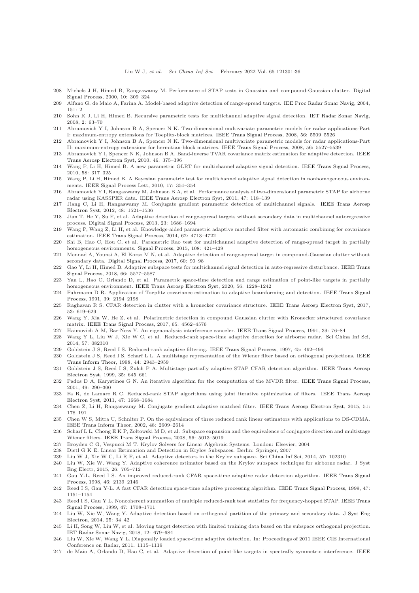- <span id="page-35-0"></span>208 Michels J H, Himed B, Rangaswamy M. Performance of STAP tests in Gaussian and compound-Gaussian clutter. Digital Signal Process, 2000, 10: 309–324
- 209 Alfano G, de Maio A, Farina A. Model-based adaptive detection of range-spread targets. [IEE Proc Radar Sonar Navig,](https://doi.org/10.1049/ip-rsn:20040157) 2004, 151: 2
- 210 Sohn K J, Li H, Himed B. Recursive parametric tests for multichannel adaptive signal detection. [IET Radar Sonar Navig,](https://doi.org/10.1049/iet-rsn:20070075) 2008, 2: 63–70
- 211 Abramovich Y I, Johnson B A, Spencer N K. Two-dimensional multivariate parametric models for radar applications-Part I: maximum-entropy extensions for Toeplitz-block matrices. [IEEE Trans Signal Process,](https://doi.org/10.1109/TSP.2008.929868) 2008, 56: 5509–5526
- 212 Abramovich Y I, Johnson B A, Spencer N K. Two-dimensional multivariate parametric models for radar applications-Part II: maximum-entropy extensions for hermitian-block matrices. [IEEE Trans Signal Process,](https://doi.org/10.1109/TSP.2008.929867) 2008, 56: 5527–5539
- 213 Abramovich Y I, Spencer N K, Johnson B A. Band-inverse TVAR covariance matrix estimation for adaptive detection. IEEE Trans Aerosp Electron Syst, 2010, 46: 375–396
- 214 Wang P, Li H, Himed B. A new parametric GLRT for multichannel adaptive signal detection. [IEEE Trans Signal Process,](https://doi.org/10.1109/TSP.2009.2030835) 2010, 58: 317–325
- 215 Wang P, Li H, Himed B. A Bayesian parametric test for multichannel adaptive signal detection in nonhomogeneous environments. [IEEE Signal Process Lett,](https://doi.org/10.1109/LSP.2009.2039380) 2010, 17: 351–354
- 216 Abramovich Y I, Rangaswamy M, Johnson B A, et al. Performance analysis of two-dimensional parametric STAP for airborne radar using KASSPER data. [IEEE Trans Aerosp Electron Syst,](https://doi.org/10.1109/TAES.2011.5705664) 2011, 47: 118–139
- 217 Jiang C, Li H, Rangaswamy M. Conjugate gradient parametric detection of multichannel signals. IEEE Trans Aerosp Electron Syst, 2012, 48: 1521–1536
- Jian T, He Y, Su F, et al. Adaptive detection of range-spread targets without secondary data in multichannel autoregressive process. [Digital Signal Process,](https://doi.org/10.1016/j.dsp.2013.05.013) 2013, 23: 1686–1694
- 219 Wang P, Wang Z, Li H, et al. Knowledge-aided parametric adaptive matched filter with automatic combining for covariance estimation. [IEEE Trans Signal Process,](https://doi.org/10.1109/TSP.2014.2338838) 2014, 62: 4713–4722
- 220 Shi B, Hao C, Hou C, et al. Parametric Rao test for multichannel adaptive detection of range-spread target in partially homogeneous environments. [Signal Process,](https://doi.org/10.1016/j.sigpro.2014.10.007) 2015, 108: 421–429
- 221 Mennad A, Younsi A, El Korso M N, et al. Adaptive detection of range-spread target in compound-Gaussian clutter without secondary data. [Digital Signal Process,](https://doi.org/10.1016/j.dsp.2016.09.002) 2017, 60: 90–98
- 222 Gao Y, Li H, Himed B. Adaptive subspace tests for multichannel signal detection in auto-regressive disturbance. IEEE Trans Signal Process, 2018, 66: 5577–5587
- <span id="page-35-1"></span>Yan L, Hao C, Orlando D, et al. Parametric space-time detection and range estimation of point-like targets in partially homogeneous environment. [IEEE Trans Aerosp Electron Syst,](https://doi.org/10.1109/TAES.2019.2928672) 2020, 56: 1228–1242
- <span id="page-35-2"></span>224 Fuhrmann D R. Application of Toeplitz covariance estimation to adaptive beamforming and detection. IEEE Trans Signal Process, 1991, 39: 2194–2198
- <span id="page-35-3"></span>225 Raghavan R S. CFAR detection in clutter with a kronecker covariance structure. [IEEE Trans Aerosp Electron Syst,](https://doi.org/10.1109/TAES.2017.2651599) 2017, 53: 619–629
- <span id="page-35-4"></span>226 Wang Y, Xia W, He Z, et al. Polarimetric detection in compound Gaussian clutter with Kronecker structured covariance matrix. [IEEE Trans Signal Process,](https://doi.org/10.1109/TSP.2017.2716912) 2017, 65: 4562–4576
- <span id="page-35-6"></span><span id="page-35-5"></span>227 Haimovich A M, Bar-Ness Y. An eigenanalysis interference canceler. [IEEE Trans Signal Process,](https://doi.org/10.1109/78.80767) 1991, 39: 76–84
- 228 Wang Y L, Liu W J, Xie W C, et al. Reduced-rank space-time adaptive detection for airborne radar. [Sci China Inf Sci,](https://doi.org/10.1007/s11432-013-4984-5) 2014, 57: 082310
- <span id="page-35-8"></span><span id="page-35-7"></span>229 Goldstein J S, Reed I S. Reduced-rank adaptive filtering. [IEEE Trans Signal Process,](https://doi.org/10.1109/78.554317) 1997, 45: 492–496
- 230 Goldstein J S, Reed [I S, Scharf L L. A multistage representation of the Wiener filter based on orthogonal projections.](https://doi.org/10.1109/18.737524) IEEE Trans Inform Theor, 1998, 44: 2943–2959
- <span id="page-35-9"></span>231 Goldstein J S, Reed I S, Zulch P A. Multistage partially adaptive STAP CFAR detection algorithm. IEEE Trans Aerosp Electron Syst, 1999, 35: 645–661
- <span id="page-35-10"></span>232 Pados D A, Karystinos G N. An iterative algorithm for the computation of the MVDR filter. [IEEE Trans Signal Process,](https://doi.org/10.1109/78.902111) 2001, 49: 290–300
- <span id="page-35-11"></span>233 Fa R, de Lamare R C. Reduced-rank STAP algorithms using joint iterative optimization of filters. IEEE Trans Aerosp Electron Syst, 2011, 47: 1668–1684
- <span id="page-35-12"></span>234 Chen Z, Li H, Rangaswamy M. Conjugate gradient adaptive matched filter. [IEEE Trans Aerosp Electron Syst,](https://doi.org/10.1109/TAES.2014.130419) 2015, 51: 178–191
- <span id="page-35-16"></span>235 Chen W S, Mitra U, Schniter P. On the equivalence of three reduced rank linear estimators with applications to DS-CDMA. [IEEE Trans Inform Theor,](https://doi.org/10.1109/TIT.2002.801472) 2002, 48: 2609–2614
- <span id="page-35-17"></span>236 Scharf L L, Chong E K P, Zoltowski M D, et al. Subspace expansion and the equivalence of conjugate direction and multistage Wiener filters. [IEEE Trans Signal Process,](https://doi.org/10.1109/TSP.2008.928511) 2008, 56: 5013–5019
- <span id="page-35-19"></span><span id="page-35-18"></span>237 Broyden C G, Vespucci M T. Krylov Solvers for Linear Algebraic Systems. London: Elsevier, 2004
- <span id="page-35-20"></span>238 Dietl G K E. Linear Estimation and Detection in Krylov Subspaces. Berlin: Springer, 2007
- <span id="page-35-13"></span>239 Liu W J, Xie W C, Li R F, et al. Adaptive detectors in the Krylov subspace. [Sci China Inf Sci,](https://doi.org/10.1007/s11432-014-5080-1) 2014, 57: 102310
- 240 Liu W, Xie W, Wang Y. Adaptive coherence estimator based on the Krylov subspace technique for airborne radar. J Syst Eng Electr, 2015, 26: 705–712
- <span id="page-35-14"></span>241 Gau Y-L, Reed I S. An improved reduced-rank CFAR space-time adaptive radar detection algorithm. IEEE Trans Signal Process, 1998, 46: 2139–2146
- 242 Reed I S, Gau Y-L. A fast CFAR detection space-time adaptive processing algorithm. [IEEE Trans Signal Process,](https://doi.org/10.1109/78.752615) 1999, 47: 1151–1154
- 243 Reed I S, Gau Y L. Noncoherent summation of multiple reduced-rank test statistics for frequency-hopped STAP. IEEE Trans Signal Process, 1999, 47: 1708–1711
- 244 Liu W, Xie W, Wang Y. Adaptive detection based on orthogonal partition of the primary and secondary data. J Syst Eng Electron, 2014, 25: 34–42
- <span id="page-35-15"></span>245 Li H, Song W, Liu W, et al. Moving target detection with limited training data based on the subspace orthogonal projection. [IET Radar Sonar Navig,](https://doi.org/10.1049/iet-rsn.2017.0449) 2018, 12: 679–684
- <span id="page-35-21"></span>246 Liu W, Xie W, Wang Y L. Diagonally loaded space-time adaptive detection. In: Proceedings of 2011 IEEE CIE International Conference on Radar, 2011. 1115–1119
- <span id="page-35-22"></span>247 de Maio A, Orlando D, Hao C, et al. Adaptive detection of point-like targets in spectrally symmetric interference. IEEE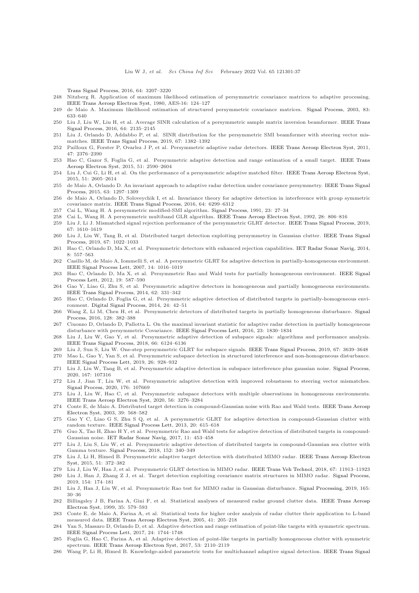Trans Signal Process, 2016, 64: 3207–3220

- <span id="page-36-1"></span><span id="page-36-0"></span>248 Nitzberg R. Application of maximum likelihood estimation of persymmetric covariance matrices to adaptive processing. [IEEE Trans Aerosp Electron Syst,](https://doi.org/10.1109/TAES.1980.308887) 1980, AES-16: 124–127
- <span id="page-36-2"></span>249 de Maio A. Maximum likelihood estimation of structured persymmetric covariance matrices. [Signal Process,](https://doi.org/10.1016/S0165-1684(02)00450-4) 2003, 83: 633–640
- 250 Liu J, Liu W, Liu H, et al. Average SINR calculation of a persymmetric sample matrix inversion beamformer. IEEE Trans Signal Process, 2016, 64: 2135–2145
- <span id="page-36-3"></span>251 Liu J, Orlando D, Addabbo P, et al. SINR distribution for the persymmetric SMI beamformer with steering vector mismatches. [IEEE Trans Signal Process,](https://doi.org/10.1109/TSP.2019.2892027) 2019, 67: 1382–1392
- <span id="page-36-4"></span>252 Pailloux G, Forster P, Ovarlez J P, et al. Persymmetric adaptive radar detectors. [IEEE Trans Aerosp Electron Syst,](https://doi.org/10.1109/TAES.2011.6034639) 2011, 47: 2376–2390
- 253 Hao C, Gazor S, Foglia G, et al. Persymmetric adaptive detection and range estimation of a small target. IEEE Trans Aerosp Electron Syst, 2015, 51: 2590–2604
- 254 Liu J, Cui G, Li H, et al. On the performance of a persymmetric adaptive matched filter. [IEEE Trans Aerosp Electron Syst,](https://doi.org/10.1109/TAES.2015.140633) 2015, 51: 2605–2614
- 255 de Maio A, Orlando D. An invariant approach to adaptive radar detection under covariance persymmetry. IEEE Trans Signal Process, 2015, 63: 1297–1309
- <span id="page-36-5"></span>256 de Maio A, Orlando D, Soloveychik I, et al. Invariance theory for adaptive detection in interference with group symmetric covariance matrix. [IEEE Trans Signal Process,](https://doi.org/10.1109/TSP.2016.2591502) 2016, 64: 6299–6312
- <span id="page-36-24"></span><span id="page-36-6"></span>257 Cai L, Wang H. A persymmetric modified-SMI algorithm. [Signal Process,](https://doi.org/10.1016/0165-1684(91)90141-5) 1991, 23: 27–34
- 258 Cai L, Wang H. A persymmetric multiband GLR algorithm. [IEEE Trans Aerosp Electron Syst,](https://doi.org/10.1109/7.256301) 1992, 28: 806–816
- <span id="page-36-7"></span>259 Liu J, Li J. Mismatched signal rejection performance of the persymmetric GLRT detector. [IEEE Trans Signal Process,](https://doi.org/10.1109/TSP.2019.2893858) 2019, 67: 1610–1619
- 260 Liu J, Liu W, Tang B, et al. Distributed target detection exploiting persymmetry in Gaussian clutter. IEEE Trans Signal Process, 2019, 67: 1022–1033
- <span id="page-36-9"></span><span id="page-36-8"></span>261 Hao C, Orlando D, Ma X, et al. Persymmetric detectors with enhanced rejection capabilities. [IET Radar Sonar Navig,](https://doi.org/10.1049/iet-rsn.2013.0115) 2014, 8: 557–563
- 262 Casillo M, de Maio A, Iommelli S, et al. A persymmetric GLRT for adaptive detection in partially-homogeneous environment. [IEEE Signal Process Lett,](https://doi.org/10.1109/LSP.2007.906209) 2007, 14: 1016–1019
- 263 Hao C, Orlando D, Ma X, et al. Persymmetric Rao and Wald tests for partially homogeneous environment. IEEE Signal Process Lett, 2012, 19: 587–590
- 264 Gao Y, Liao G, Zhu S, et al. Persymmetric adaptive detectors in homogeneous and partially homogeneous environments. [IEEE Trans Signal Process,](https://doi.org/10.1109/TSP.2013.2288087) 2014, 62: 331–342
- 265 Hao C, Orlando D, Foglia G, et al. Persymmetric adaptive detection of distributed targets in partially-homogeneous environment. [Digital Signal Process,](https://doi.org/10.1016/j.dsp.2013.10.007) 2014, 24: 42–51
- 266 Wang Z, Li M, Chen H, et al. Persymmetric detectors of distributed targets in partially homogeneous disturbance. Signal Process, 2016, 128: 382–388
- <span id="page-36-10"></span>267 Ciuonzo D, Orlando D, Pallotta L. On the maximal invariant statistic for adaptive radar detection in partially homogeneous disturbance with persymmetric Covariance. [IEEE Signal Process Lett,](https://doi.org/10.1109/LSP.2016.2618619) 2016, 23: 1830–1834
- <span id="page-36-11"></span>268 Liu J, Liu W, Gao Y, et al. Persymmetric adaptive detection of subspace signals: algorithms and performance analysis. [IEEE Trans Signal Process,](https://doi.org/10.1109/TSP.2018.2875416) 2018, 66: 6124–6136
- 269 Liu J, Sun S, Liu W. One-step persymmetric GLRT for subspace signals. [IEEE Trans Signal Process,](https://doi.org/10.1109/TSP.2019.2918994) 2019, 67: 3639–3648
- 270 Mao L, Gao Y, Yan S, et al. Persymmetric subspace detection in structured interference and non-homogeneous disturbance. [IEEE Signal Process Lett,](https://doi.org/10.1109/LSP.2019.2913332) 2019, 26: 928–932
- 271 Liu J, Liu W, Tang B, et al. Persymmetric adaptive detection in subspace interference plus gaussian noise. [Signal Process,](https://doi.org/10.1016/j.sigpro.2019.107316) 2020, 167: 107316
- 272 Liu J, Jian T, Liu W, et al. Persymmetric adaptive detection with improved robustness to steering vector mismatches. [Signal Process,](https://doi.org/10.1016/j.sigpro.2020.107669) 2020, 176: 107669
- <span id="page-36-12"></span>273 Liu J, Liu W, Hao C, et al. Persymmetric subspace detectors with multiple observations in homogeneous environments. [IEEE Trans Aerosp Electron Syst,](https://doi.org/10.1109/TAES.2020.2967244) 2020, 56: 3276–3284
- <span id="page-36-13"></span>274 Conte E, de Maio A. Distributed target detection in compound-Gaussian noise with Rao and Wald tests. IEEE Trans Aerosp Electron Syst, 2003, 39: 568–582
- 275 Gao Y C, Liao G S, Zhu S Q, et al. A persymmetric GLRT for adaptive detection in compound-Gaussian clutter with random texture. [IEEE Signal Process Lett,](https://doi.org/10.1109/LSP.2013.2259232) 2013, 20: 615–618
- 276 Guo X, Tao H, Zhao H Y, et al. Persymmetric Rao and Wald tests for adaptive detection of distributed targets in compound-Gaussian noise. [IET Radar Sonar Navig,](https://doi.org/10.1049/iet-rsn.2016.0251) 2017, 11: 453–458
- <span id="page-36-14"></span>277 Liu J, Liu S, Liu W, et al. Persymmetric adaptive detection of distributed targets in compound-Gaussian sea clutter with Gamma texture. [Signal Process,](https://doi.org/10.1016/j.sigpro.2018.06.006) 2018, 152: 340–349
- <span id="page-36-15"></span>278 Liu J, Li H, Himed B. Persymmetric adaptive target detection with distributed MIMO radar. IEEE Trans Aerosp Electron Syst, 2015, 51: 372–382
- <span id="page-36-23"></span><span id="page-36-22"></span>279 Liu J, Liu W, Han J, et al. Persymmetric GLRT detection in MIMO radar. [IEEE Trans Veh Technol,](https://doi.org/10.1109/TVT.2018.2877265) 2018, 67: 11913–11923
- 280 Liu J, Han J, Zhang Z J, et al. Target detection exploiting covariance matrix structures in MIMO radar. [Signal Process,](https://doi.org/10.1016/j.sigpro.2018.07.013) 2019, 154: 174–181
- <span id="page-36-16"></span>281 Liu J, Han J, Liu W, et al. Persymmetric Rao test for MIMO radar in Gaussian disturbance. [Signal Processing,](https://doi.org/10.1016/j.sigpro.2019.06.028) 2019, 165: 30–36
- <span id="page-36-17"></span>282 Billingsley J B, Farina A, Gini F, et al. Statistical analyses of measured radar ground clutter data. IEEE Trans Aerosp Electron Syst, 1999, 35: 579–593
- <span id="page-36-18"></span>283 Conte E, de Maio A, Farina A, et al. Statistical tests for higher order analysis of radar clutter their application to L-band measured data. [IEEE Trans Aerosp Electron Syst,](https://doi.org/10.1109/TAES.2005.1413757) 2005, 41: 205–218
- <span id="page-36-19"></span>284 Yan S, Massaro D, Orlando D, et al. Adaptive detection and range estimation of point-like targets with symmetric spectrum. [IEEE Signal Process Lett,](https://doi.org/10.1109/LSP.2017.2756076) 2017, 24: 1744–1748
- <span id="page-36-20"></span>285 Foglia G, Hao C, Farina A, et al. Adaptive detection of point-like targets in partially homogeneous clutter with symmetric spectrum. [IEEE Trans Aerosp Electron Syst,](https://doi.org/10.1109/TAES.2017.2680758) 2017, 53: 2110–2119
- <span id="page-36-21"></span>286 Wang P, Li H, Himed B. Knowledge-aided parametric tests for multichannel adaptive signal detection. IEEE Trans Signal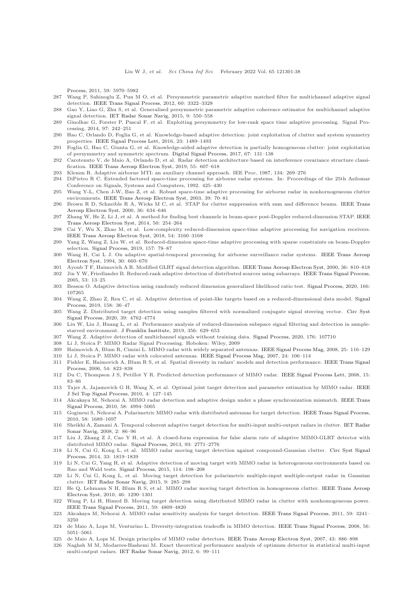Process, 2011, 59: 5970–5982

- <span id="page-37-1"></span><span id="page-37-0"></span>287 Wang P, Sahinoglu Z, Pun M O, et al. Persymmetric parametric adaptive matched filter for multichannel adaptive signal detection. [IEEE Trans Signal Process,](https://doi.org/10.1109/TSP.2012.2190411) 2012, 60: 3322–3328
- <span id="page-37-2"></span>288 Gao Y, Liao G, Zhu S, et al. Generalised persymmetric parametric adaptive coherence estimator for multichannel adaptive signal detection. [IET Radar Sonar Navig,](https://doi.org/10.1049/iet-rsn.2014.0101) 2015, 9: 550–558
- 289 Ginolhac G, Forster P, Pascal F, et al. Exploiting persymmetry for low-rank space time adaptive processing. Signal Processing, 2014, 97: 242–251
- <span id="page-37-3"></span>290 Hao C, Orlando D, Foglia G, et al. Knowledge-based adaptive detection: joint exploitation of clutter and system symmetry properties. [IEEE Signal Process Lett,](https://doi.org/10.1109/LSP.2016.2601931) 2016, 23: 1489–1493
- <span id="page-37-4"></span>291 Foglia G, Hao C, Giunta G, et al. Knowledge-aided adaptive detection in partially homogeneous clutter: joint exploitation of persymmetry and symmetric spectrum. [Digital Signal Process,](https://doi.org/10.1016/j.dsp.2017.04.003) 2017, 67: 131–138
- 292 Carotenuto V, de Maio A, Orlando D, et al. Radar detection architecture based on interference covariance structure classification. [IEEE Trans Aerosp Electron Syst,](https://doi.org/10.1109/TAES.2018.2856338) 2019, 55: 607–618
- <span id="page-37-6"></span><span id="page-37-5"></span>293 Klemm R. Adaptive airborne MTI: an auxiliary channel approach. IEE Proc, 1987, 134: 269–276
- <span id="page-37-7"></span>294 DiPietro R C. Extended factored space-time processing for airborne radar systems. In: Proceedings of the 25th Asilomar Conference on Signals, Systems and Computers, 1992. 425–430
- Wang Y-L, Chen J-W, Bao Z, et al. Robust space-time adaptive processing for airborne radar in nonhornogeneous clutter environments. [IEEE Trans Aerosp Electron Syst,](https://doi.org/10.1109/TAES.2003.1188894) 2003, 39: 70–81
- <span id="page-37-9"></span><span id="page-37-8"></span>296 Brown R D, Schneible R A, Wicks M C, et al. STAP for clutter suppression with sum and difference beams. IEEE Trans Aerosp Electron Syst, 2000, 36: 634–646
- <span id="page-37-10"></span>297 Zhang W, He Z, Li J, et al. A method for finding best channels in beam-space post-Doppler reduced-dimension STAP. IEEE Trans Aerosp Electron Syst, 2014, 50: 254–264
- 298 Cai Y, Wu X, Zhao M, et al. Low-complexity reduced-dimension space-time adaptive processing for navigation receivers. [IEEE Trans Aerosp Electron Syst,](https://doi.org/10.1109/TAES.2018.2829380) 2018, 54: 3160–3168
- <span id="page-37-11"></span>299 Yang Z, Wang Z, Liu W, et al. Reduced-dimension space-time adaptive processing with sparse constraints on beam-Doppler selection. [Signal Process,](https://doi.org/10.1016/j.sigpro.2018.11.013) 2019, 157: 78–87
- <span id="page-37-12"></span>300 Wang H, Cai L J. On adaptive spatial-temporal processing for airborne surveillance radar systems. IEEE Trans Aerosp Electron Syst, 1994, 30: 660–670
- <span id="page-37-14"></span><span id="page-37-13"></span>301 Ayoub T F, Haimovich A R. Modified GLRT signal detection algorithm. [IEEE Trans Aerosp Electron Syst,](https://doi.org/10.1109/7.869498) 2000, 36: 810–818 302 Jin Y W, Friedlander B. Reduced-rank adaptive detection of distributed sources using subarrays. [IEEE Trans Signal Process,](https://doi.org/10.1109/TSP.2004.838941)
- <span id="page-37-15"></span>2005, 53: 13–25 303 Besson O. Adaptive detection using randomly reduced dimension generalized likelihood ratio test. [Signal Process,](https://doi.org/10.1016/j.sigpro.2019.107265) 2020, 166: 107265
- <span id="page-37-16"></span>304 Wang Z, Zhao Z, Ren C, et al. Adaptive detection of point-like targets based on a reduced-dimensional data model. Signal Process, 2019, 158: 36–47
- <span id="page-37-17"></span>305 Wang Z. Distributed target detection using samples filtered with normalized conjugate signal steering vector. Circ Syst Signal Process, 2020, 39: 4762–4774
- <span id="page-37-18"></span>306 Liu W, Liu J, Huang L, et al. Performance analysis of reduced-dimension subspace signal filtering and detection in samplestarved environment. [J Franklin Institute,](https://doi.org/10.1016/j.jfranklin.2018.10.017) 2019, 356: 629–653
- <span id="page-37-20"></span><span id="page-37-19"></span>307 Wang Z. Adaptive detection of multichannel signals without training data. [Signal Process,](https://doi.org/10.1016/j.sigpro.2020.107710) 2020, 176: 107710
- <span id="page-37-21"></span>308 Li J, Stoica P. MIMO Radar Signal Processing. Hoboken: Wiley, 2009
- <span id="page-37-22"></span>309 Haimovich A, Blum R, Cimini L. MIMO radar with widely separated antennas. [IEEE Signal Process Mag,](https://doi.org/10.1109/MSP.2008.4408448) 2008, 25: 116–129
- <span id="page-37-23"></span>310 Li J, Stoica P. MIMO radar with colocated antennas. [IEEE Signal Process Mag,](https://doi.org/10.1109/MSP.2007.904812) 2007, 24: 106–114 311 Fishler E, Haimovich A, Blum R S, et al. Spatial diversity in radars' models and detection performance. IEEE Trans Signal
- <span id="page-37-24"></span>Process, 2006, 54: 823–838
- 312 Du C, Thompson J S, Petillot Y R. Predicted detection performance of MIMO radar. [IEEE Signal Process Lett,](https://doi.org/10.1109/LSP.2007.910312) 2008, 15: 83–86
- <span id="page-37-25"></span>313 Tajer A, Jajamovich G H, Wang X, et al. Optimal joint target detection and parameter estimation by MIMO radar. IEEE J Sel Top Signal Process, 2010, 4: 127–145
- <span id="page-37-26"></span>314 Akcakaya M, Nehorai A. MIMO radar detection and adaptive design under a phase synchronization mismatch. IEEE Trans Signal Process, 2010, 58: 4994–5005
- <span id="page-37-27"></span>315 Gogineni S, Nehorai A. Polarimetric MIMO radar with distributed antennas for target detection. [IEEE Trans Signal Process,](https://doi.org/10.1109/TSP.2009.2036472) 2010, 58: 1689–1697
- <span id="page-37-28"></span>316 Sheikhi A, Zamani A. Temporal coherent adaptive target detection for multi-input multi-output radars in clutter. IET Radar Sonar Navig, 2008, 2: 86–96
- <span id="page-37-29"></span>317 Liu J, Zhang Z J, Cao Y H, et al. A closed-form expression for false alarm rate of adaptive MIMO-GLRT detector with distributed MIMO radar. [Signal Process,](https://doi.org/10.1016/j.sigpro.2013.03.001) 2013, 93: 2771–2776
- <span id="page-37-30"></span>318 Li N, Cui G, Kong L, et al. MIMO radar moving target detection against compound-Gaussian clutter. Circ Syst Signal Process, 2014, 33: 1819–1839
- <span id="page-37-31"></span>319 Li N, Cui G, Yang H, et al. Adaptive detection of moving target with MIMO radar in heterogeneous environments based on Rao and Wald tests. [Signal Process,](https://doi.org/10.1016/j.sigpro.2015.02.019) 2015, 114: 198–208
- <span id="page-37-32"></span>320 Li N, Cui G, Kong L, et al. Moving target detection for polarimetric multiple-input multiple-output radar in Gaussian clutter. [IET Radar Sonar Navig,](https://doi.org/10.1049/iet-rsn.2014.0157) 2015, 9: 285–298
- <span id="page-37-33"></span>321 He Q, Lehmann N H, Blum R S, et al. MIMO radar moving target detection in homogeneous clutter. IEEE Trans Aerosp Electron Syst, 2010, 46: 1290–1301
- <span id="page-37-34"></span>322 Wang P, Li H, Himed B. Moving target detection using distributed MIMO radar in clutter with nonhomogeneous power. [IEEE Trans Signal Process,](https://doi.org/10.1109/TSP.2011.2160861) 2011, 59: 4809–4820
- <span id="page-37-35"></span>323 Akcakaya M, Nehorai A. MIMO radar sensitivity analysis for target detection. [IEEE Trans Signal Process,](https://doi.org/10.1109/TSP.2011.2141665) 2011, 59: 3241– 3250
- <span id="page-37-36"></span>324 de Maio A, Lops M, Venturino L. Diversity-integration tradeoffs in MIMO detection. [IEEE Trans Signal Process,](https://doi.org/10.1109/TSP.2008.928693) 2008, 56: 5051–5061
- <span id="page-37-38"></span><span id="page-37-37"></span>325 de Maio A, Lops M. Design principles of MIMO radar detectors. [IEEE Trans Aerosp Electron Syst,](https://doi.org/10.1109/TAES.2007.4383581) 2007, 43: 886–898
- 326 Naghsh M M, Modarres-Hashemi M. Exact theoretical performance analysis of optimum detector in statistical multi-input multi-output radars. [IET Radar Sonar Navig,](https://doi.org/10.1049/iet-rsn.2011.0051) 2012, 6: 99–111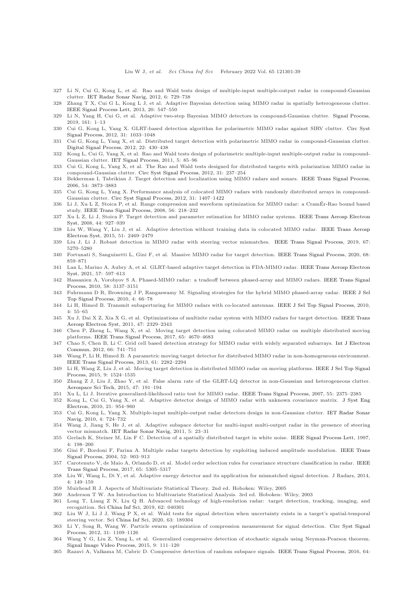- <span id="page-38-2"></span><span id="page-38-0"></span>327 Li N, Cui G, Kong L, et al. Rao and Wald tests design of multiple-input multiple-output radar in compound-Gaussian clutter. [IET Radar Sonar Navig,](https://doi.org/10.1049/iet-rsn.2011.0376) 2012, 6: 729–738
- <span id="page-38-3"></span>328 Zhang T X, Cui G L, Kong L J, et al. Adaptive Bayesian detection using MIMO radar in spatially heterogeneous clutter. [IEEE Signal Process Lett,](https://doi.org/10.1109/LSP.2013.2255272) 2013, 20: 547–550
- <span id="page-38-6"></span>329 Li N, Yang H, Cui G, et al. Adaptive two-step Bayesian MIMO detectors in compound-Gaussian clutter. [Signal Process,](https://doi.org/10.1016/j.sigpro.2019.03.008) 2019, 161: 1–13
- 330 Cui G, Kong L, Yang X. GLRT-based detection algorithm for polarimetric MIMO radar against SIRV clutter. Circ Syst Signal Process, 2012, 31: 1033–1048
- <span id="page-38-1"></span>331 Cui G, Kong L, Yang X, et al. Distributed target detection with polarimetric MIMO radar in compound-Gaussian clutter. [Digital Signal Process,](https://doi.org/10.1016/j.dsp.2011.10.015) 2012, 22: 430–438
- <span id="page-38-4"></span>332 Kong L, Cui G, Yang X, et al. Rao and Wald tests design of polarimetric multiple-input multiple-output radar in compound-Gaussian clutter. [IET Signal Process,](https://doi.org/10.1049/iet-spr.2009.0271) 2011, 5: 85–96
- <span id="page-38-5"></span>333 Cui G, Kong L, Yang X, et al. The Rao and Wald tests designed for distributed targets with polarization MIMO radar in compound-Gaussian clutter. [Circ Syst Signal Process,](https://doi.org/10.1007/s00034-010-9250-0) 2012, 31: 237–254
- <span id="page-38-7"></span>334 Bekkerman I, Tabrikian J. Target detection and localization using MIMO radars and sonars. [IEEE Trans Signal Process,](https://doi.org/10.1109/TSP.2006.879267) 2006, 54: 3873–3883
- <span id="page-38-8"></span>335 Cui G, Kong L, Yang X. Performance analysis of colocated MIMO radars with randomly distributed arrays in compound-Gaussian clutter. [Circ Syst Signal Process,](https://doi.org/10.1007/s00034-011-9381-y) 2012, 31: 1407–1422
- <span id="page-38-10"></span><span id="page-38-9"></span>336 Li J, Xu L Z, Stoica P, et al. Range compression and waveform optimization for MIMO radar: a CramEr-Rao bound based ´ study. [IEEE Trans Signal Process,](https://doi.org/10.1109/TSP.2007.901653) 2008, 56: 218–232
- 337 Xu L Z, Li J, Stoica P. Target detection and parameter estimation for MIMO radar systems. IEEE Trans Aerosp Electron Syst, 2008, 44: 927–939
- <span id="page-38-11"></span>338 Liu W, Wang Y, Liu J, et al. Adaptive detection without training data in colocated MIMO radar. IEEE Trans Aerosp Electron Syst, 2015, 51: 2469–2479
- <span id="page-38-13"></span><span id="page-38-12"></span>339 Liu J, Li J. Robust detection in MIMO radar with steering vector mismatches. [IEEE Trans Signal Process,](https://doi.org/10.1109/TSP.2019.2939078) 2019, 67: 5270–5280
- <span id="page-38-14"></span>340 Fortunati S, Sanguinetti L, Gini F, et al. Massive MIMO radar for target detection. [IEEE Trans Signal Process,](https://doi.org/10.1109/TSP.2020.2967181) 2020, 68: 859–871
- 341 Lan L, Marino A, Aubry A, et al. GLRT-based adaptive target detection in FDA-MIMO radar. IEEE Trans Aerosp Electron Syst, 2021, 57: 597–613
- <span id="page-38-15"></span>342 Hassanien A, Vorobyov S A. Phased-MIMO radar: a tradeoff between phased-array and MIMO radars. IEEE Trans Signal Process, 2010, 58: 3137–3151
- <span id="page-38-16"></span>343 Fuhrmann D R, Browning J P, Rangaswamy M. Signaling strategies for the hybrid MIMO phased-array radar. IEEE J Sel Top Signal Process, 2010, 4: 66–78
- <span id="page-38-17"></span>344 Li H, Himed B. Transmit subaperturing for MIMO radars with co-located antennas. [IEEE J Sel Top Signal Process,](https://doi.org/10.1109/JSTSP.2009.2038967) 2010, 4: 55–65
- <span id="page-38-18"></span>345 Xu J, Dai X Z, Xia X G, et al. Optimizations of multisite radar system with MIMO radars for target detection. IEEE Trans Aerosp Electron Syst, 2011, 47: 2329–2343
- <span id="page-38-22"></span>346 Chen P, Zheng L, Wang X, et al. Moving target detection using colocated MIMO radar on multiple distributed moving platforms. [IEEE Trans Signal Process,](https://doi.org/10.1109/TSP.2017.2714999) 2017, 65: 4670–4683
- <span id="page-38-23"></span>347 Chao S, [Chen B, Li C. Grid cell based detection strategy for MIMO radar with widely separated subarrays.](https://doi.org/10.1016/j.aeue.2012.01.006) Int J Electron Commun, 2012, 66: 741–751
- <span id="page-38-24"></span>348 Wang P, Li H, Himed B. A parametric moving target detector for distributed MIMO radar in non-homogeneous environment. [IEEE Trans Signal Process,](https://doi.org/10.1109/TSP.2013.2245323) 2013, 61: 2282–2294
- <span id="page-38-25"></span>349 Li H, Wang Z, Liu J, et al. Moving target detection in distributed MIMO radar on moving platforms. IEEE J Sel Top Signal Process, 2015, 9: 1524–1535
- <span id="page-38-26"></span>350 Zhang Z J, Liu J, Zhao Y, et al. False alarm rate of the GLRT-LQ detector in non-Gaussian and heterogeneous clutter. [Aerospace Sci Tech,](https://doi.org/10.1016/j.ast.2015.09.038) 2015, 47: 191–194
- <span id="page-38-28"></span><span id="page-38-27"></span>351 Xu L, Li J. Iterative generalized-likelihood ratio test for MIMO radar. [IEEE Trans Signal Process,](https://doi.org/10.1109/TSP.2007.893937) 2007, 55: 2375–2385 352 Kong L, Cui G, Yang X, et al. Adaptive detector design of MIMO radar with unknown covariance matrix. J Syst Eng
- <span id="page-38-29"></span>Electron, 2010, 21: 954–960
- 353 Cui G, Kong L, Yang X. Multiple-input multiple-output radar detectors design in non-Gaussian clutter. IET Radar Sonar Navig, 2010, 4: 724–732
- <span id="page-38-30"></span>354 Wang J, Jiang S, He J, et al. Adaptive subspace detector for multi-input multi-output radar in the presence of steering vector mismatch. [IET Radar Sonar Navig,](https://doi.org/10.1049/iet-rsn.2009.0197) 2011, 5: 23–31
- <span id="page-38-19"></span>355 Gerlach K, Steiner M, Lin F C. Detection of a spatially distributed target in white noise. [IEEE Signal Process Lett,](https://doi.org/10.1109/97.596885) 1997, 4: 198–200
- <span id="page-38-20"></span>356 Gini F, Bordoni F, Farina A. Multiple radar targets detection by exploiting induced amplitude modulation. IEEE Trans Signal Process, 2004, 52: 903–913
- <span id="page-38-21"></span>357 Carotenuto V, de Maio A, Orlando D, et al. Model order selection rules for covariance structure classification in radar. IEEE Trans Signal Process, 2017, 65: 5305–5317
- <span id="page-38-31"></span>358 Liu W, Wang L, Di Y, et al. Adaptive energy detector and its application for mismatched signal detection. J Radars, 2014, 4: 149–159
- <span id="page-38-33"></span><span id="page-38-32"></span>359 Muirhead R J. Aspects of Multivariate Statistical Theory. 2nd ed. Hoboken: Wiley, 2005
- <span id="page-38-34"></span>360 Anderson T W. An Introduction to Multivariate Statistical Analysis. 3rd ed. Hoboken: Wiley, 2003
- 361 Long T, Liang Z N, Liu Q H. Advanced technology of high-resolution radar: target detection, tracking, imaging, and recognition. [Sci China Inf Sci,](https://doi.org/10.1007/s11432-018-9811-0) 2019, 62: 040301
- <span id="page-38-35"></span>362 Liu W J, Li J J, Wang P X, et al. Wald tests for signal detection when uncertainty exists in a target's spatial-temporal steering vector. [Sci China Inf Sci,](https://doi.org/10.1007/s11432-019-2641-2) 2020, 63: 189304
- <span id="page-38-36"></span>363 Li Y, Song R, Wang W. Particle swarm optimization of compression measurement for signal detection. Circ Syst Signal Process, 2012, 31: 1109–1126
- 364 Wang Y G, Liu Z, Yang L, et al. Generalized compressive detection of stochastic signals using Neyman-Pearson theorem. [Signal Image Video Process,](https://doi.org/10.1007/s11760-014-0666-z) 2015, 9: 111–120
- 365 Razavi A, Valkama M, Cabric D. Compressive detection of random subspace signals. [IEEE Trans Signal Process,](https://doi.org/10.1109/TSP.2016.2560132) 2016, 64: